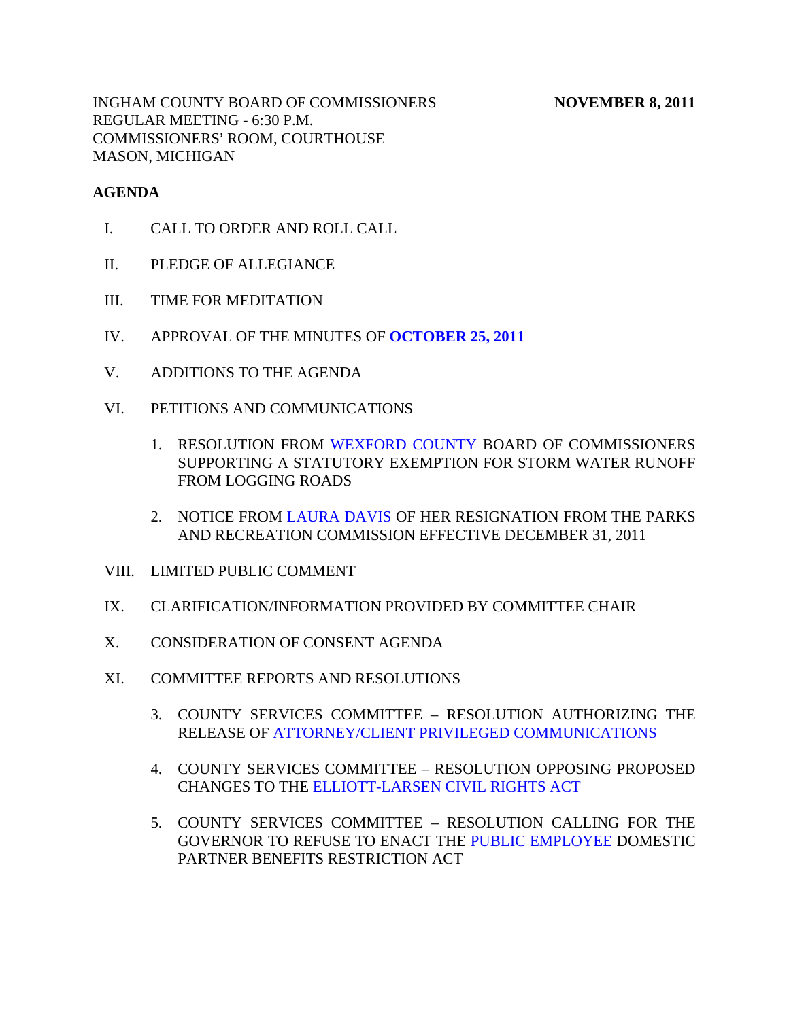INGHAM COUNTY BOARD OF COMMISSIONERS NOVEMBER 8, 2011 REGULAR MEETING - 6:30 P.M. COMMISSIONERS' ROOM, COURTHOUSE MASON, MICHIGAN

#### **AGENDA**

- I. CALL TO ORDER AND ROLL CALL
- II. PLEDGE OF ALLEGIANCE
- III. TIME FOR MEDITATION
- IV. APPROVAL OF THE MINUTES OF **[OCTOBER 25, 2011](#page-4-0)**
- V. ADDITIONS TO THE AGENDA
- VI. PETITIONS AND COMMUNICATIONS
	- 1. RESOLUTION FRO[M WEXFORD COUNTY BOA](#page-23-0)RD OF COMMISSIONERS SUPPORTING A STATUTORY EXEMPTION FOR STORM WATER RUNOFF FROM LOGGING ROADS
	- 2. NOTICE F[ROM LAURA DAVIS OF HER](#page-25-0) RESIGNATION FROM THE PARKS AND RECREATION COMMISSION EFFECTIVE DECEMBER 31, 2011
- VIII. LIMITED PUBLIC COMMENT
- IX. CLARIFICATION/INFORMATION PROVIDED BY COMMITTEE CHAIR
- X. CONSIDERATION OF CONSENT AGENDA
- XI. COMMITTEE REPORTS AND RESOLUTIONS
	- 3. COUNTY SERVICES COMMITTEE RESOLUTION AUTHORIZING THE RELEASE O[F ATTORNEY/CLIENT PRIVILEGED COMMUNICATIONS](#page-26-0)
	- 4. COUNTY SERVICES COMMITTEE RESOLUTION OPPOSING PROPOSED CHANGES TO TH[E ELLIOTT-LARSEN CIVIL RIGHTS ACT](#page-27-0)
	- 5. COUNTY SERVICES COMMITTEE RESOLUTION CALLING FOR THE GOVERNOR TO REFUSE TO ENACT TH[E PUBLIC EMPLOYEE DOMEST](#page-28-0)IC PARTNER BENEFITS RESTRICTION ACT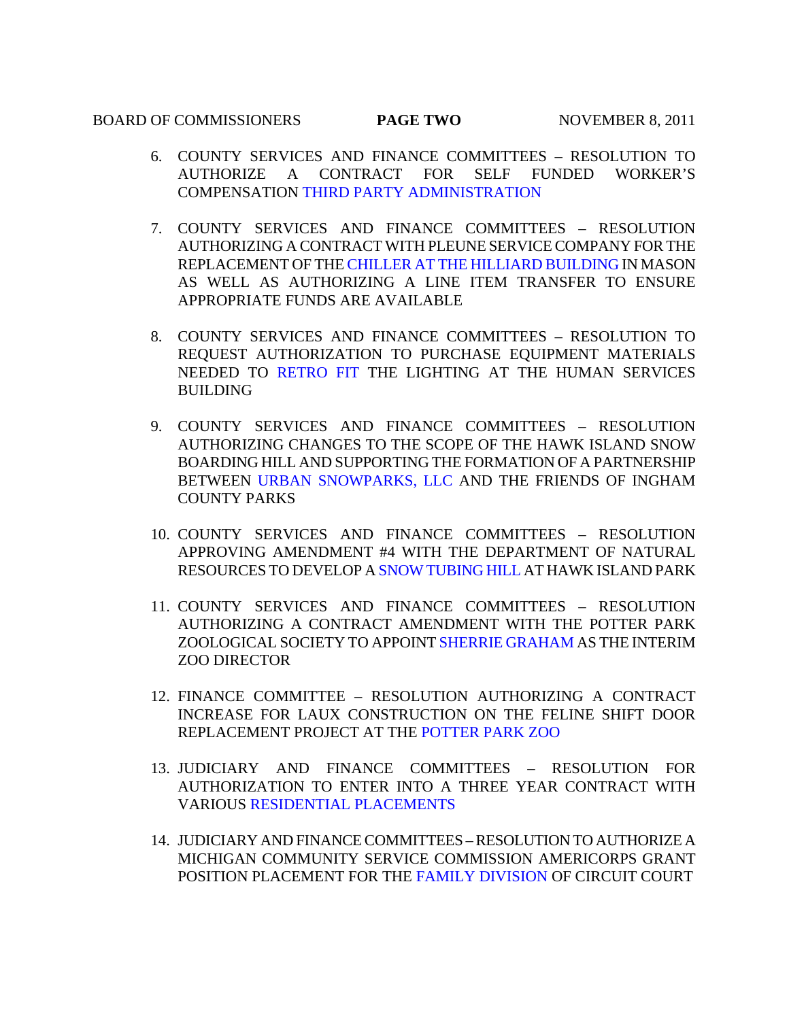#### BOARD OF COMMISSIONERS **PAGE TWO** NOVEMBER 8, 2011

- 6. COUNTY SERVICES AND FINANCE COMMITTEES RESOLUTION TO AUTHORIZE [A CONTRACT FOR SELF FUNDED](#page-29-0) WORKER'S COMPENSATION THIRD PARTY ADMINISTRATION
- 7. COUNTY SERVICES AND FINANCE COMMITTEES RESOLUTION AUTHORIZING A CONTRACT WITH PLEUNE SERVICE COMPANY FOR THE REPLACEMENT OF T[HE CHILLER AT THE HILLIARD BUILDING IN MASO](#page-30-0)N AS WELL AS AUTHORIZING A LINE ITEM TRANSFER TO ENSURE APPROPRIATE FUNDS ARE AVAILABLE
- 8. COUNTY SERVICES AND FINANCE COMMITTEES RESOLUTION TO REQUEST AUTHORIZATION TO PURCHASE EQUIPMENT MATERIALS NEEDED TO [RETRO FIT THE LIG](#page-31-0)HTING AT THE HUMAN SERVICES BUILDING
- 9. COUNTY SERVICES AND FINANCE COMMITTEES RESOLUTION AUTHORIZING CHANGES TO THE SCOPE OF THE HAWK ISLAND SNOW BOAR[DING HILL AND SUPPORTING THE FOR](#page-32-0)MATION OF A PARTNERSHIP BETWEEN URBAN SNOWPARKS, LLC AND THE FRIENDS OF INGHAM COUNTY PARKS
- 10. COUNTY SERVICES AND FINANCE COMMITTEES RESOLUTION APPROVING AMENDMENT #4 WITH THE DEPARTMENT OF NATURAL RESOURCES TO DEVELO[P A SNOW TUBING HILL AT HA](#page-34-0)WK ISLAND PARK
- 11. COUNTY SERVICES AND FINANCE COMMITTEES RESOLUTION AUTHORIZING A CONTRACT AMENDMENT WITH THE POTTER PARK ZOOLOGICAL SOCIETY TO APPOI[NT SHERRIE GRAHAM AS TH](#page-35-0)E INTERIM ZOO DIRECTOR
- 12. FINANCE COMMITTEE RESOLUTION AUTHORIZING A CONTRACT INCREASE FOR LAUX CONST[RUCTION ON THE FELIN](#page-37-0)E SHIFT DOOR REPLACEMENT PROJECT AT THE POTTER PARK ZOO
- 13. JUDICIARY AND FINANCE COMMITTEES RESOLUTION FOR AUTHORIZATION TO ENTER INTO A THREE YEAR CONTRACT WITH VARIOU[S RESIDENTIAL PLACEMENTS](#page-38-0)
- 14. JUDICIARY AND FINANCE COMMITTEES RESOLUTION TO AUTHORIZE A MICHIGAN COMMUNITY SER[VICE COMMISSION AMER](#page-40-0)ICORPS GRANT POSITION PLACEMENT FOR THE FAMILY DIVISION OF CIRCUIT COURT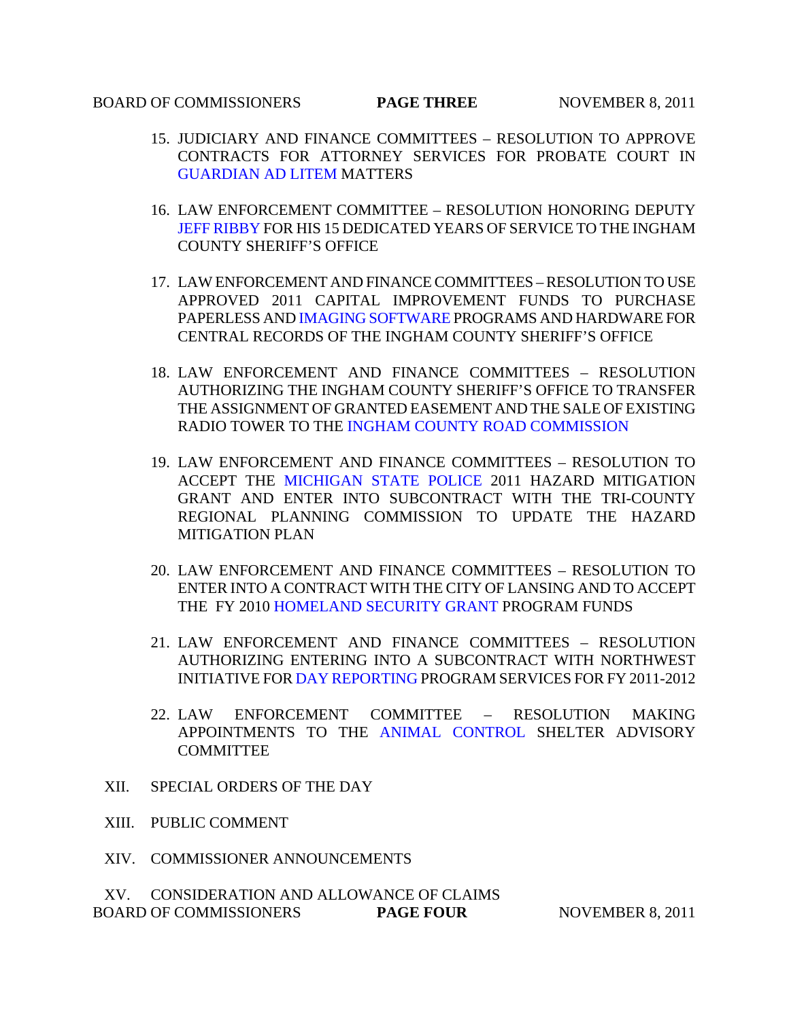#### **BOARD OF COMMISSIONERS PAGE THREE** NOVEMBER 8, 2011

- 15. JUDICIARY AND FINANCE COMMITTEES RESOLUTION TO APPROVE CONTRACTS FOR ATTORNEY SERVICES FOR PROBATE COURT IN [GUARDIAN AD LITEM MATTER](#page-43-0)S
- 16. LAW ENFORCEMENT COMMITTEE RESOLUTION HONORING DEPUTY [JEFF RIBBY FOR](#page-44-0) HIS 15 DEDICATED YEARS OF SERVICE TO THE INGHAM COUNTY SHERIFF'S OFFICE
- 17. LAW ENFORCEMENT AND FINANCE COMMITTEES RESOLUTION TO USE APPROVED 2011 CAPITAL IMPROVEMENT FUNDS TO PURCHASE PAPERLESS A[ND IMAGING SOFTWARE PROG](#page-46-0)RAMS AND HARDWARE FOR CENTRAL RECORDS OF THE INGHAM COUNTY SHERIFF'S OFFICE
- 18. LAW ENFORCEMENT AND FINANCE COMMITTEES RESOLUTION AUTHORIZING THE INGHAM COUNTY SHERIFF'S OFFICE TO TRANSFER THE ASSIGNMENT OF GRANTED EASEMENT AND THE SALE OF EXISTING RADIO TOWER TO TH[E INGHAM COUNTY ROAD COMMISSION](#page-47-0)
- 19. LAW ENF[ORCEMENT AND FINANCE COMMITT](#page-48-0)EES RESOLUTION TO ACCEPT THE MICHIGAN STATE POLICE 2011 HAZARD MITIGATION GRANT AND ENTER INTO SUBCONTRACT WITH THE TRI-COUNTY REGIONAL PLANNING COMMISSION TO UPDATE THE HAZARD MITIGATION PLAN
- 20. LAW ENFORCEMENT AND FINANCE COMMITTEES RESOLUTION TO ENTER INTO A CONTRACT WITH THE CITY OF LANSING AND TO ACCEPT THE FY 201[0 HOMELAND SECURITY GRANT PRO](#page-50-0)GRAM FUNDS
- 21. LAW ENFORCEMENT AND FINANCE COMMITTEES RESOLUTION AUTHORIZING ENTERING INTO A SUBCONTRACT WITH NORTHWEST INITIATIVE F[OR DAY REPORTING PROGR](#page-52-0)AM SERVICES FOR FY 2011-2012
- 22. LAW ENFORCEMENT COMMITTEE RESOLUTION MAKING APPOINTMENTS TO TH[E ANIMAL CONTROL](#page-54-0) SHELTER ADVISORY **COMMITTEE**
- XII. SPECIAL ORDERS OF THE DAY
- XIII. PUBLIC COMMENT
- XIV. COMMISSIONER ANNOUNCEMENTS

XV. CONSIDERATION AND ALLOWANCE OF CLAIMS **BOARD OF COMMISSIONERS PAGE FOUR SOUR SEXUAL POOP SEXUAL PAGE FOUR SEXUAL PROPERTY SEXUAL PROPERTY**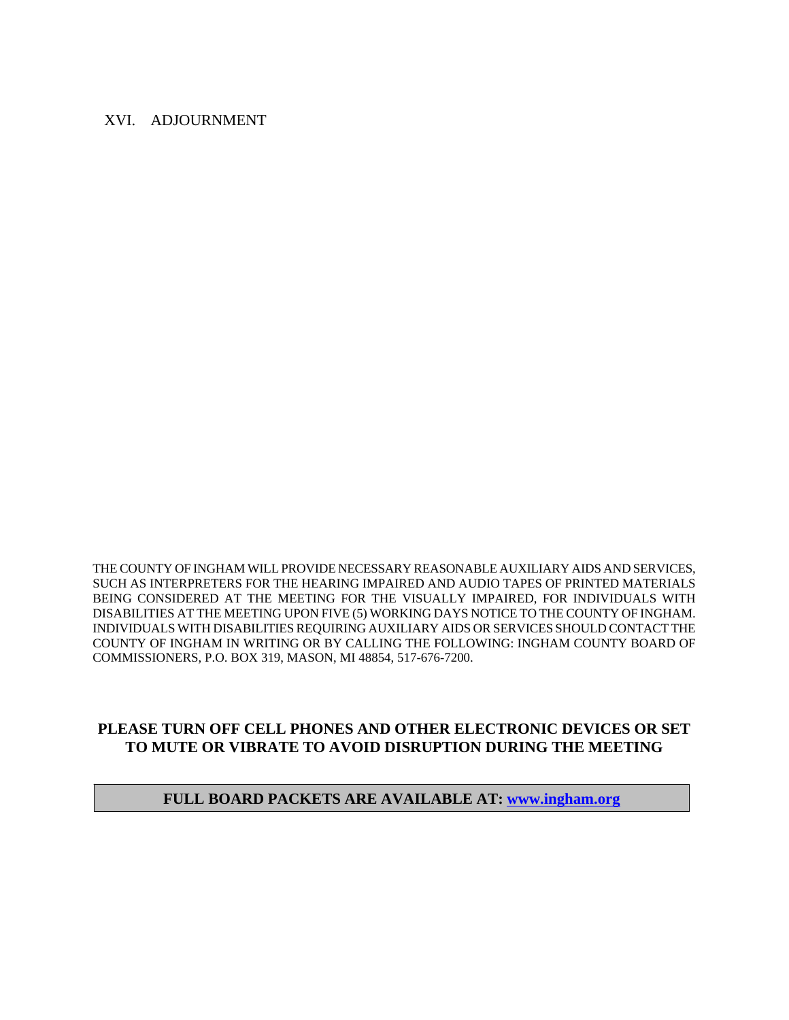#### XVI. ADJOURNMENT

THE COUNTY OF INGHAM WILL PROVIDE NECESSARY REASONABLE AUXILIARY AIDS AND SERVICES, SUCH AS INTERPRETERS FOR THE HEARING IMPAIRED AND AUDIO TAPES OF PRINTED MATERIALS BEING CONSIDERED AT THE MEETING FOR THE VISUALLY IMPAIRED, FOR INDIVIDUALS WITH DISABILITIES AT THE MEETING UPON FIVE (5) WORKING DAYS NOTICE TO THE COUNTY OF INGHAM. INDIVIDUALS WITH DISABILITIES REQUIRING AUXILIARY AIDS OR SERVICES SHOULD CONTACT THE COUNTY OF INGHAM IN WRITING OR BY CALLING THE FOLLOWING: INGHAM COUNTY BOARD OF COMMISSIONERS, P.O. BOX 319, MASON, MI 48854, 517-676-7200.

# **PLEASE TURN OFF CELL PHONES AND OTHER ELECTRONIC DEVICES OR SET TO MUTE OR VIBRATE TO AVOID DISRUPTION DURING THE MEETING**

#### **FULL BOARD PACKETS ARE AVAILABLE AT: www.ingham.org**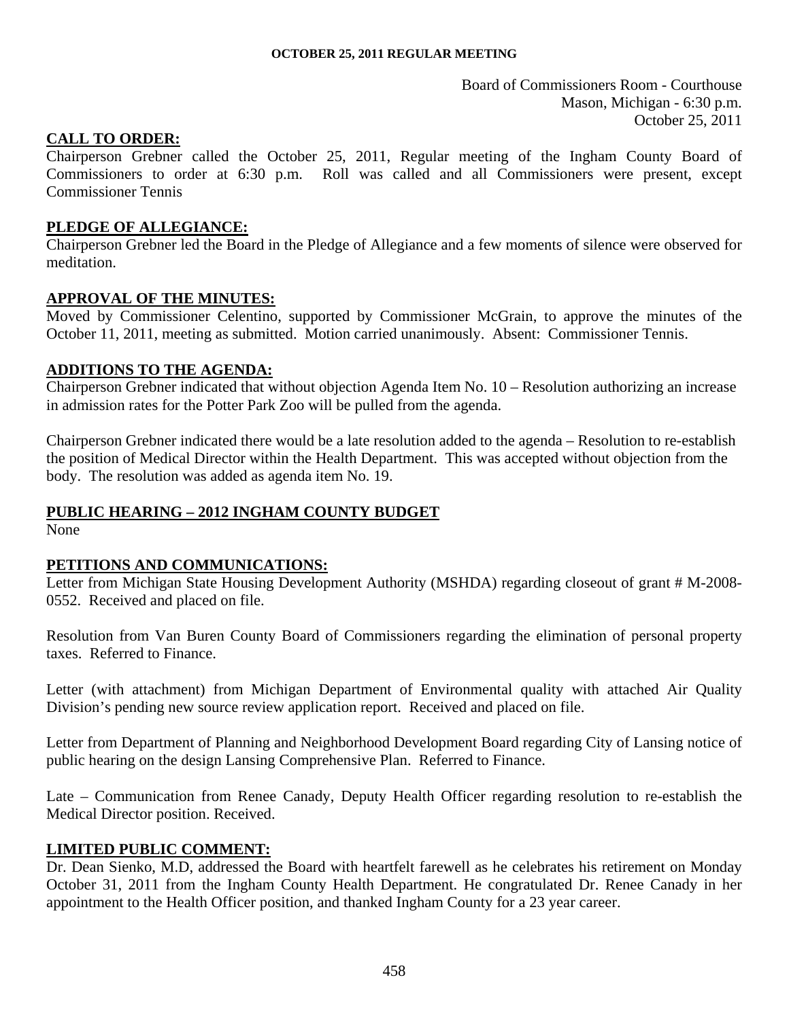Board of Commissioners Room - Courthouse Mason, Michigan - 6:30 p.m. October 25, 2011

#### <span id="page-4-0"></span>**CALL TO ORDER:**

Chairperson Grebner called the October 25, 2011, Regular meeting of the Ingham County Board of Commissioners to order at 6:30 p.m. Roll was called and all Commissioners were present, except Commissioner Tennis

#### **PLEDGE OF ALLEGIANCE:**

Chairperson Grebner led the Board in the Pledge of Allegiance and a few moments of silence were observed for meditation.

#### **APPROVAL OF THE MINUTES:**

Moved by Commissioner Celentino, supported by Commissioner McGrain, to approve the minutes of the October 11, 2011, meeting as submitted. Motion carried unanimously. Absent: Commissioner Tennis.

#### **ADDITIONS TO THE AGENDA:**

Chairperson Grebner indicated that without objection Agenda Item No. 10 – Resolution authorizing an increase in admission rates for the Potter Park Zoo will be pulled from the agenda.

Chairperson Grebner indicated there would be a late resolution added to the agenda – Resolution to re-establish the position of Medical Director within the Health Department. This was accepted without objection from the body. The resolution was added as agenda item No. 19.

#### **PUBLIC HEARING – 2012 INGHAM COUNTY BUDGET**

None

#### **PETITIONS AND COMMUNICATIONS:**

Letter from Michigan State Housing Development Authority (MSHDA) regarding closeout of grant # M-2008- 0552. Received and placed on file.

Resolution from Van Buren County Board of Commissioners regarding the elimination of personal property taxes. Referred to Finance.

Letter (with attachment) from Michigan Department of Environmental quality with attached Air Quality Division's pending new source review application report. Received and placed on file.

Letter from Department of Planning and Neighborhood Development Board regarding City of Lansing notice of public hearing on the design Lansing Comprehensive Plan. Referred to Finance.

Late – Communication from Renee Canady, Deputy Health Officer regarding resolution to re-establish the Medical Director position. Received.

#### **LIMITED PUBLIC COMMENT:**

Dr. Dean Sienko, M.D, addressed the Board with heartfelt farewell as he celebrates his retirement on Monday October 31, 2011 from the Ingham County Health Department. He congratulated Dr. Renee Canady in her appointment to the Health Officer position, and thanked Ingham County for a 23 year career.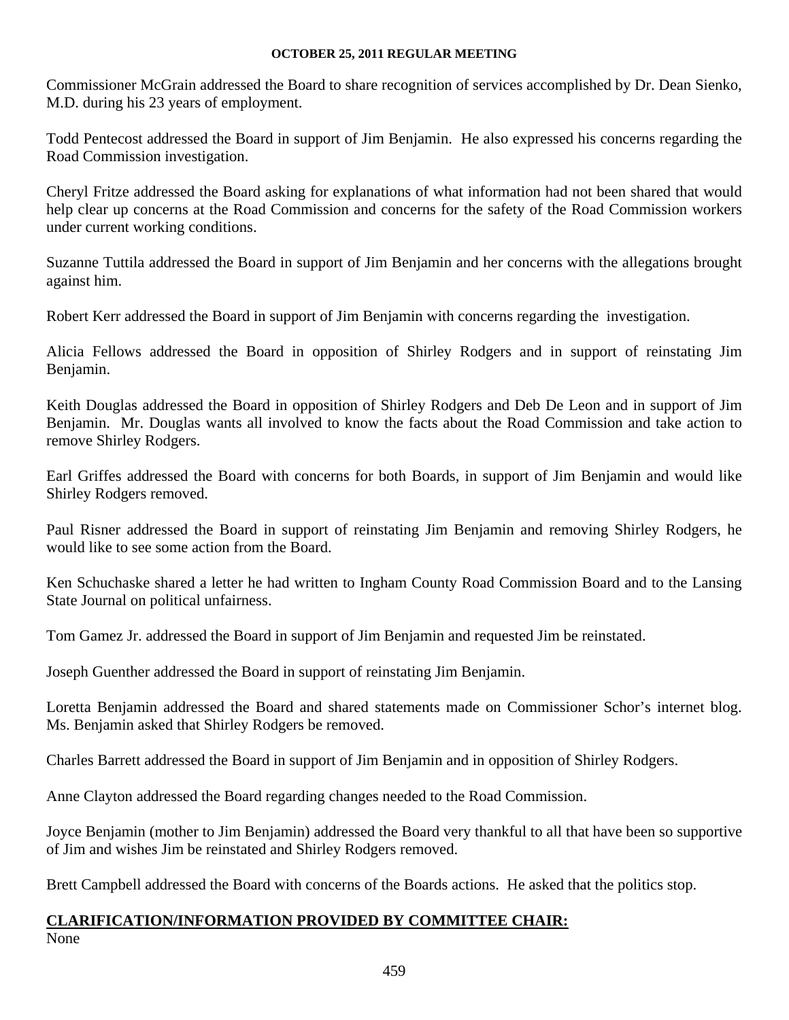Commissioner McGrain addressed the Board to share recognition of services accomplished by Dr. Dean Sienko, M.D. during his 23 years of employment.

Todd Pentecost addressed the Board in support of Jim Benjamin. He also expressed his concerns regarding the Road Commission investigation.

Cheryl Fritze addressed the Board asking for explanations of what information had not been shared that would help clear up concerns at the Road Commission and concerns for the safety of the Road Commission workers under current working conditions.

Suzanne Tuttila addressed the Board in support of Jim Benjamin and her concerns with the allegations brought against him.

Robert Kerr addressed the Board in support of Jim Benjamin with concerns regarding the investigation.

Alicia Fellows addressed the Board in opposition of Shirley Rodgers and in support of reinstating Jim Benjamin.

Keith Douglas addressed the Board in opposition of Shirley Rodgers and Deb De Leon and in support of Jim Benjamin. Mr. Douglas wants all involved to know the facts about the Road Commission and take action to remove Shirley Rodgers.

Earl Griffes addressed the Board with concerns for both Boards, in support of Jim Benjamin and would like Shirley Rodgers removed.

Paul Risner addressed the Board in support of reinstating Jim Benjamin and removing Shirley Rodgers, he would like to see some action from the Board.

Ken Schuchaske shared a letter he had written to Ingham County Road Commission Board and to the Lansing State Journal on political unfairness.

Tom Gamez Jr. addressed the Board in support of Jim Benjamin and requested Jim be reinstated.

Joseph Guenther addressed the Board in support of reinstating Jim Benjamin.

Loretta Benjamin addressed the Board and shared statements made on Commissioner Schor's internet blog. Ms. Benjamin asked that Shirley Rodgers be removed.

Charles Barrett addressed the Board in support of Jim Benjamin and in opposition of Shirley Rodgers.

Anne Clayton addressed the Board regarding changes needed to the Road Commission.

Joyce Benjamin (mother to Jim Benjamin) addressed the Board very thankful to all that have been so supportive of Jim and wishes Jim be reinstated and Shirley Rodgers removed.

Brett Campbell addressed the Board with concerns of the Boards actions. He asked that the politics stop.

# **CLARIFICATION/INFORMATION PROVIDED BY COMMITTEE CHAIR:**

None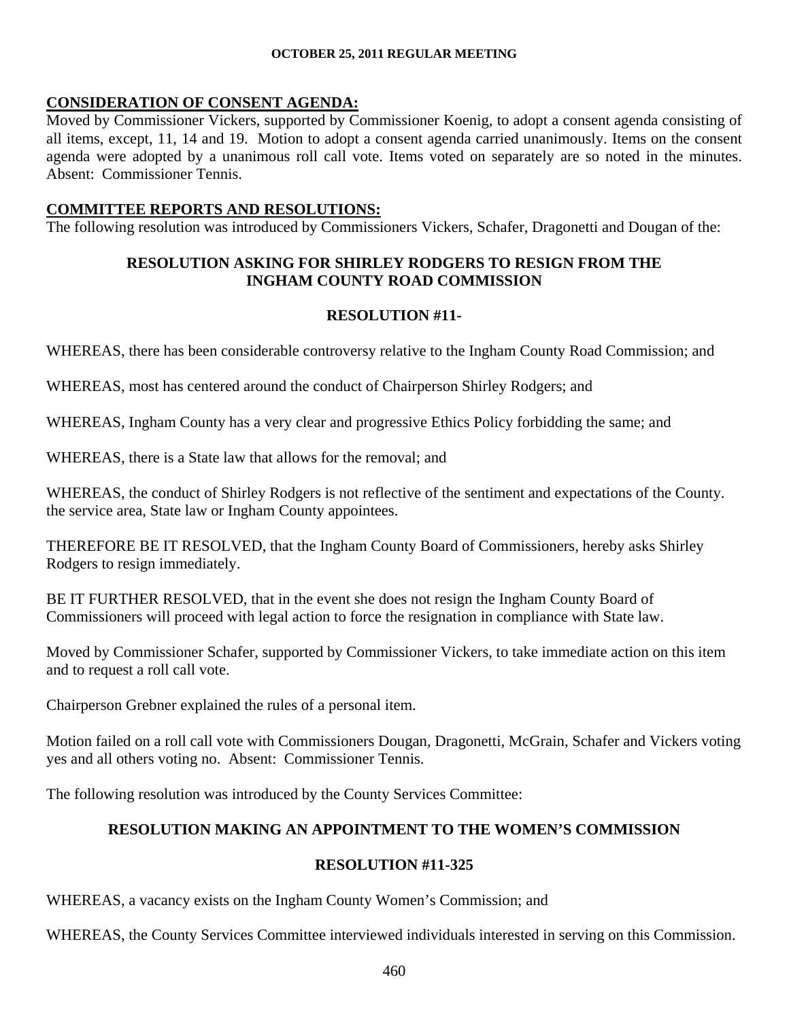# **CONSIDERATION OF CONSENT AGENDA:**

Moved by Commissioner Vickers, supported by Commissioner Koenig, to adopt a consent agenda consisting of all items, except, 11, 14 and 19. Motion to adopt a consent agenda carried unanimously. Items on the consent agenda were adopted by a unanimous roll call vote. Items voted on separately are so noted in the minutes. Absent: Commissioner Tennis.

# **COMMITTEE REPORTS AND RESOLUTIONS:**

The following resolution was introduced by Commissioners Vickers, Schafer, Dragonetti and Dougan of the:

# **RESOLUTION ASKING FOR SHIRLEY RODGERS TO RESIGN FROM THE INGHAM COUNTY ROAD COMMISSION**

# **RESOLUTION #11-**

WHEREAS, there has been considerable controversy relative to the Ingham County Road Commission; and

WHEREAS, most has centered around the conduct of Chairperson Shirley Rodgers; and

WHEREAS, Ingham County has a very clear and progressive Ethics Policy forbidding the same; and

WHEREAS, there is a State law that allows for the removal; and

WHEREAS, the conduct of Shirley Rodgers is not reflective of the sentiment and expectations of the County. the service area, State law or Ingham County appointees.

THEREFORE BE IT RESOLVED, that the Ingham County Board of Commissioners, hereby asks Shirley Rodgers to resign immediately.

BE IT FURTHER RESOLVED, that in the event she does not resign the Ingham County Board of Commissioners will proceed with legal action to force the resignation in compliance with State law.

Moved by Commissioner Schafer, supported by Commissioner Vickers, to take immediate action on this item and to request a roll call vote.

Chairperson Grebner explained the rules of a personal item.

Motion failed on a roll call vote with Commissioners Dougan, Dragonetti, McGrain, Schafer and Vickers voting yes and all others voting no. Absent: Commissioner Tennis.

The following resolution was introduced by the County Services Committee:

# **RESOLUTION MAKING AN APPOINTMENT TO THE WOMEN'S COMMISSION**

# **RESOLUTION #11-325**

WHEREAS, a vacancy exists on the Ingham County Women's Commission; and

WHEREAS, the County Services Committee interviewed individuals interested in serving on this Commission.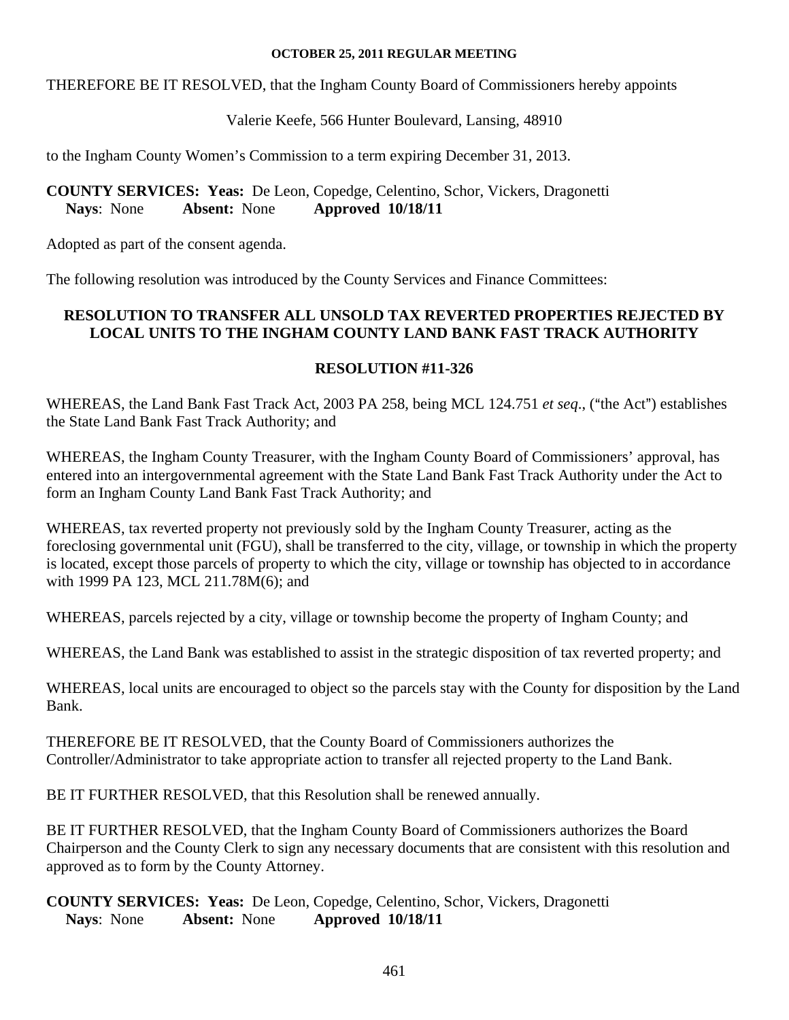THEREFORE BE IT RESOLVED, that the Ingham County Board of Commissioners hereby appoints

# Valerie Keefe, 566 Hunter Boulevard, Lansing, 48910

to the Ingham County Women's Commission to a term expiring December 31, 2013.

# **COUNTY SERVICES: Yeas:** De Leon, Copedge, Celentino, Schor, Vickers, Dragonetti **Nays**: None **Absent:** None **Approved 10/18/11**

Adopted as part of the consent agenda.

The following resolution was introduced by the County Services and Finance Committees:

# **RESOLUTION TO TRANSFER ALL UNSOLD TAX REVERTED PROPERTIES REJECTED BY LOCAL UNITS TO THE INGHAM COUNTY LAND BANK FAST TRACK AUTHORITY**

# **RESOLUTION #11-326**

WHEREAS, the Land Bank Fast Track Act, 2003 PA 258, being MCL 124.751 *et seq.*, ("the Act") establishes the State Land Bank Fast Track Authority; and

WHEREAS, the Ingham County Treasurer, with the Ingham County Board of Commissioners' approval, has entered into an intergovernmental agreement with the State Land Bank Fast Track Authority under the Act to form an Ingham County Land Bank Fast Track Authority; and

WHEREAS, tax reverted property not previously sold by the Ingham County Treasurer, acting as the foreclosing governmental unit (FGU), shall be transferred to the city, village, or township in which the property is located, except those parcels of property to which the city, village or township has objected to in accordance with 1999 PA 123, MCL 211.78M(6); and

WHEREAS, parcels rejected by a city, village or township become the property of Ingham County; and

WHEREAS, the Land Bank was established to assist in the strategic disposition of tax reverted property; and

WHEREAS, local units are encouraged to object so the parcels stay with the County for disposition by the Land Bank.

THEREFORE BE IT RESOLVED, that the County Board of Commissioners authorizes the Controller/Administrator to take appropriate action to transfer all rejected property to the Land Bank.

BE IT FURTHER RESOLVED, that this Resolution shall be renewed annually.

BE IT FURTHER RESOLVED, that the Ingham County Board of Commissioners authorizes the Board Chairperson and the County Clerk to sign any necessary documents that are consistent with this resolution and approved as to form by the County Attorney.

**COUNTY SERVICES: Yeas:** De Leon, Copedge, Celentino, Schor, Vickers, Dragonetti **Nays**: None **Absent:** None **Approved 10/18/11**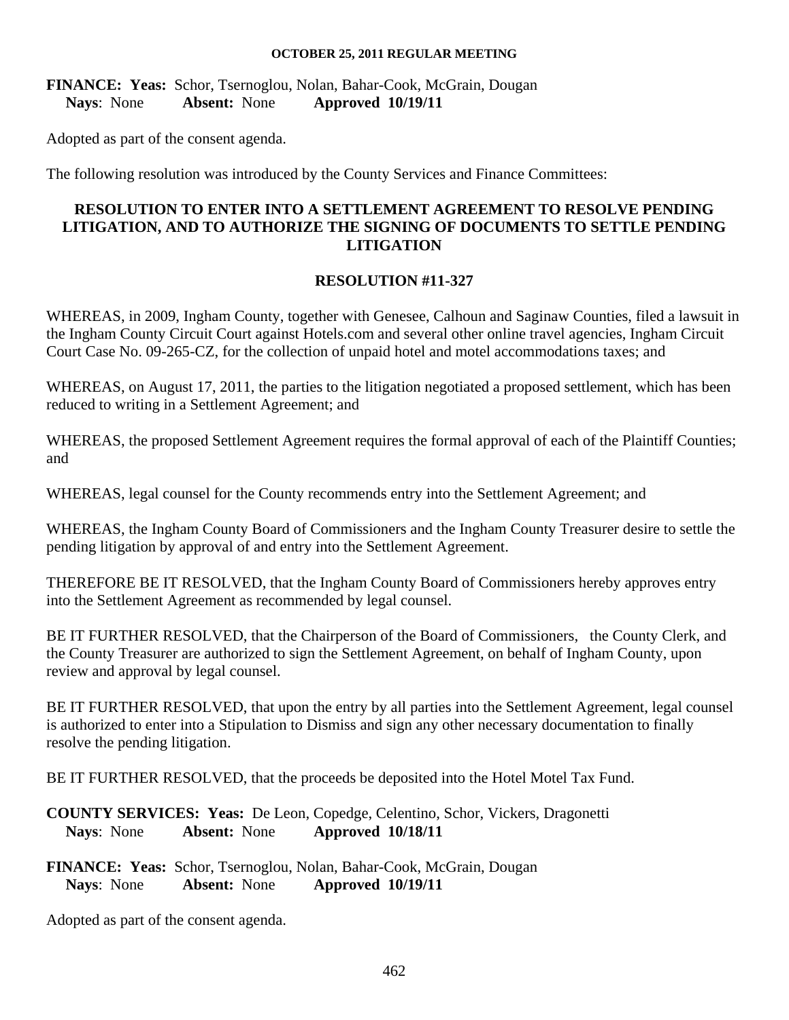**FINANCE: Yeas:** Schor, Tsernoglou, Nolan, Bahar-Cook, McGrain, Dougan **Nays**: None **Absent:** None **Approved 10/19/11** 

Adopted as part of the consent agenda.

The following resolution was introduced by the County Services and Finance Committees:

# **RESOLUTION TO ENTER INTO A SETTLEMENT AGREEMENT TO RESOLVE PENDING LITIGATION, AND TO AUTHORIZE THE SIGNING OF DOCUMENTS TO SETTLE PENDING LITIGATION**

#### **RESOLUTION #11-327**

WHEREAS, in 2009, Ingham County, together with Genesee, Calhoun and Saginaw Counties, filed a lawsuit in the Ingham County Circuit Court against Hotels.com and several other online travel agencies, Ingham Circuit Court Case No. 09-265-CZ, for the collection of unpaid hotel and motel accommodations taxes; and

WHEREAS, on August 17, 2011, the parties to the litigation negotiated a proposed settlement, which has been reduced to writing in a Settlement Agreement; and

WHEREAS, the proposed Settlement Agreement requires the formal approval of each of the Plaintiff Counties; and

WHEREAS, legal counsel for the County recommends entry into the Settlement Agreement; and

WHEREAS, the Ingham County Board of Commissioners and the Ingham County Treasurer desire to settle the pending litigation by approval of and entry into the Settlement Agreement.

THEREFORE BE IT RESOLVED, that the Ingham County Board of Commissioners hereby approves entry into the Settlement Agreement as recommended by legal counsel.

BE IT FURTHER RESOLVED, that the Chairperson of the Board of Commissioners, the County Clerk, and the County Treasurer are authorized to sign the Settlement Agreement, on behalf of Ingham County, upon review and approval by legal counsel.

BE IT FURTHER RESOLVED, that upon the entry by all parties into the Settlement Agreement, legal counsel is authorized to enter into a Stipulation to Dismiss and sign any other necessary documentation to finally resolve the pending litigation.

BE IT FURTHER RESOLVED, that the proceeds be deposited into the Hotel Motel Tax Fund.

**COUNTY SERVICES: Yeas:** De Leon, Copedge, Celentino, Schor, Vickers, Dragonetti **Nays**: None **Absent:** None **Approved 10/18/11** 

**FINANCE: Yeas:** Schor, Tsernoglou, Nolan, Bahar-Cook, McGrain, Dougan **Nays**: None **Absent:** None **Approved 10/19/11** 

Adopted as part of the consent agenda.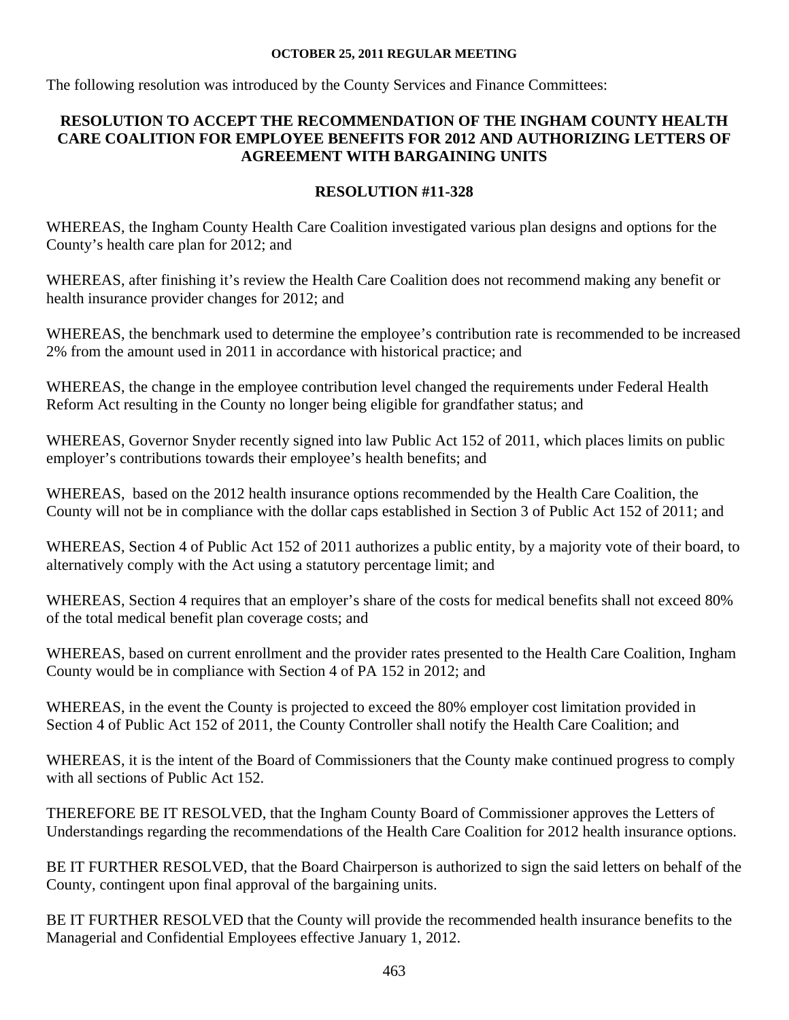The following resolution was introduced by the County Services and Finance Committees:

# **RESOLUTION TO ACCEPT THE RECOMMENDATION OF THE INGHAM COUNTY HEALTH CARE COALITION FOR EMPLOYEE BENEFITS FOR 2012 AND AUTHORIZING LETTERS OF AGREEMENT WITH BARGAINING UNITS**

# **RESOLUTION #11-328**

WHEREAS, the Ingham County Health Care Coalition investigated various plan designs and options for the County's health care plan for 2012; and

WHEREAS, after finishing it's review the Health Care Coalition does not recommend making any benefit or health insurance provider changes for 2012; and

WHEREAS, the benchmark used to determine the employee's contribution rate is recommended to be increased 2% from the amount used in 2011 in accordance with historical practice; and

WHEREAS, the change in the employee contribution level changed the requirements under Federal Health Reform Act resulting in the County no longer being eligible for grandfather status; and

WHEREAS, Governor Snyder recently signed into law Public Act 152 of 2011, which places limits on public employer's contributions towards their employee's health benefits; and

WHEREAS, based on the 2012 health insurance options recommended by the Health Care Coalition, the County will not be in compliance with the dollar caps established in Section 3 of Public Act 152 of 2011; and

WHEREAS, Section 4 of Public Act 152 of 2011 authorizes a public entity, by a majority vote of their board, to alternatively comply with the Act using a statutory percentage limit; and

WHEREAS, Section 4 requires that an employer's share of the costs for medical benefits shall not exceed 80% of the total medical benefit plan coverage costs; and

WHEREAS, based on current enrollment and the provider rates presented to the Health Care Coalition, Ingham County would be in compliance with Section 4 of PA 152 in 2012; and

WHEREAS, in the event the County is projected to exceed the 80% employer cost limitation provided in Section 4 of Public Act 152 of 2011, the County Controller shall notify the Health Care Coalition; and

WHEREAS, it is the intent of the Board of Commissioners that the County make continued progress to comply with all sections of Public Act 152.

THEREFORE BE IT RESOLVED, that the Ingham County Board of Commissioner approves the Letters of Understandings regarding the recommendations of the Health Care Coalition for 2012 health insurance options.

BE IT FURTHER RESOLVED, that the Board Chairperson is authorized to sign the said letters on behalf of the County, contingent upon final approval of the bargaining units.

BE IT FURTHER RESOLVED that the County will provide the recommended health insurance benefits to the Managerial and Confidential Employees effective January 1, 2012.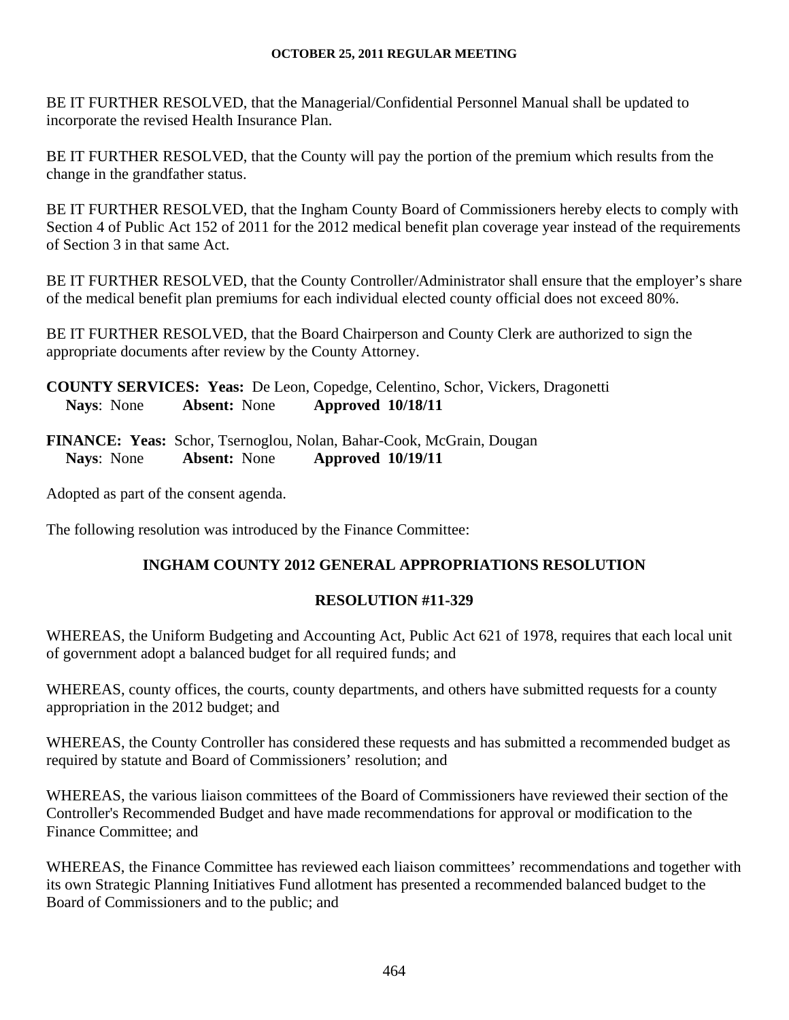BE IT FURTHER RESOLVED, that the Managerial/Confidential Personnel Manual shall be updated to incorporate the revised Health Insurance Plan.

BE IT FURTHER RESOLVED, that the County will pay the portion of the premium which results from the change in the grandfather status.

BE IT FURTHER RESOLVED, that the Ingham County Board of Commissioners hereby elects to comply with Section 4 of Public Act 152 of 2011 for the 2012 medical benefit plan coverage year instead of the requirements of Section 3 in that same Act.

BE IT FURTHER RESOLVED, that the County Controller/Administrator shall ensure that the employer's share of the medical benefit plan premiums for each individual elected county official does not exceed 80%.

BE IT FURTHER RESOLVED, that the Board Chairperson and County Clerk are authorized to sign the appropriate documents after review by the County Attorney.

**COUNTY SERVICES: Yeas:** De Leon, Copedge, Celentino, Schor, Vickers, Dragonetti **Nays**: None **Absent:** None **Approved 10/18/11** 

**FINANCE: Yeas:** Schor, Tsernoglou, Nolan, Bahar-Cook, McGrain, Dougan **Nays**: None **Absent:** None **Approved 10/19/11** 

Adopted as part of the consent agenda.

The following resolution was introduced by the Finance Committee:

# **INGHAM COUNTY 2012 GENERAL APPROPRIATIONS RESOLUTION**

# **RESOLUTION #11-329**

WHEREAS, the Uniform Budgeting and Accounting Act, Public Act 621 of 1978, requires that each local unit of government adopt a balanced budget for all required funds; and

WHEREAS, county offices, the courts, county departments, and others have submitted requests for a county appropriation in the 2012 budget; and

WHEREAS, the County Controller has considered these requests and has submitted a recommended budget as required by statute and Board of Commissioners' resolution; and

WHEREAS, the various liaison committees of the Board of Commissioners have reviewed their section of the Controller's Recommended Budget and have made recommendations for approval or modification to the Finance Committee; and

WHEREAS, the Finance Committee has reviewed each liaison committees' recommendations and together with its own Strategic Planning Initiatives Fund allotment has presented a recommended balanced budget to the Board of Commissioners and to the public; and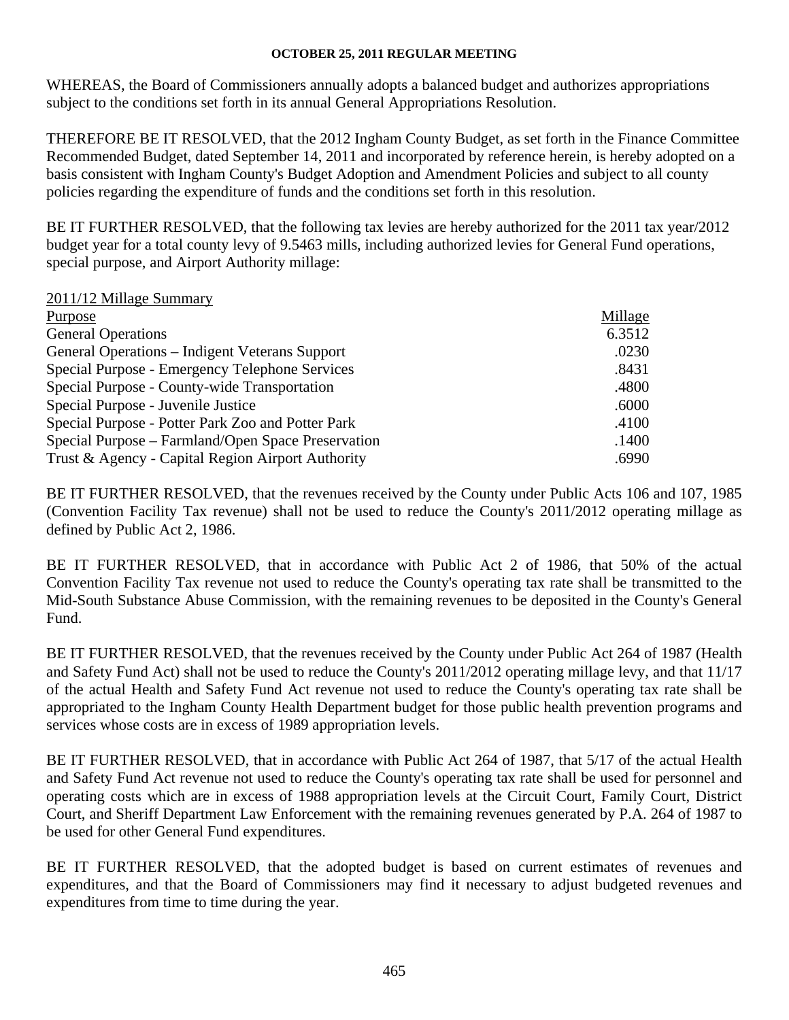WHEREAS, the Board of Commissioners annually adopts a balanced budget and authorizes appropriations subject to the conditions set forth in its annual General Appropriations Resolution.

THEREFORE BE IT RESOLVED, that the 2012 Ingham County Budget, as set forth in the Finance Committee Recommended Budget, dated September 14, 2011 and incorporated by reference herein, is hereby adopted on a basis consistent with Ingham County's Budget Adoption and Amendment Policies and subject to all county policies regarding the expenditure of funds and the conditions set forth in this resolution.

BE IT FURTHER RESOLVED, that the following tax levies are hereby authorized for the 2011 tax year/2012 budget year for a total county levy of 9.5463 mills, including authorized levies for General Fund operations, special purpose, and Airport Authority millage:

| 2011/12 Millage Summary                            |         |
|----------------------------------------------------|---------|
| Purpose                                            | Millage |
| <b>General Operations</b>                          | 6.3512  |
| General Operations – Indigent Veterans Support     | .0230   |
| Special Purpose - Emergency Telephone Services     | .8431   |
| Special Purpose - County-wide Transportation       | .4800   |
| Special Purpose - Juvenile Justice                 | .6000   |
| Special Purpose - Potter Park Zoo and Potter Park  | .4100   |
| Special Purpose – Farmland/Open Space Preservation | .1400   |
| Trust & Agency - Capital Region Airport Authority  | .6990   |

BE IT FURTHER RESOLVED, that the revenues received by the County under Public Acts 106 and 107, 1985 (Convention Facility Tax revenue) shall not be used to reduce the County's 2011/2012 operating millage as defined by Public Act 2, 1986.

BE IT FURTHER RESOLVED, that in accordance with Public Act 2 of 1986, that 50% of the actual Convention Facility Tax revenue not used to reduce the County's operating tax rate shall be transmitted to the Mid-South Substance Abuse Commission, with the remaining revenues to be deposited in the County's General Fund.

BE IT FURTHER RESOLVED, that the revenues received by the County under Public Act 264 of 1987 (Health and Safety Fund Act) shall not be used to reduce the County's 2011/2012 operating millage levy, and that 11/17 of the actual Health and Safety Fund Act revenue not used to reduce the County's operating tax rate shall be appropriated to the Ingham County Health Department budget for those public health prevention programs and services whose costs are in excess of 1989 appropriation levels.

BE IT FURTHER RESOLVED, that in accordance with Public Act 264 of 1987, that 5/17 of the actual Health and Safety Fund Act revenue not used to reduce the County's operating tax rate shall be used for personnel and operating costs which are in excess of 1988 appropriation levels at the Circuit Court, Family Court, District Court, and Sheriff Department Law Enforcement with the remaining revenues generated by P.A. 264 of 1987 to be used for other General Fund expenditures.

BE IT FURTHER RESOLVED, that the adopted budget is based on current estimates of revenues and expenditures, and that the Board of Commissioners may find it necessary to adjust budgeted revenues and expenditures from time to time during the year.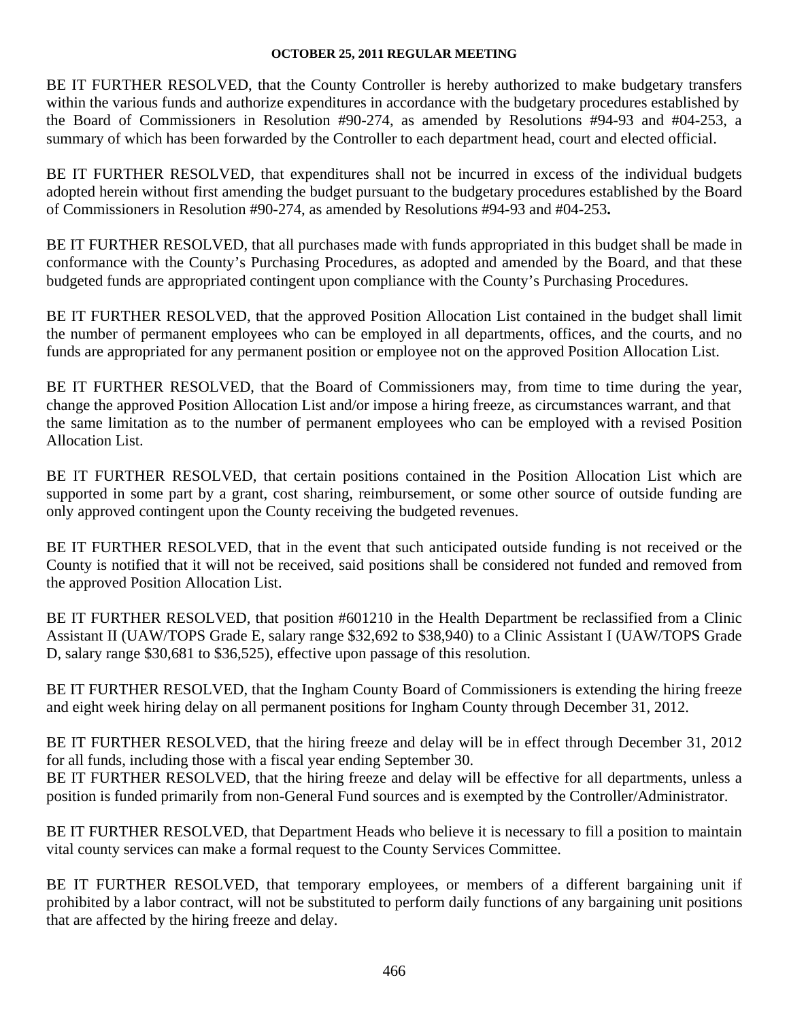BE IT FURTHER RESOLVED, that the County Controller is hereby authorized to make budgetary transfers within the various funds and authorize expenditures in accordance with the budgetary procedures established by the Board of Commissioners in Resolution #90-274, as amended by Resolutions #94-93 and #04-253, a summary of which has been forwarded by the Controller to each department head, court and elected official.

BE IT FURTHER RESOLVED, that expenditures shall not be incurred in excess of the individual budgets adopted herein without first amending the budget pursuant to the budgetary procedures established by the Board of Commissioners in Resolution #90-274, as amended by Resolutions #94-93 and #04-253**.** 

BE IT FURTHER RESOLVED, that all purchases made with funds appropriated in this budget shall be made in conformance with the County's Purchasing Procedures, as adopted and amended by the Board, and that these budgeted funds are appropriated contingent upon compliance with the County's Purchasing Procedures.

BE IT FURTHER RESOLVED, that the approved Position Allocation List contained in the budget shall limit the number of permanent employees who can be employed in all departments, offices, and the courts, and no funds are appropriated for any permanent position or employee not on the approved Position Allocation List.

BE IT FURTHER RESOLVED, that the Board of Commissioners may, from time to time during the year, change the approved Position Allocation List and/or impose a hiring freeze, as circumstances warrant, and that the same limitation as to the number of permanent employees who can be employed with a revised Position Allocation List.

BE IT FURTHER RESOLVED, that certain positions contained in the Position Allocation List which are supported in some part by a grant, cost sharing, reimbursement, or some other source of outside funding are only approved contingent upon the County receiving the budgeted revenues.

BE IT FURTHER RESOLVED, that in the event that such anticipated outside funding is not received or the County is notified that it will not be received, said positions shall be considered not funded and removed from the approved Position Allocation List.

BE IT FURTHER RESOLVED, that position #601210 in the Health Department be reclassified from a Clinic Assistant II (UAW/TOPS Grade E, salary range \$32,692 to \$38,940) to a Clinic Assistant I (UAW/TOPS Grade D, salary range \$30,681 to \$36,525), effective upon passage of this resolution.

BE IT FURTHER RESOLVED, that the Ingham County Board of Commissioners is extending the hiring freeze and eight week hiring delay on all permanent positions for Ingham County through December 31, 2012.

BE IT FURTHER RESOLVED, that the hiring freeze and delay will be in effect through December 31, 2012 for all funds, including those with a fiscal year ending September 30.

BE IT FURTHER RESOLVED, that the hiring freeze and delay will be effective for all departments, unless a position is funded primarily from non-General Fund sources and is exempted by the Controller/Administrator.

BE IT FURTHER RESOLVED, that Department Heads who believe it is necessary to fill a position to maintain vital county services can make a formal request to the County Services Committee.

BE IT FURTHER RESOLVED, that temporary employees, or members of a different bargaining unit if prohibited by a labor contract, will not be substituted to perform daily functions of any bargaining unit positions that are affected by the hiring freeze and delay.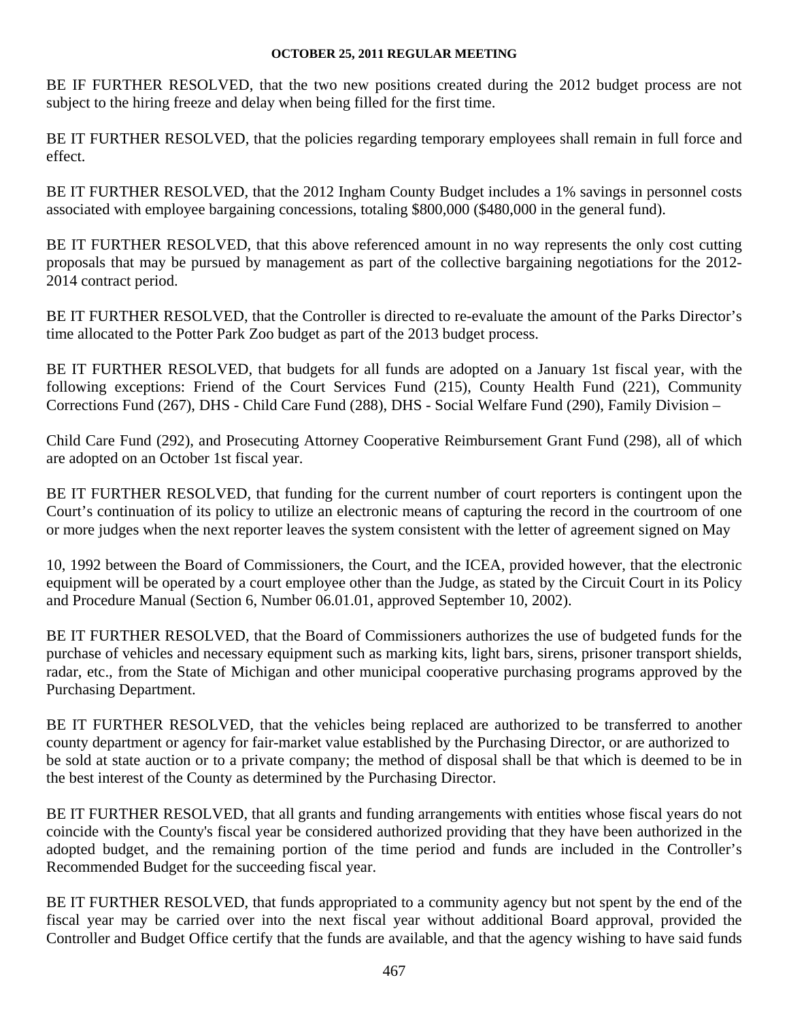BE IF FURTHER RESOLVED, that the two new positions created during the 2012 budget process are not subject to the hiring freeze and delay when being filled for the first time.

BE IT FURTHER RESOLVED, that the policies regarding temporary employees shall remain in full force and effect.

BE IT FURTHER RESOLVED, that the 2012 Ingham County Budget includes a 1% savings in personnel costs associated with employee bargaining concessions, totaling \$800,000 (\$480,000 in the general fund).

BE IT FURTHER RESOLVED, that this above referenced amount in no way represents the only cost cutting proposals that may be pursued by management as part of the collective bargaining negotiations for the 2012- 2014 contract period.

BE IT FURTHER RESOLVED, that the Controller is directed to re-evaluate the amount of the Parks Director's time allocated to the Potter Park Zoo budget as part of the 2013 budget process.

BE IT FURTHER RESOLVED, that budgets for all funds are adopted on a January 1st fiscal year, with the following exceptions: Friend of the Court Services Fund (215), County Health Fund (221), Community Corrections Fund (267), DHS - Child Care Fund (288), DHS - Social Welfare Fund (290), Family Division –

Child Care Fund (292), and Prosecuting Attorney Cooperative Reimbursement Grant Fund (298), all of which are adopted on an October 1st fiscal year.

BE IT FURTHER RESOLVED, that funding for the current number of court reporters is contingent upon the Court's continuation of its policy to utilize an electronic means of capturing the record in the courtroom of one or more judges when the next reporter leaves the system consistent with the letter of agreement signed on May

10, 1992 between the Board of Commissioners, the Court, and the ICEA, provided however, that the electronic equipment will be operated by a court employee other than the Judge, as stated by the Circuit Court in its Policy and Procedure Manual (Section 6, Number 06.01.01, approved September 10, 2002).

BE IT FURTHER RESOLVED, that the Board of Commissioners authorizes the use of budgeted funds for the purchase of vehicles and necessary equipment such as marking kits, light bars, sirens, prisoner transport shields, radar, etc., from the State of Michigan and other municipal cooperative purchasing programs approved by the Purchasing Department.

BE IT FURTHER RESOLVED, that the vehicles being replaced are authorized to be transferred to another county department or agency for fair-market value established by the Purchasing Director, or are authorized to be sold at state auction or to a private company; the method of disposal shall be that which is deemed to be in the best interest of the County as determined by the Purchasing Director.

BE IT FURTHER RESOLVED, that all grants and funding arrangements with entities whose fiscal years do not coincide with the County's fiscal year be considered authorized providing that they have been authorized in the adopted budget, and the remaining portion of the time period and funds are included in the Controller's Recommended Budget for the succeeding fiscal year.

BE IT FURTHER RESOLVED, that funds appropriated to a community agency but not spent by the end of the fiscal year may be carried over into the next fiscal year without additional Board approval, provided the Controller and Budget Office certify that the funds are available, and that the agency wishing to have said funds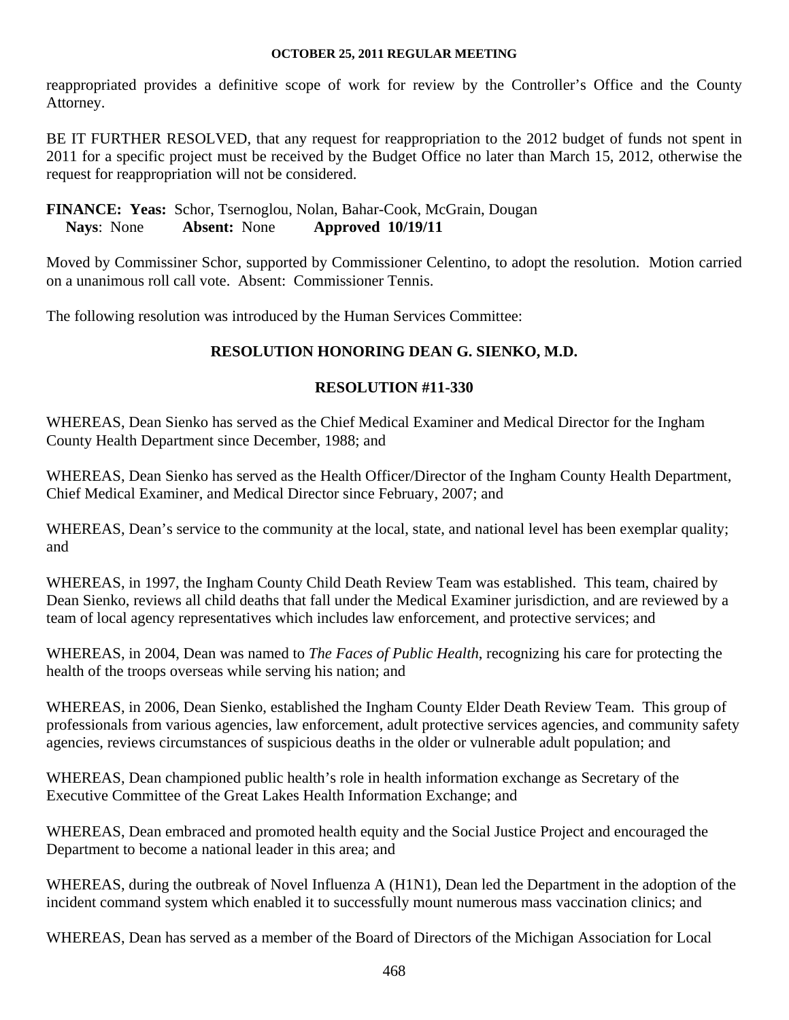reappropriated provides a definitive scope of work for review by the Controller's Office and the County Attorney.

BE IT FURTHER RESOLVED, that any request for reappropriation to the 2012 budget of funds not spent in 2011 for a specific project must be received by the Budget Office no later than March 15, 2012, otherwise the request for reappropriation will not be considered.

# **FINANCE: Yeas:** Schor, Tsernoglou, Nolan, Bahar-Cook, McGrain, Dougan **Nays**: None **Absent:** None **Approved 10/19/11**

Moved by Commissiner Schor, supported by Commissioner Celentino, to adopt the resolution. Motion carried on a unanimous roll call vote. Absent: Commissioner Tennis.

The following resolution was introduced by the Human Services Committee:

# **RESOLUTION HONORING DEAN G. SIENKO, M.D.**

# **RESOLUTION #11-330**

WHEREAS, Dean Sienko has served as the Chief Medical Examiner and Medical Director for the Ingham County Health Department since December, 1988; and

WHEREAS, Dean Sienko has served as the Health Officer/Director of the Ingham County Health Department, Chief Medical Examiner, and Medical Director since February, 2007; and

WHEREAS, Dean's service to the community at the local, state, and national level has been exemplar quality; and

WHEREAS, in 1997, the Ingham County Child Death Review Team was established. This team, chaired by Dean Sienko, reviews all child deaths that fall under the Medical Examiner jurisdiction, and are reviewed by a team of local agency representatives which includes law enforcement, and protective services; and

WHEREAS, in 2004, Dean was named to *The Faces of Public Health*, recognizing his care for protecting the health of the troops overseas while serving his nation; and

WHEREAS, in 2006, Dean Sienko, established the Ingham County Elder Death Review Team. This group of professionals from various agencies, law enforcement, adult protective services agencies, and community safety agencies, reviews circumstances of suspicious deaths in the older or vulnerable adult population; and

WHEREAS, Dean championed public health's role in health information exchange as Secretary of the Executive Committee of the Great Lakes Health Information Exchange; and

WHEREAS, Dean embraced and promoted health equity and the Social Justice Project and encouraged the Department to become a national leader in this area; and

WHEREAS, during the outbreak of Novel Influenza A (H1N1), Dean led the Department in the adoption of the incident command system which enabled it to successfully mount numerous mass vaccination clinics; and

WHEREAS, Dean has served as a member of the Board of Directors of the Michigan Association for Local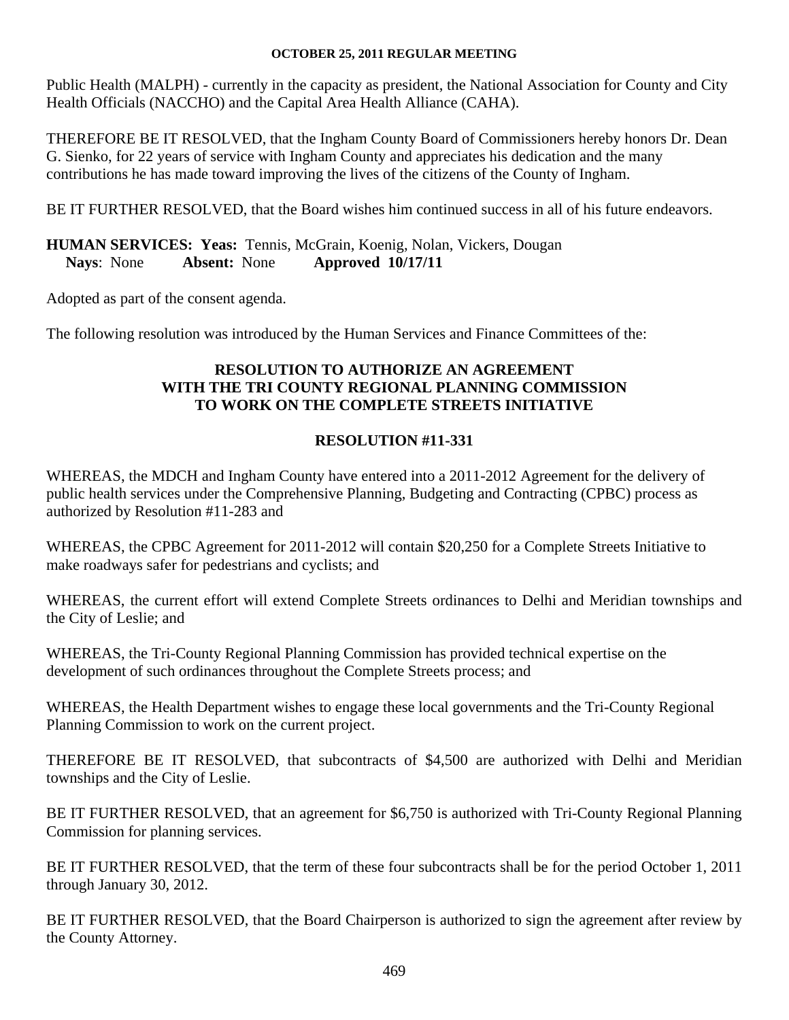Public Health (MALPH) - currently in the capacity as president, the National Association for County and City Health Officials (NACCHO) and the Capital Area Health Alliance (CAHA).

THEREFORE BE IT RESOLVED, that the Ingham County Board of Commissioners hereby honors Dr. Dean G. Sienko, for 22 years of service with Ingham County and appreciates his dedication and the many contributions he has made toward improving the lives of the citizens of the County of Ingham.

BE IT FURTHER RESOLVED, that the Board wishes him continued success in all of his future endeavors.

**HUMAN SERVICES: Yeas:** Tennis, McGrain, Koenig, Nolan, Vickers, Dougan  **Nays**: None **Absent:** None **Approved 10/17/11**

Adopted as part of the consent agenda.

The following resolution was introduced by the Human Services and Finance Committees of the:

# **RESOLUTION TO AUTHORIZE AN AGREEMENT WITH THE TRI COUNTY REGIONAL PLANNING COMMISSION TO WORK ON THE COMPLETE STREETS INITIATIVE**

# **RESOLUTION #11-331**

WHEREAS, the MDCH and Ingham County have entered into a 2011-2012 Agreement for the delivery of public health services under the Comprehensive Planning, Budgeting and Contracting (CPBC) process as authorized by Resolution #11-283 and

WHEREAS, the CPBC Agreement for 2011-2012 will contain \$20,250 for a Complete Streets Initiative to make roadways safer for pedestrians and cyclists; and

WHEREAS, the current effort will extend Complete Streets ordinances to Delhi and Meridian townships and the City of Leslie; and

WHEREAS, the Tri-County Regional Planning Commission has provided technical expertise on the development of such ordinances throughout the Complete Streets process; and

WHEREAS, the Health Department wishes to engage these local governments and the Tri-County Regional Planning Commission to work on the current project.

THEREFORE BE IT RESOLVED, that subcontracts of \$4,500 are authorized with Delhi and Meridian townships and the City of Leslie.

BE IT FURTHER RESOLVED, that an agreement for \$6,750 is authorized with Tri-County Regional Planning Commission for planning services.

BE IT FURTHER RESOLVED, that the term of these four subcontracts shall be for the period October 1, 2011 through January 30, 2012.

BE IT FURTHER RESOLVED, that the Board Chairperson is authorized to sign the agreement after review by the County Attorney.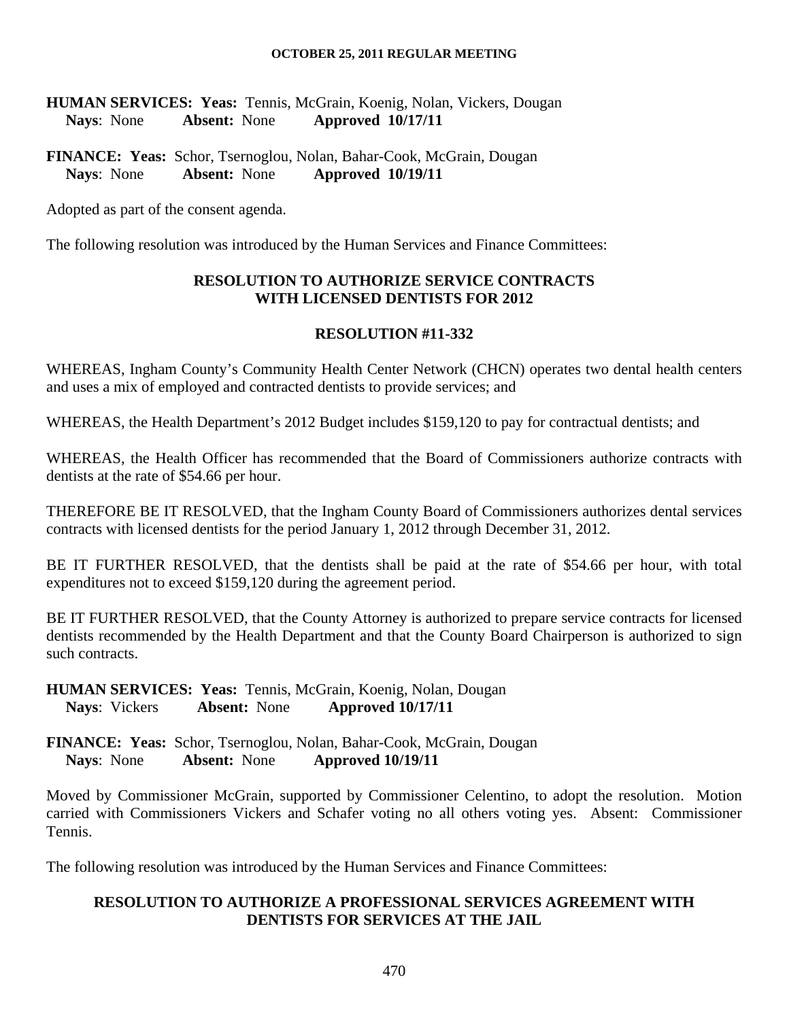**HUMAN SERVICES: Yeas:** Tennis, McGrain, Koenig, Nolan, Vickers, Dougan  **Nays**: None **Absent:** None **Approved 10/17/11** 

**FINANCE: Yeas:** Schor, Tsernoglou, Nolan, Bahar-Cook, McGrain, Dougan **Nays**: None **Absent:** None **Approved 10/19/11** 

Adopted as part of the consent agenda.

The following resolution was introduced by the Human Services and Finance Committees:

# **RESOLUTION TO AUTHORIZE SERVICE CONTRACTS WITH LICENSED DENTISTS FOR 2012**

#### **RESOLUTION #11-332**

WHEREAS, Ingham County's Community Health Center Network (CHCN) operates two dental health centers and uses a mix of employed and contracted dentists to provide services; and

WHEREAS, the Health Department's 2012 Budget includes \$159,120 to pay for contractual dentists; and

WHEREAS, the Health Officer has recommended that the Board of Commissioners authorize contracts with dentists at the rate of \$54.66 per hour.

THEREFORE BE IT RESOLVED, that the Ingham County Board of Commissioners authorizes dental services contracts with licensed dentists for the period January 1, 2012 through December 31, 2012.

BE IT FURTHER RESOLVED, that the dentists shall be paid at the rate of \$54.66 per hour, with total expenditures not to exceed \$159,120 during the agreement period.

BE IT FURTHER RESOLVED, that the County Attorney is authorized to prepare service contracts for licensed dentists recommended by the Health Department and that the County Board Chairperson is authorized to sign such contracts.

**HUMAN SERVICES: Yeas:** Tennis, McGrain, Koenig, Nolan, Dougan  **Nays**: Vickers **Absent:** None **Approved 10/17/11** 

**FINANCE: Yeas:** Schor, Tsernoglou, Nolan, Bahar-Cook, McGrain, Dougan **Nays**: None **Absent:** None **Approved 10/19/11** 

Moved by Commissioner McGrain, supported by Commissioner Celentino, to adopt the resolution. Motion carried with Commissioners Vickers and Schafer voting no all others voting yes. Absent: Commissioner Tennis.

The following resolution was introduced by the Human Services and Finance Committees:

# **RESOLUTION TO AUTHORIZE A PROFESSIONAL SERVICES AGREEMENT WITH DENTISTS FOR SERVICES AT THE JAIL**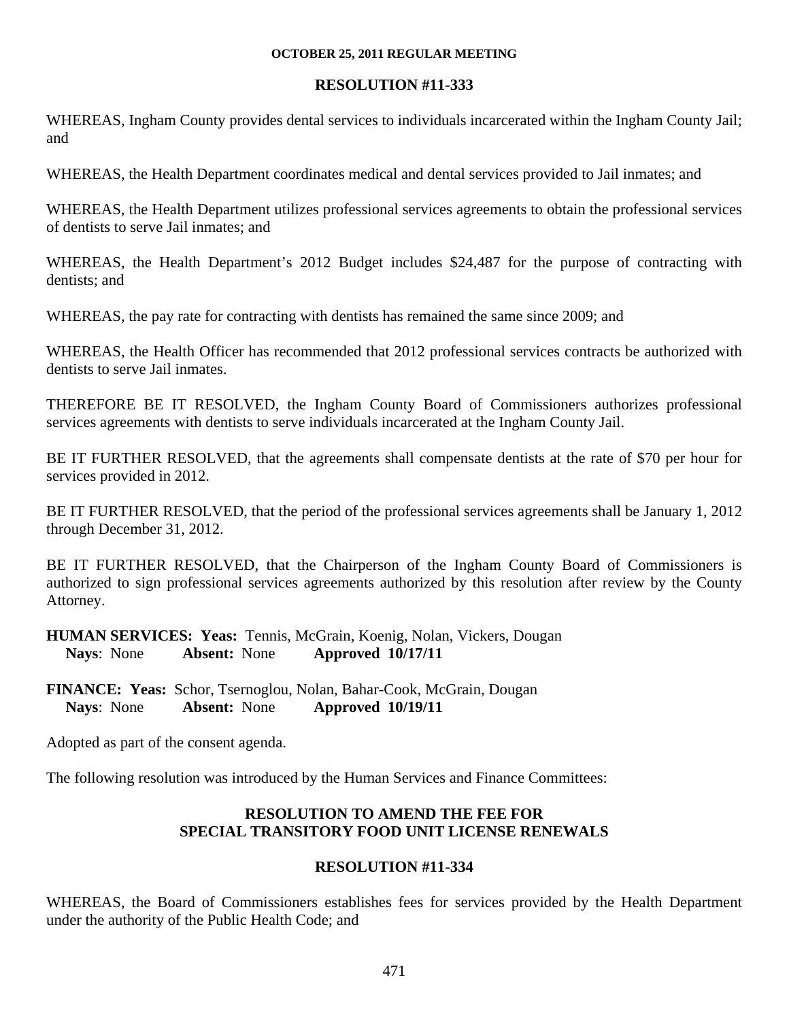#### **RESOLUTION #11-333**

WHEREAS, Ingham County provides dental services to individuals incarcerated within the Ingham County Jail; and

WHEREAS, the Health Department coordinates medical and dental services provided to Jail inmates; and

WHEREAS, the Health Department utilizes professional services agreements to obtain the professional services of dentists to serve Jail inmates; and

WHEREAS, the Health Department's 2012 Budget includes \$24,487 for the purpose of contracting with dentists; and

WHEREAS, the pay rate for contracting with dentists has remained the same since 2009; and

WHEREAS, the Health Officer has recommended that 2012 professional services contracts be authorized with dentists to serve Jail inmates.

THEREFORE BE IT RESOLVED, the Ingham County Board of Commissioners authorizes professional services agreements with dentists to serve individuals incarcerated at the Ingham County Jail.

BE IT FURTHER RESOLVED, that the agreements shall compensate dentists at the rate of \$70 per hour for services provided in 2012.

BE IT FURTHER RESOLVED, that the period of the professional services agreements shall be January 1, 2012 through December 31, 2012.

BE IT FURTHER RESOLVED, that the Chairperson of the Ingham County Board of Commissioners is authorized to sign professional services agreements authorized by this resolution after review by the County Attorney.

**HUMAN SERVICES: Yeas:** Tennis, McGrain, Koenig, Nolan, Vickers, Dougan  **Nays**: None **Absent:** None **Approved 10/17/11** 

**FINANCE: Yeas:** Schor, Tsernoglou, Nolan, Bahar-Cook, McGrain, Dougan **Nays**: None **Absent:** None **Approved 10/19/11** 

Adopted as part of the consent agenda.

The following resolution was introduced by the Human Services and Finance Committees:

# **RESOLUTION TO AMEND THE FEE FOR SPECIAL TRANSITORY FOOD UNIT LICENSE RENEWALS**

#### **RESOLUTION #11-334**

WHEREAS, the Board of Commissioners establishes fees for services provided by the Health Department under the authority of the Public Health Code; and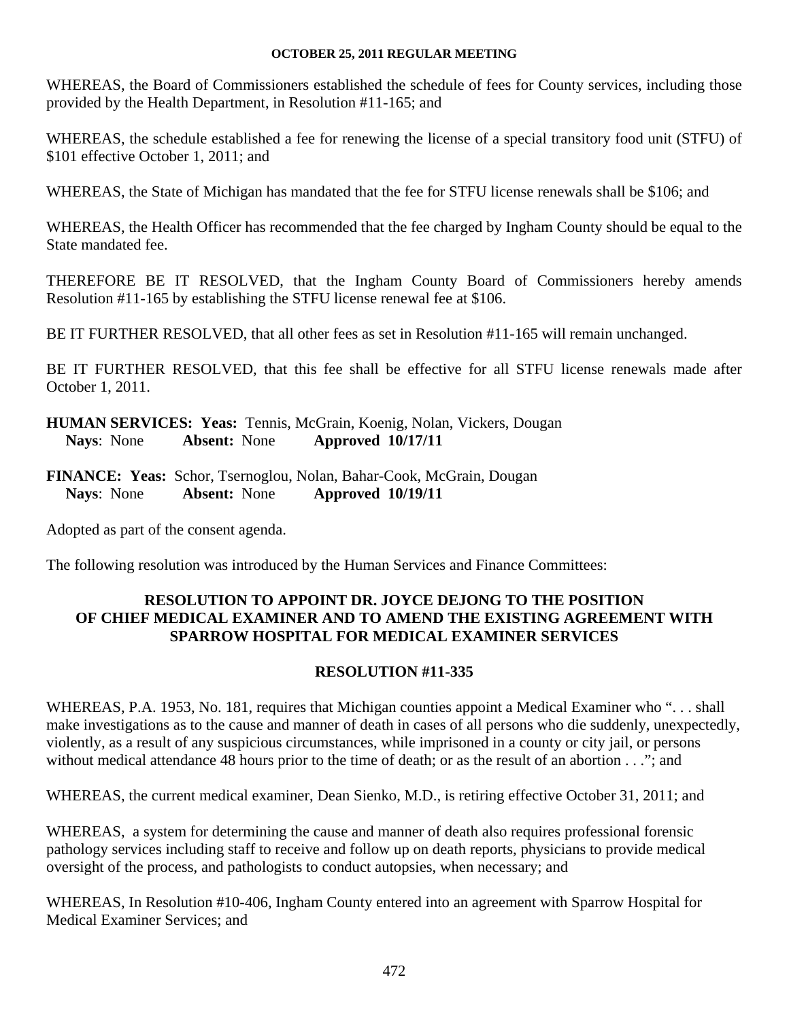WHEREAS, the Board of Commissioners established the schedule of fees for County services, including those provided by the Health Department, in Resolution #11-165; and

WHEREAS, the schedule established a fee for renewing the license of a special transitory food unit (STFU) of \$101 effective October 1, 2011; and

WHEREAS, the State of Michigan has mandated that the fee for STFU license renewals shall be \$106; and

WHEREAS, the Health Officer has recommended that the fee charged by Ingham County should be equal to the State mandated fee.

THEREFORE BE IT RESOLVED, that the Ingham County Board of Commissioners hereby amends Resolution #11-165 by establishing the STFU license renewal fee at \$106.

BE IT FURTHER RESOLVED, that all other fees as set in Resolution #11-165 will remain unchanged.

BE IT FURTHER RESOLVED, that this fee shall be effective for all STFU license renewals made after October 1, 2011.

**HUMAN SERVICES: Yeas:** Tennis, McGrain, Koenig, Nolan, Vickers, Dougan  **Nays**: None **Absent:** None **Approved 10/17/11** 

**FINANCE: Yeas:** Schor, Tsernoglou, Nolan, Bahar-Cook, McGrain, Dougan **Nays**: None **Absent:** None **Approved 10/19/11** 

Adopted as part of the consent agenda.

The following resolution was introduced by the Human Services and Finance Committees:

# **RESOLUTION TO APPOINT DR. JOYCE DEJONG TO THE POSITION OF CHIEF MEDICAL EXAMINER AND TO AMEND THE EXISTING AGREEMENT WITH SPARROW HOSPITAL FOR MEDICAL EXAMINER SERVICES**

# **RESOLUTION #11-335**

WHEREAS, P.A. 1953, No. 181, requires that Michigan counties appoint a Medical Examiner who ". . . shall make investigations as to the cause and manner of death in cases of all persons who die suddenly, unexpectedly, violently, as a result of any suspicious circumstances, while imprisoned in a county or city jail, or persons without medical attendance 48 hours prior to the time of death; or as the result of an abortion . . ."; and

WHEREAS, the current medical examiner, Dean Sienko, M.D., is retiring effective October 31, 2011; and

WHEREAS, a system for determining the cause and manner of death also requires professional forensic pathology services including staff to receive and follow up on death reports, physicians to provide medical oversight of the process, and pathologists to conduct autopsies, when necessary; and

WHEREAS, In Resolution #10-406, Ingham County entered into an agreement with Sparrow Hospital for Medical Examiner Services; and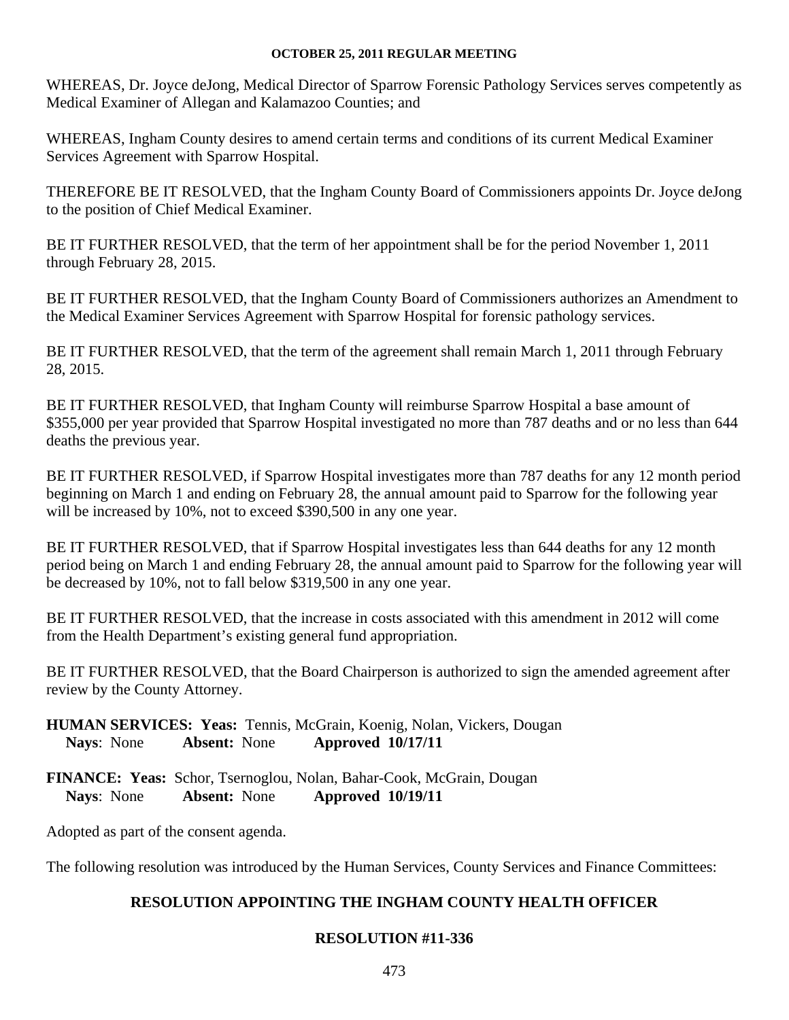WHEREAS, Dr. Joyce deJong, Medical Director of Sparrow Forensic Pathology Services serves competently as Medical Examiner of Allegan and Kalamazoo Counties; and

WHEREAS, Ingham County desires to amend certain terms and conditions of its current Medical Examiner Services Agreement with Sparrow Hospital.

THEREFORE BE IT RESOLVED, that the Ingham County Board of Commissioners appoints Dr. Joyce deJong to the position of Chief Medical Examiner.

BE IT FURTHER RESOLVED, that the term of her appointment shall be for the period November 1, 2011 through February 28, 2015.

BE IT FURTHER RESOLVED, that the Ingham County Board of Commissioners authorizes an Amendment to the Medical Examiner Services Agreement with Sparrow Hospital for forensic pathology services.

BE IT FURTHER RESOLVED, that the term of the agreement shall remain March 1, 2011 through February 28, 2015.

BE IT FURTHER RESOLVED, that Ingham County will reimburse Sparrow Hospital a base amount of \$355,000 per year provided that Sparrow Hospital investigated no more than 787 deaths and or no less than 644 deaths the previous year.

BE IT FURTHER RESOLVED, if Sparrow Hospital investigates more than 787 deaths for any 12 month period beginning on March 1 and ending on February 28, the annual amount paid to Sparrow for the following year will be increased by 10%, not to exceed \$390,500 in any one year.

BE IT FURTHER RESOLVED, that if Sparrow Hospital investigates less than 644 deaths for any 12 month period being on March 1 and ending February 28, the annual amount paid to Sparrow for the following year will be decreased by 10%, not to fall below \$319,500 in any one year.

BE IT FURTHER RESOLVED, that the increase in costs associated with this amendment in 2012 will come from the Health Department's existing general fund appropriation.

BE IT FURTHER RESOLVED, that the Board Chairperson is authorized to sign the amended agreement after review by the County Attorney.

**HUMAN SERVICES: Yeas:** Tennis, McGrain, Koenig, Nolan, Vickers, Dougan  **Nays**: None **Absent:** None **Approved 10/17/11** 

**FINANCE: Yeas:** Schor, Tsernoglou, Nolan, Bahar-Cook, McGrain, Dougan **Nays**: None **Absent:** None **Approved 10/19/11** 

Adopted as part of the consent agenda.

The following resolution was introduced by the Human Services, County Services and Finance Committees:

# **RESOLUTION APPOINTING THE INGHAM COUNTY HEALTH OFFICER**

# **RESOLUTION #11-336**

473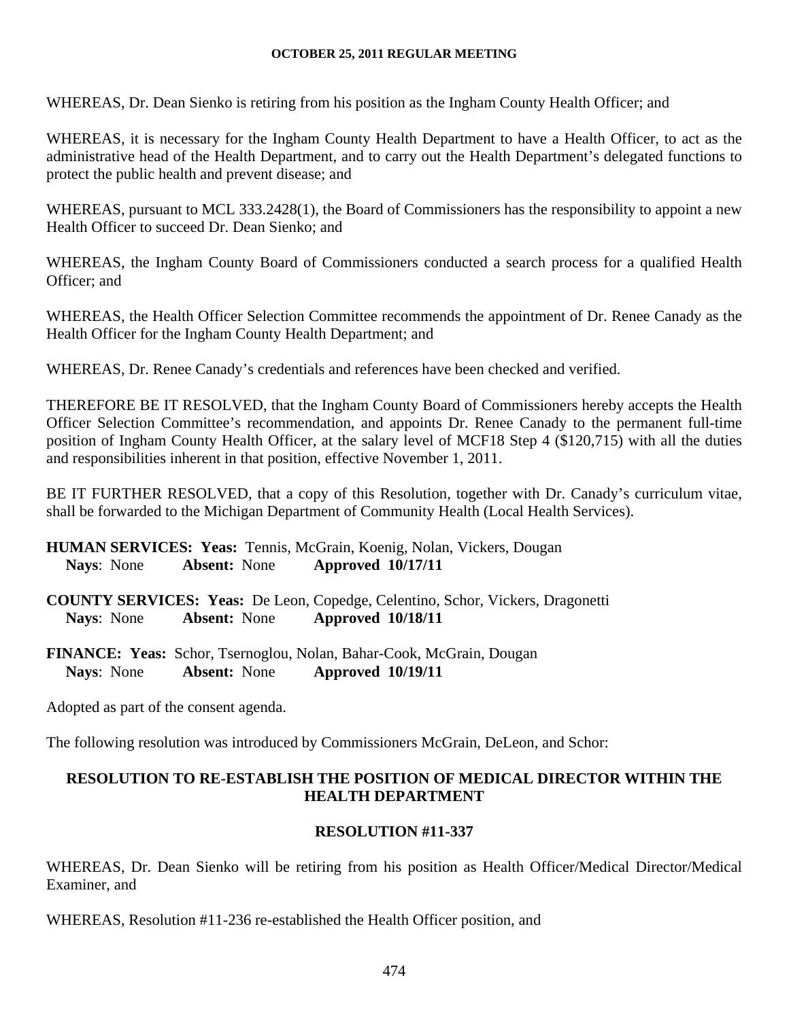WHEREAS, Dr. Dean Sienko is retiring from his position as the Ingham County Health Officer; and

WHEREAS, it is necessary for the Ingham County Health Department to have a Health Officer, to act as the administrative head of the Health Department, and to carry out the Health Department's delegated functions to protect the public health and prevent disease; and

WHEREAS, pursuant to MCL 333.2428(1), the Board of Commissioners has the responsibility to appoint a new Health Officer to succeed Dr. Dean Sienko; and

WHEREAS, the Ingham County Board of Commissioners conducted a search process for a qualified Health Officer; and

WHEREAS, the Health Officer Selection Committee recommends the appointment of Dr. Renee Canady as the Health Officer for the Ingham County Health Department; and

WHEREAS, Dr. Renee Canady's credentials and references have been checked and verified.

THEREFORE BE IT RESOLVED, that the Ingham County Board of Commissioners hereby accepts the Health Officer Selection Committee's recommendation, and appoints Dr. Renee Canady to the permanent full-time position of Ingham County Health Officer, at the salary level of MCF18 Step 4 (\$120,715) with all the duties and responsibilities inherent in that position, effective November 1, 2011.

BE IT FURTHER RESOLVED, that a copy of this Resolution, together with Dr. Canady's curriculum vitae, shall be forwarded to the Michigan Department of Community Health (Local Health Services).

**HUMAN SERVICES: Yeas:** Tennis, McGrain, Koenig, Nolan, Vickers, Dougan  **Nays**: None **Absent:** None **Approved 10/17/11** 

**COUNTY SERVICES: Yeas:** De Leon, Copedge, Celentino, Schor, Vickers, Dragonetti **Nays**: None **Absent:** None **Approved 10/18/11** 

**FINANCE: Yeas:** Schor, Tsernoglou, Nolan, Bahar-Cook, McGrain, Dougan **Nays**: None **Absent:** None **Approved 10/19/11** 

Adopted as part of the consent agenda.

The following resolution was introduced by Commissioners McGrain, DeLeon, and Schor:

# **RESOLUTION TO RE-ESTABLISH THE POSITION OF MEDICAL DIRECTOR WITHIN THE HEALTH DEPARTMENT**

# **RESOLUTION #11-337**

WHEREAS, Dr. Dean Sienko will be retiring from his position as Health Officer/Medical Director/Medical Examiner, and

WHEREAS, Resolution #11-236 re-established the Health Officer position, and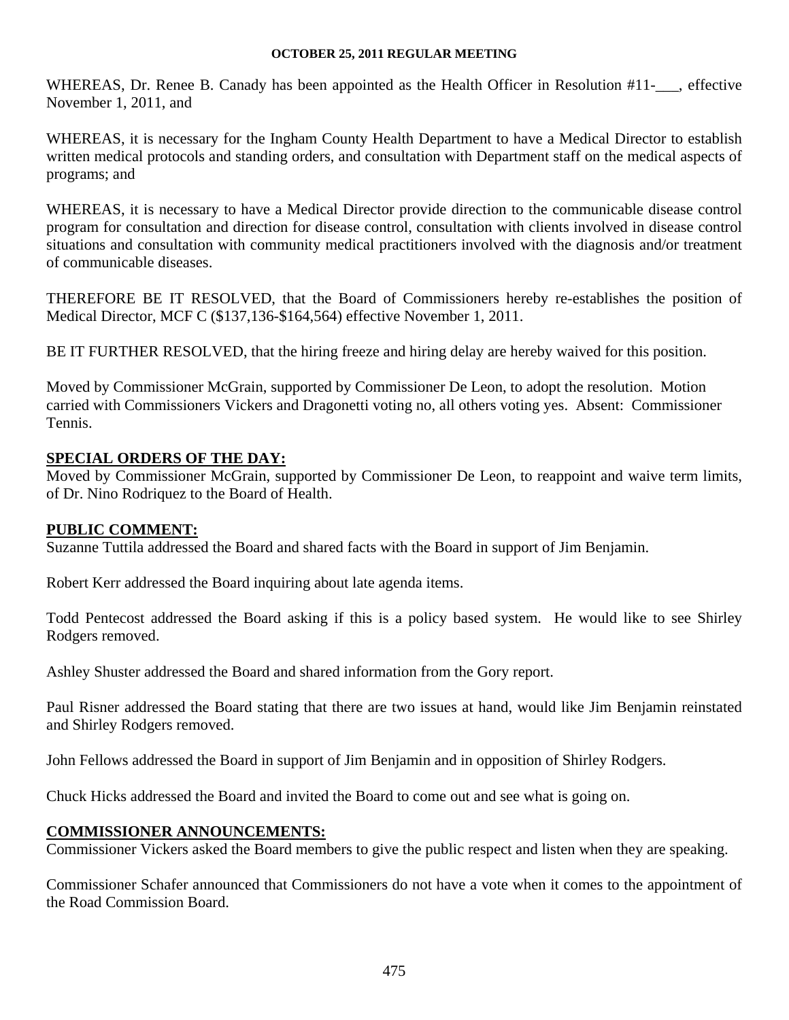WHEREAS, Dr. Renee B. Canady has been appointed as the Health Officer in Resolution #11-\_\_, effective November 1, 2011, and

WHEREAS, it is necessary for the Ingham County Health Department to have a Medical Director to establish written medical protocols and standing orders, and consultation with Department staff on the medical aspects of programs; and

WHEREAS, it is necessary to have a Medical Director provide direction to the communicable disease control program for consultation and direction for disease control, consultation with clients involved in disease control situations and consultation with community medical practitioners involved with the diagnosis and/or treatment of communicable diseases.

THEREFORE BE IT RESOLVED, that the Board of Commissioners hereby re-establishes the position of Medical Director, MCF C (\$137,136-\$164,564) effective November 1, 2011.

BE IT FURTHER RESOLVED, that the hiring freeze and hiring delay are hereby waived for this position.

Moved by Commissioner McGrain, supported by Commissioner De Leon, to adopt the resolution. Motion carried with Commissioners Vickers and Dragonetti voting no, all others voting yes. Absent: Commissioner Tennis.

# **SPECIAL ORDERS OF THE DAY:**

Moved by Commissioner McGrain, supported by Commissioner De Leon, to reappoint and waive term limits, of Dr. Nino Rodriquez to the Board of Health.

#### **PUBLIC COMMENT:**

Suzanne Tuttila addressed the Board and shared facts with the Board in support of Jim Benjamin.

Robert Kerr addressed the Board inquiring about late agenda items.

Todd Pentecost addressed the Board asking if this is a policy based system. He would like to see Shirley Rodgers removed.

Ashley Shuster addressed the Board and shared information from the Gory report.

Paul Risner addressed the Board stating that there are two issues at hand, would like Jim Benjamin reinstated and Shirley Rodgers removed.

John Fellows addressed the Board in support of Jim Benjamin and in opposition of Shirley Rodgers.

Chuck Hicks addressed the Board and invited the Board to come out and see what is going on.

#### **COMMISSIONER ANNOUNCEMENTS:**

Commissioner Vickers asked the Board members to give the public respect and listen when they are speaking.

Commissioner Schafer announced that Commissioners do not have a vote when it comes to the appointment of the Road Commission Board.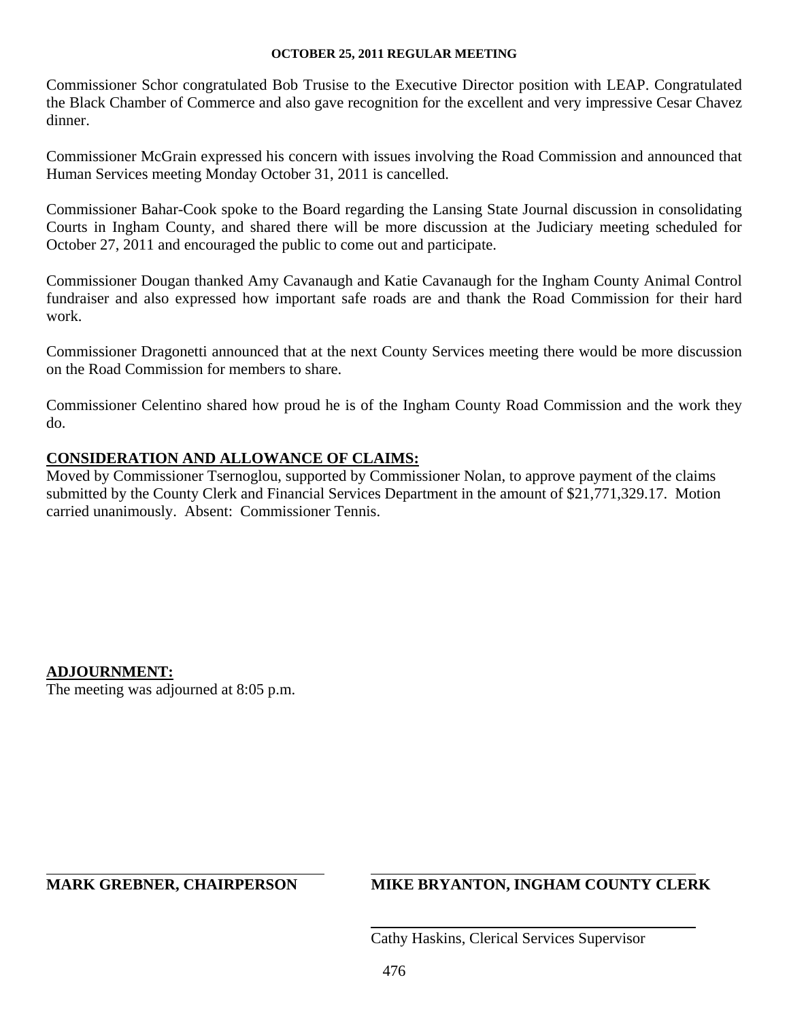Commissioner Schor congratulated Bob Trusise to the Executive Director position with LEAP. Congratulated the Black Chamber of Commerce and also gave recognition for the excellent and very impressive Cesar Chavez dinner.

Commissioner McGrain expressed his concern with issues involving the Road Commission and announced that Human Services meeting Monday October 31, 2011 is cancelled.

Commissioner Bahar-Cook spoke to the Board regarding the Lansing State Journal discussion in consolidating Courts in Ingham County, and shared there will be more discussion at the Judiciary meeting scheduled for October 27, 2011 and encouraged the public to come out and participate.

Commissioner Dougan thanked Amy Cavanaugh and Katie Cavanaugh for the Ingham County Animal Control fundraiser and also expressed how important safe roads are and thank the Road Commission for their hard work.

Commissioner Dragonetti announced that at the next County Services meeting there would be more discussion on the Road Commission for members to share.

Commissioner Celentino shared how proud he is of the Ingham County Road Commission and the work they do.

# **CONSIDERATION AND ALLOWANCE OF CLAIMS:**

Moved by Commissioner Tsernoglou, supported by Commissioner Nolan, to approve payment of the claims submitted by the County Clerk and Financial Services Department in the amount of \$21,771,329.17. Motion carried unanimously. Absent: Commissioner Tennis.

**ADJOURNMENT:**  The meeting was adjourned at 8:05 p.m.

 $\overline{a}$ 

# **MARK GREBNER, CHAIRPERSON MIKE BRYANTON, INGHAM COUNTY CLERK**

Cathy Haskins, Clerical Services Supervisor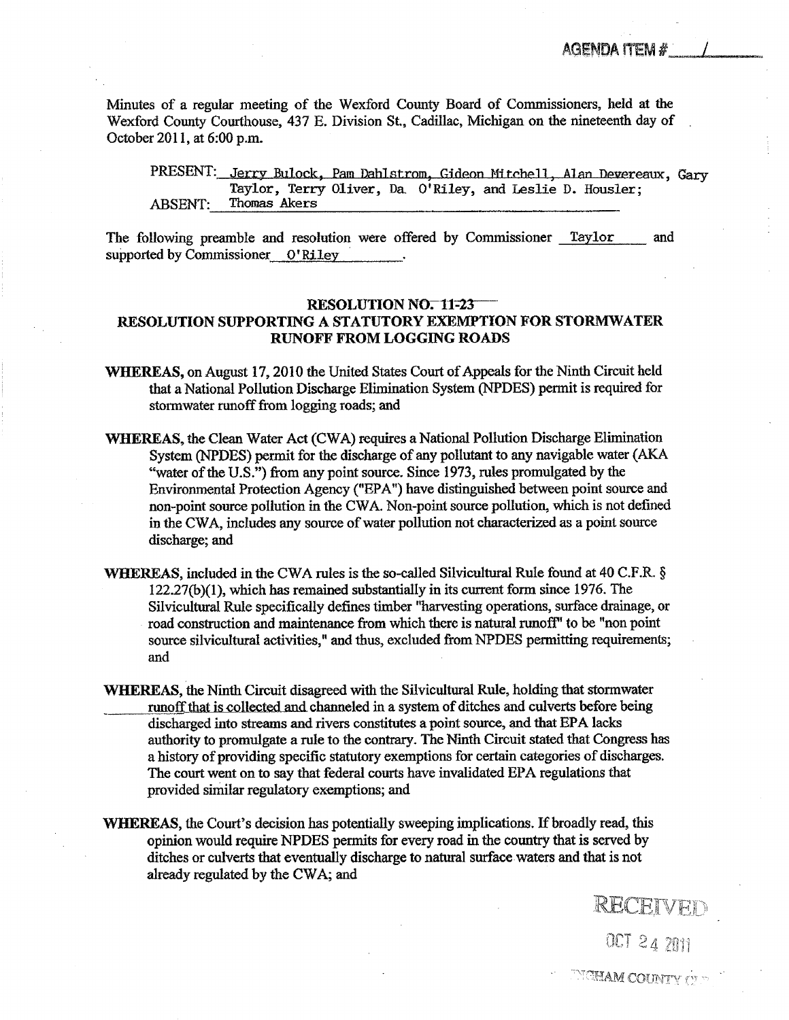<span id="page-23-0"></span>Minutes of a regular meeting of the Wexford County Board of Commissioners, held at the Wexford County Courthouse, 437 E. Division St., Cadillac, Michigan on the nineteenth day of October 2011, at 6:00 p.m.

PRESENT: Jerry Bulock, Pam Dahlstrom, Gideon Mitchell, Alan Devereaux, Gary Taylor, Terry Oliver, Da. O'Riley, and Leslie D. Housler; ABSENT: Thomas Akers

The following preamble and resolution were offered by Commissioner Taylor and supported by Commissioner 0'Riley

#### **RESOLUTION NO. 11-23**

#### RESOLUTION SUPPORTING A STATUTORY EXEMPTION FOR STORMWATER RUNOFF FROM LOGGING ROADS

- WHEREAS, on August 17,2010 the United States Court of Appeals for the Ninth Circuit held that a National Pollution Discharge Elimination System (NPDES) permit is required for stormwater runoff from logging roads; and
- WHEREAS, the Clean Water Act (CWA) requires a National Pollution Discharge Elimination System (NPDES) permit for the discharge of any pollutant to any navigable water (AKA "water of the U.S.") from any point source. Since 1973, rules promulgated by the Environmental Protection Agency ("EPA") have distinguished between point source and non-point source pollution in the CWA. Non-point source pollution, which is not defined in the CWA, includes any source of water pollution not characterized as point source discharge; and
- WHEREAS, included in the CWA rules is the so-called Silvicultural Rule found at 40 C.F.R.  $\S$ 122.27(b)(l), which has remained substantially in its current form since 1976. The Silvicultural Rule specifically defines timber "harvesting operations, surface drainage, or road construction and maintenance from which there is natural runoff' to be "non point source silvicultural activities," and thus, excluded from NPDES permitting requirements; and
- WHEREAS, the Ninth Circuit disagreed with the Silvicultural Rule, holding that stormwater runoff that is collected and channeled in a system of ditches and culverts before being discharged into streams and rivers constitutes a point source, and that EPA lacks authority to promulgate a rule to the contrary. The Ninth Circuit stated that Congress has history of providing specific statutory exemptions for certain categories of discharges. The court went on to say that federal courts have invalidated EPA regulations that provided similar regulatory exemptions; and
- WHEREAS, the Court's decision has potentially sweeping implications. If broadly read, this opinion would require NPDES permits for every road in the country that is served by ditches or culverts that eventually discharge to natural surface waters and that is not already regulated by the CWA; and

OCT 24 2011

RECEIVED

**NGHAM COUNTY** OF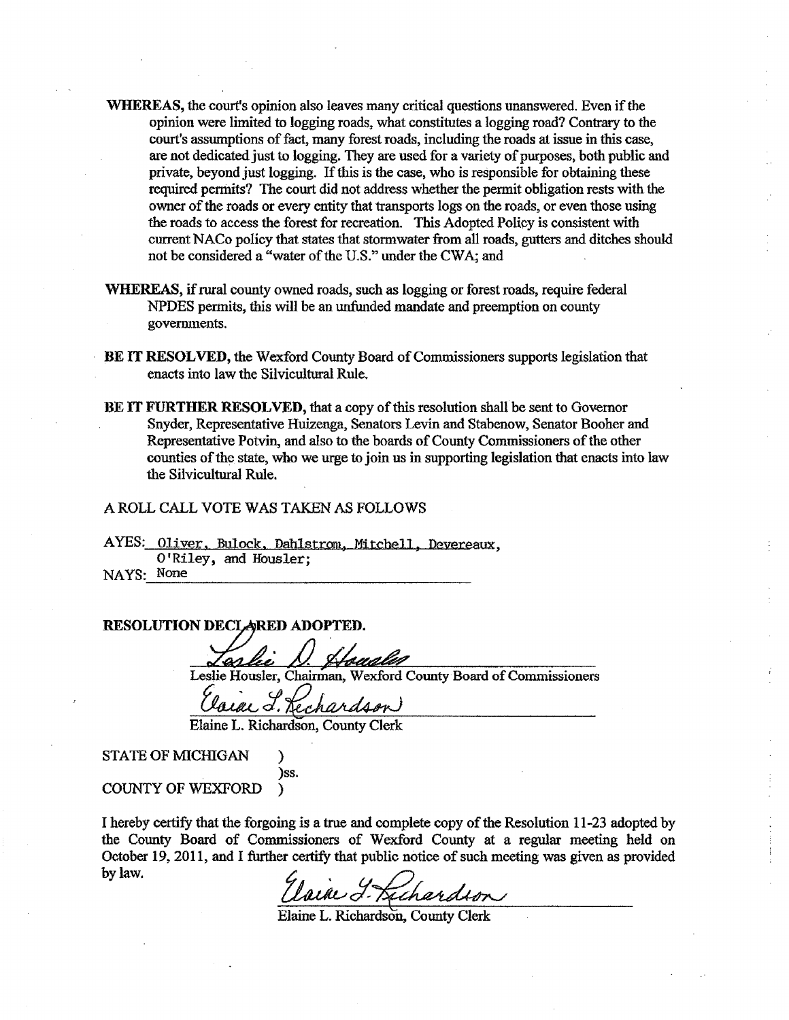- WHEREAS, the court's opinion also leaves many critical questions unanswered. Even if the opinion were limited to logging roads, what constitutes a logging road? Contrary to the court's assumptions of fact, many forest roads, including the roads at issue in this case, are not dedicated just to logging. They are used for a variety of purposes, both public and private, beyond just logging. If this is the case, who is responsible for obtaining these required permits? The court did not address whether the permit obligation rests with the owner of the roads or every entity that transports logs on the roads, or even those using the roads to access the forest for recreation. This Adopted Policy is consistent with current NACo policy that states that stormwater from all roads, gutters and ditches should not be considered a "water of the U.S." under the CWA; and
- WHEREAS, if rural county owned roads, such as logging or forest roads, require federal NPDES permits, this will be an unfunded mandate and preemption on county governments.
- BE IT RESOLVED, the Wexford County Board of Commissioners supports legislation that enacts into law the Silvicultural Rule.
- BE IT FURTHER RESOLVED, that a copy of this resolution shall be sent to Governor Snyder, Representative Huizenga, Senators Levin and Stabenow, Senator Booher and Representative Potvin, and also to the boards of County Commissioners of the other counties of the state, who we urge to join us in supporting legislation that enacts into law the Silvicultural Rule.

#### A ROLL CALL VOTE WAS TAKEN AS FOLLOWS

AYES: Oliver, Bulock, Dahlstrom, Mitchell, Devereaux, O'Riley, and Housler; NAYS: None

RESOLUTION DECLARED ADOPTED.

Leslie Housler, Chairman, Wexford County Board of Commissioners

a L. Rechardson

Elaine L. Richardson, County Clerk

STATE OF MICHIGAN € )ss.

COUNTY OF WEXFORD Y

I hereby certify that the forgoing is a true and complete copy of the Resolution 11-23 adopted by the County Board of Commissioners of Wexford County at a regular meeting held on October 19, 2011, and I further certify that public notice of such meeting was given as provided by law.

Uain J. Kichardson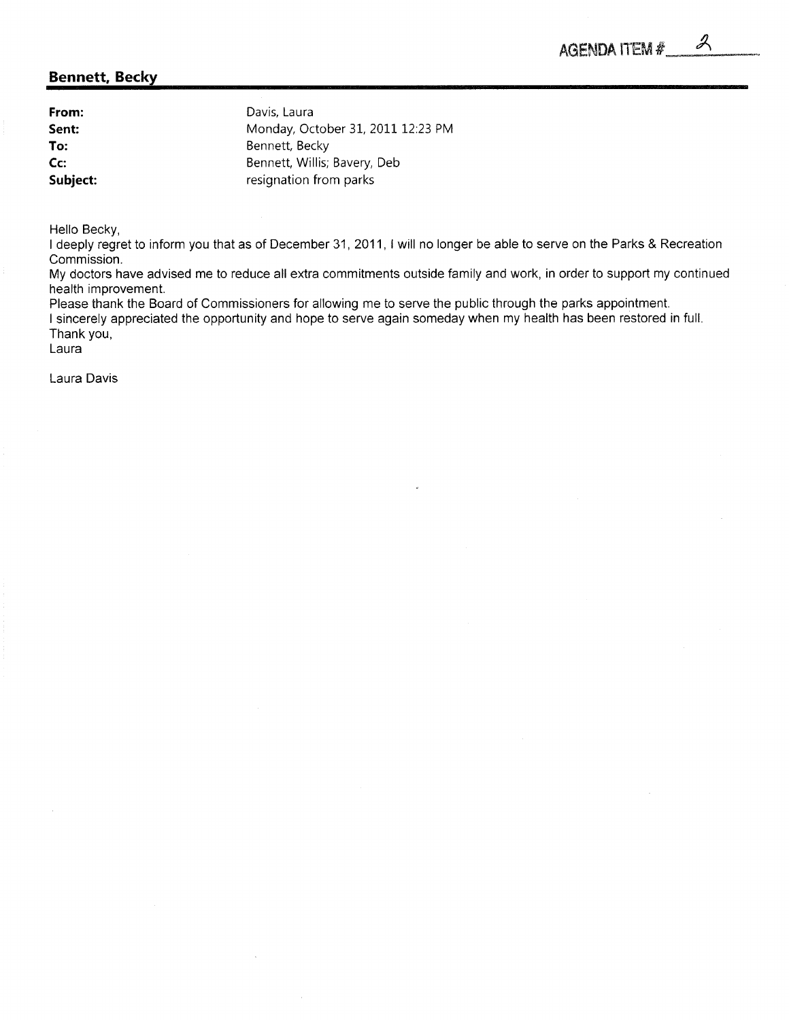Ű

#### <span id="page-25-0"></span>Bennett, Becky

| From:    | Davis, Laura                      |
|----------|-----------------------------------|
| Sent:    | Monday, October 31, 2011 12:23 PM |
| To:      | Bennett, Becky                    |
| $Cc$ :   | Bennett, Willis; Bavery, Deb      |
| Subject: | resignation from parks            |

Hello Becky,

I deeply regret to inform you that as of December 31, 2011, I will no longer be able to serve on the Parks & Recreation Commission.

My doctors have advised me to reduce all extra commitments outside family and work, in order to support my continued health improvement.

Please thank the Board of Commissioners for allowing me to serve the public through the parks appointment. I sincerely appreciated the opportunity and hope to serve again someday when my health has been restored in full. Thank you,

Laura

Laura Davis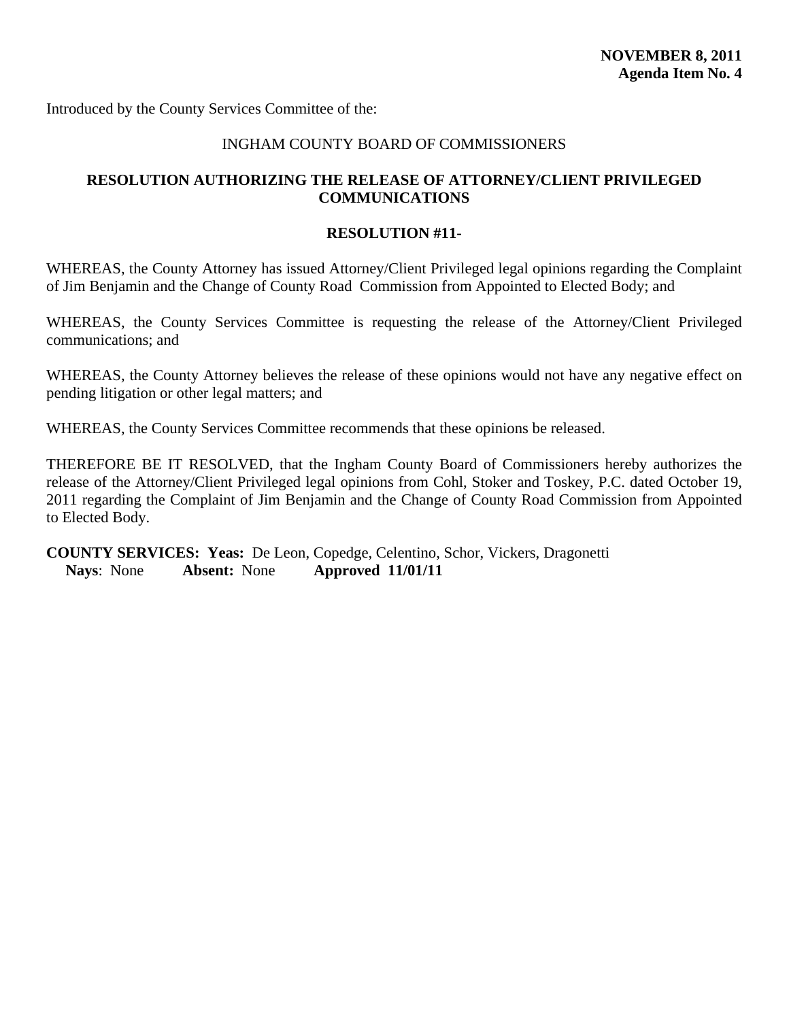<span id="page-26-0"></span>Introduced by the County Services Committee of the:

#### INGHAM COUNTY BOARD OF COMMISSIONERS

# **RESOLUTION AUTHORIZING THE RELEASE OF ATTORNEY/CLIENT PRIVILEGED COMMUNICATIONS**

#### **RESOLUTION #11-**

WHEREAS, the County Attorney has issued Attorney/Client Privileged legal opinions regarding the Complaint of Jim Benjamin and the Change of County Road Commission from Appointed to Elected Body; and

WHEREAS, the County Services Committee is requesting the release of the Attorney/Client Privileged communications; and

WHEREAS, the County Attorney believes the release of these opinions would not have any negative effect on pending litigation or other legal matters; and

WHEREAS, the County Services Committee recommends that these opinions be released.

THEREFORE BE IT RESOLVED, that the Ingham County Board of Commissioners hereby authorizes the release of the Attorney/Client Privileged legal opinions from Cohl, Stoker and Toskey, P.C. dated October 19, 2011 regarding the Complaint of Jim Benjamin and the Change of County Road Commission from Appointed to Elected Body.

**COUNTY SERVICES: Yeas:** De Leon, Copedge, Celentino, Schor, Vickers, Dragonetti **Nays**: None **Absent:** None **Approved 11/01/11**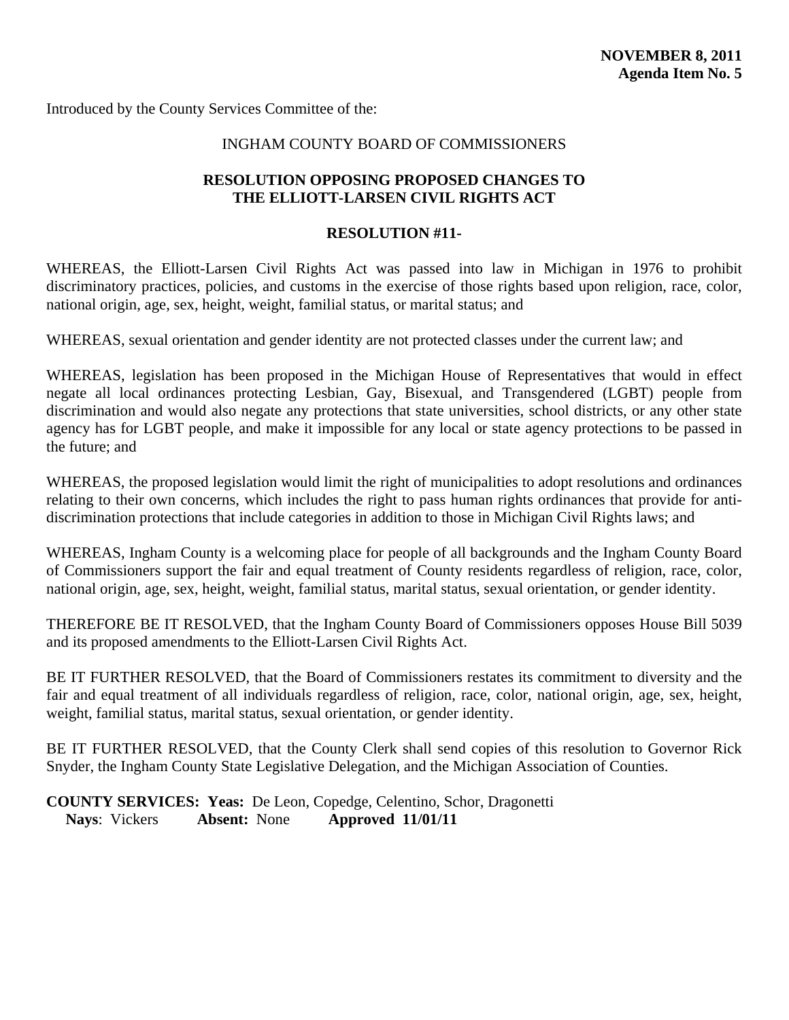<span id="page-27-0"></span>Introduced by the County Services Committee of the:

# INGHAM COUNTY BOARD OF COMMISSIONERS

#### **RESOLUTION OPPOSING PROPOSED CHANGES TO THE ELLIOTT-LARSEN CIVIL RIGHTS ACT**

#### **RESOLUTION #11-**

WHEREAS, the Elliott-Larsen Civil Rights Act was passed into law in Michigan in 1976 to prohibit discriminatory practices, policies, and customs in the exercise of those rights based upon religion, race, color, national origin, age, sex, height, weight, familial status, or marital status; and

WHEREAS, sexual orientation and gender identity are not protected classes under the current law; and

WHEREAS, legislation has been proposed in the Michigan House of Representatives that would in effect negate all local ordinances protecting Lesbian, Gay, Bisexual, and Transgendered (LGBT) people from discrimination and would also negate any protections that state universities, school districts, or any other state agency has for LGBT people, and make it impossible for any local or state agency protections to be passed in the future; and

WHEREAS, the proposed legislation would limit the right of municipalities to adopt resolutions and ordinances relating to their own concerns, which includes the right to pass human rights ordinances that provide for antidiscrimination protections that include categories in addition to those in Michigan Civil Rights laws; and

WHEREAS, Ingham County is a welcoming place for people of all backgrounds and the Ingham County Board of Commissioners support the fair and equal treatment of County residents regardless of religion, race, color, national origin, age, sex, height, weight, familial status, marital status, sexual orientation, or gender identity.

THEREFORE BE IT RESOLVED, that the Ingham County Board of Commissioners opposes House Bill 5039 and its proposed amendments to the Elliott-Larsen Civil Rights Act.

BE IT FURTHER RESOLVED, that the Board of Commissioners restates its commitment to diversity and the fair and equal treatment of all individuals regardless of religion, race, color, national origin, age, sex, height, weight, familial status, marital status, sexual orientation, or gender identity.

BE IT FURTHER RESOLVED, that the County Clerk shall send copies of this resolution to Governor Rick Snyder, the Ingham County State Legislative Delegation, and the Michigan Association of Counties.

**COUNTY SERVICES: Yeas:** De Leon, Copedge, Celentino, Schor, Dragonetti **Nays**: Vickers **Absent:** None **Approved 11/01/11**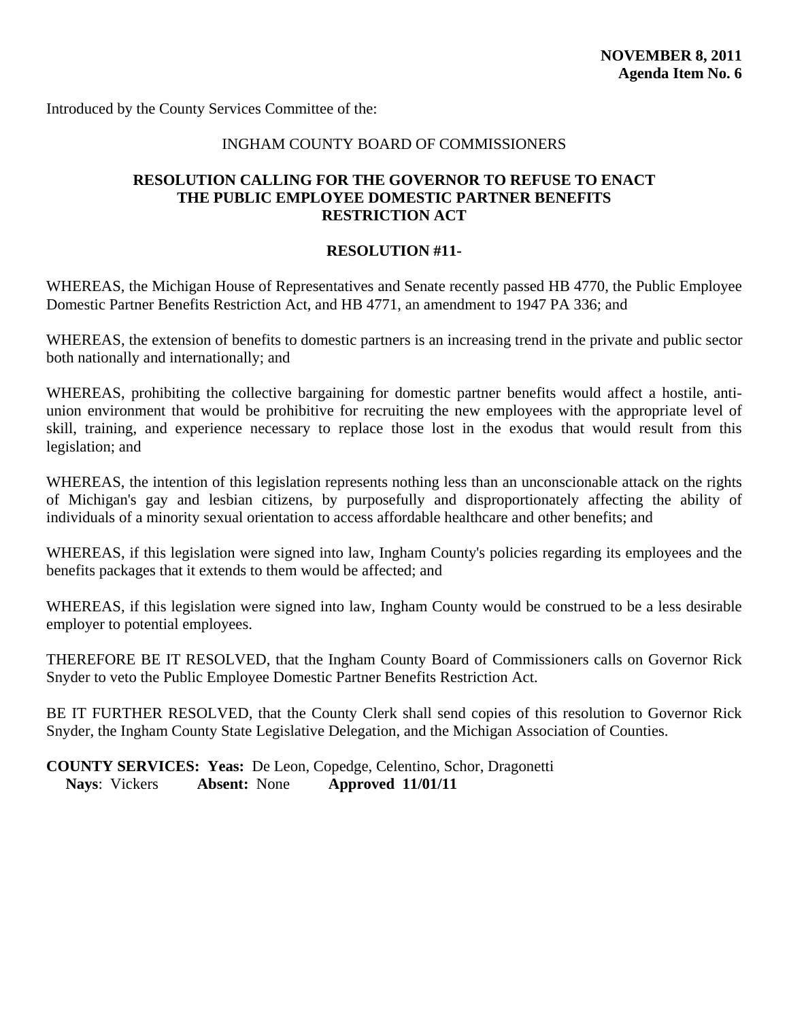<span id="page-28-0"></span>Introduced by the County Services Committee of the:

#### INGHAM COUNTY BOARD OF COMMISSIONERS

#### **RESOLUTION CALLING FOR THE GOVERNOR TO REFUSE TO ENACT THE PUBLIC EMPLOYEE DOMESTIC PARTNER BENEFITS RESTRICTION ACT**

#### **RESOLUTION #11-**

WHEREAS, the Michigan House of Representatives and Senate recently passed HB 4770, the Public Employee Domestic Partner Benefits Restriction Act, and HB 4771, an amendment to 1947 PA 336; and

WHEREAS, the extension of benefits to domestic partners is an increasing trend in the private and public sector both nationally and internationally; and

WHEREAS, prohibiting the collective bargaining for domestic partner benefits would affect a hostile, antiunion environment that would be prohibitive for recruiting the new employees with the appropriate level of skill, training, and experience necessary to replace those lost in the exodus that would result from this legislation; and

WHEREAS, the intention of this legislation represents nothing less than an unconscionable attack on the rights of Michigan's gay and lesbian citizens, by purposefully and disproportionately affecting the ability of individuals of a minority sexual orientation to access affordable healthcare and other benefits; and

WHEREAS, if this legislation were signed into law, Ingham County's policies regarding its employees and the benefits packages that it extends to them would be affected; and

WHEREAS, if this legislation were signed into law, Ingham County would be construed to be a less desirable employer to potential employees.

THEREFORE BE IT RESOLVED, that the Ingham County Board of Commissioners calls on Governor Rick Snyder to veto the Public Employee Domestic Partner Benefits Restriction Act.

BE IT FURTHER RESOLVED, that the County Clerk shall send copies of this resolution to Governor Rick Snyder, the Ingham County State Legislative Delegation, and the Michigan Association of Counties.

**COUNTY SERVICES: Yeas:** De Leon, Copedge, Celentino, Schor, Dragonetti **Nays**: Vickers **Absent:** None **Approved 11/01/11**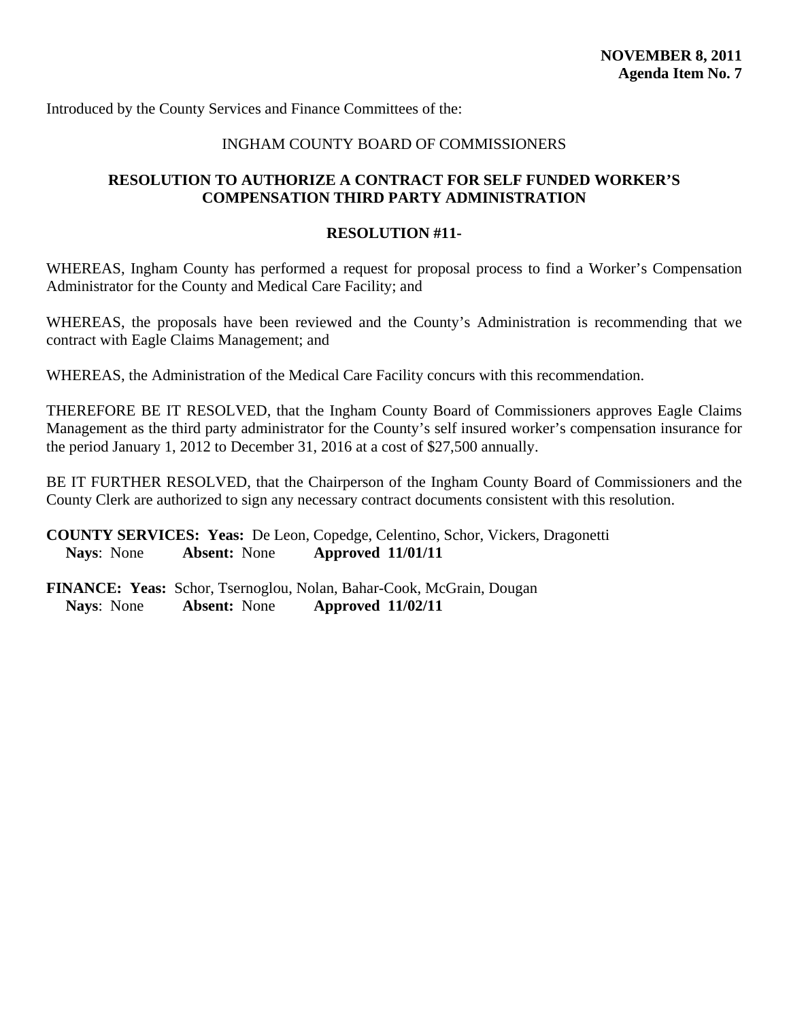### INGHAM COUNTY BOARD OF COMMISSIONERS

# <span id="page-29-0"></span>**RESOLUTION TO AUTHORIZE A CONTRACT FOR SELF FUNDED WORKER'S COMPENSATION THIRD PARTY ADMINISTRATION**

#### **RESOLUTION #11-**

WHEREAS, Ingham County has performed a request for proposal process to find a Worker's Compensation Administrator for the County and Medical Care Facility; and

WHEREAS, the proposals have been reviewed and the County's Administration is recommending that we contract with Eagle Claims Management; and

WHEREAS, the Administration of the Medical Care Facility concurs with this recommendation.

THEREFORE BE IT RESOLVED, that the Ingham County Board of Commissioners approves Eagle Claims Management as the third party administrator for the County's self insured worker's compensation insurance for the period January 1, 2012 to December 31, 2016 at a cost of \$27,500 annually.

BE IT FURTHER RESOLVED, that the Chairperson of the Ingham County Board of Commissioners and the County Clerk are authorized to sign any necessary contract documents consistent with this resolution.

**COUNTY SERVICES: Yeas:** De Leon, Copedge, Celentino, Schor, Vickers, Dragonetti **Nays**: None **Absent:** None **Approved 11/01/11**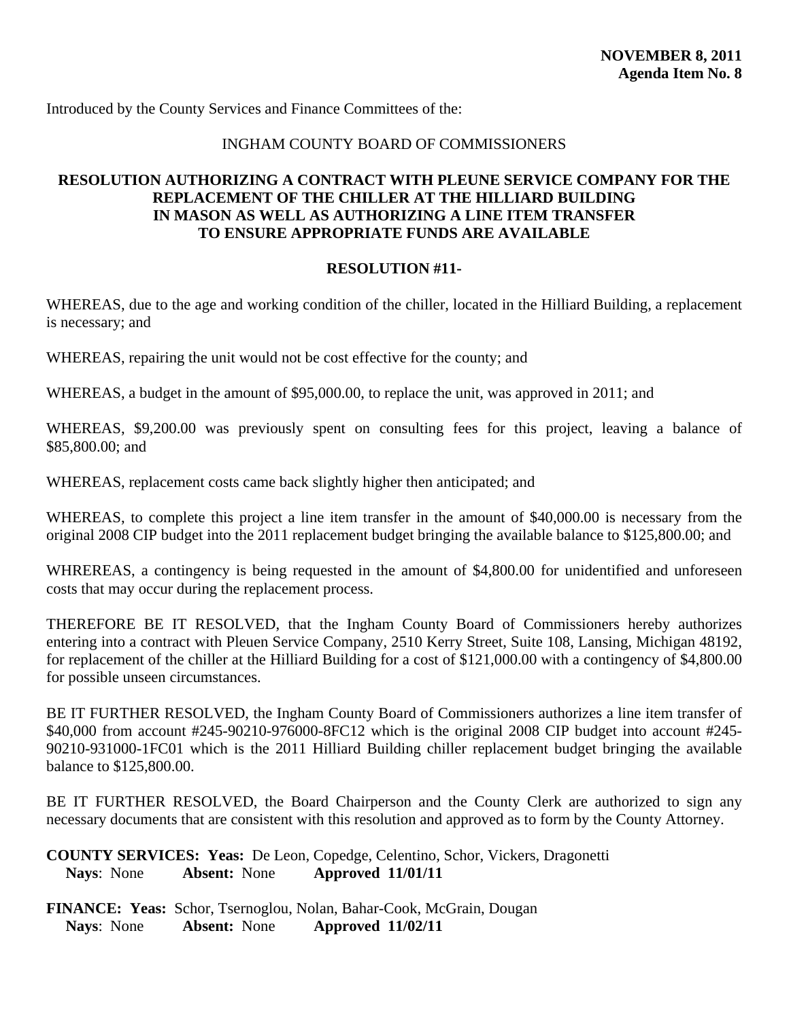# INGHAM COUNTY BOARD OF COMMISSIONERS

# <span id="page-30-0"></span>**RESOLUTION AUTHORIZING A CONTRACT WITH PLEUNE SERVICE COMPANY FOR THE REPLACEMENT OF THE CHILLER AT THE HILLIARD BUILDING IN MASON AS WELL AS AUTHORIZING A LINE ITEM TRANSFER TO ENSURE APPROPRIATE FUNDS ARE AVAILABLE**

#### **RESOLUTION #11-**

WHEREAS, due to the age and working condition of the chiller, located in the Hilliard Building, a replacement is necessary; and

WHEREAS, repairing the unit would not be cost effective for the county; and

WHEREAS, a budget in the amount of \$95,000.00, to replace the unit, was approved in 2011; and

WHEREAS, \$9,200.00 was previously spent on consulting fees for this project, leaving a balance of \$85,800.00; and

WHEREAS, replacement costs came back slightly higher then anticipated; and

WHEREAS, to complete this project a line item transfer in the amount of \$40,000.00 is necessary from the original 2008 CIP budget into the 2011 replacement budget bringing the available balance to \$125,800.00; and

WHREREAS, a contingency is being requested in the amount of \$4,800.00 for unidentified and unforeseen costs that may occur during the replacement process.

THEREFORE BE IT RESOLVED, that the Ingham County Board of Commissioners hereby authorizes entering into a contract with Pleuen Service Company, 2510 Kerry Street, Suite 108, Lansing, Michigan 48192, for replacement of the chiller at the Hilliard Building for a cost of \$121,000.00 with a contingency of \$4,800.00 for possible unseen circumstances.

BE IT FURTHER RESOLVED, the Ingham County Board of Commissioners authorizes a line item transfer of \$40,000 from account #245-90210-976000-8FC12 which is the original 2008 CIP budget into account #245- 90210-931000-1FC01 which is the 2011 Hilliard Building chiller replacement budget bringing the available balance to \$125,800.00.

BE IT FURTHER RESOLVED, the Board Chairperson and the County Clerk are authorized to sign any necessary documents that are consistent with this resolution and approved as to form by the County Attorney.

**COUNTY SERVICES: Yeas:** De Leon, Copedge, Celentino, Schor, Vickers, Dragonetti **Nays**: None **Absent:** None **Approved 11/01/11**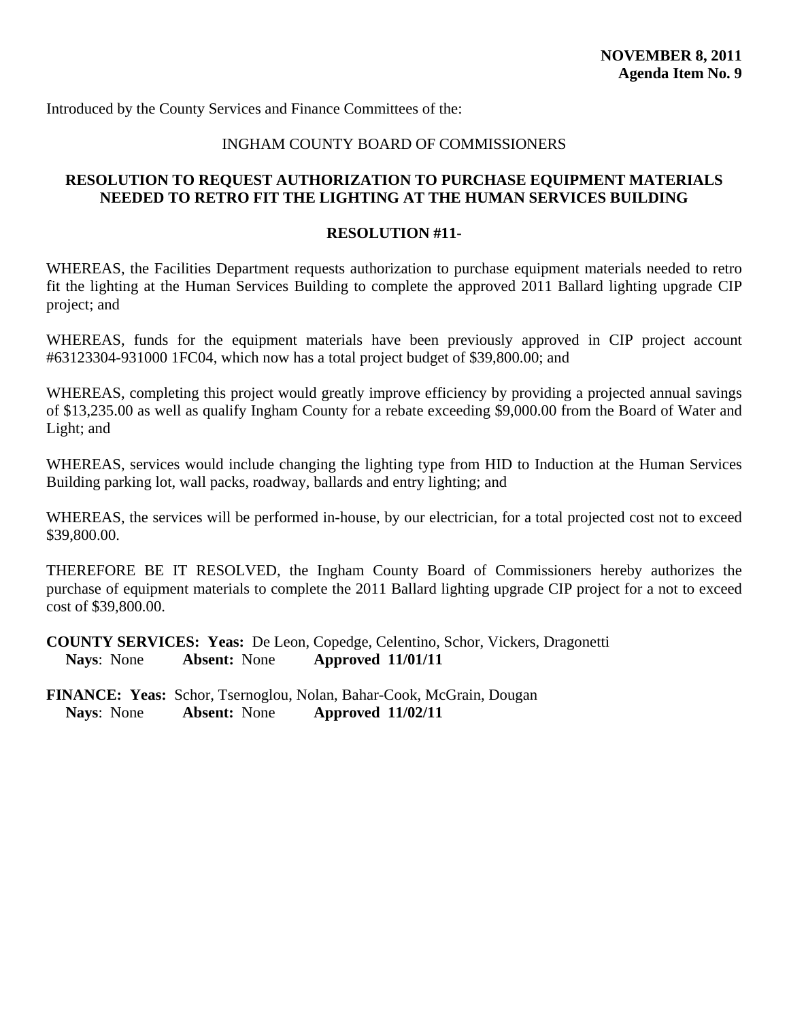#### INGHAM COUNTY BOARD OF COMMISSIONERS

# <span id="page-31-0"></span>**RESOLUTION TO REQUEST AUTHORIZATION TO PURCHASE EQUIPMENT MATERIALS NEEDED TO RETRO FIT THE LIGHTING AT THE HUMAN SERVICES BUILDING**

#### **RESOLUTION #11-**

WHEREAS, the Facilities Department requests authorization to purchase equipment materials needed to retro fit the lighting at the Human Services Building to complete the approved 2011 Ballard lighting upgrade CIP project; and

WHEREAS, funds for the equipment materials have been previously approved in CIP project account #63123304-931000 1FC04, which now has a total project budget of \$39,800.00; and

WHEREAS, completing this project would greatly improve efficiency by providing a projected annual savings of \$13,235.00 as well as qualify Ingham County for a rebate exceeding \$9,000.00 from the Board of Water and Light; and

WHEREAS, services would include changing the lighting type from HID to Induction at the Human Services Building parking lot, wall packs, roadway, ballards and entry lighting; and

WHEREAS, the services will be performed in-house, by our electrician, for a total projected cost not to exceed \$39,800.00.

THEREFORE BE IT RESOLVED, the Ingham County Board of Commissioners hereby authorizes the purchase of equipment materials to complete the 2011 Ballard lighting upgrade CIP project for a not to exceed cost of \$39,800.00.

**COUNTY SERVICES: Yeas:** De Leon, Copedge, Celentino, Schor, Vickers, Dragonetti **Nays**: None **Absent:** None **Approved 11/01/11**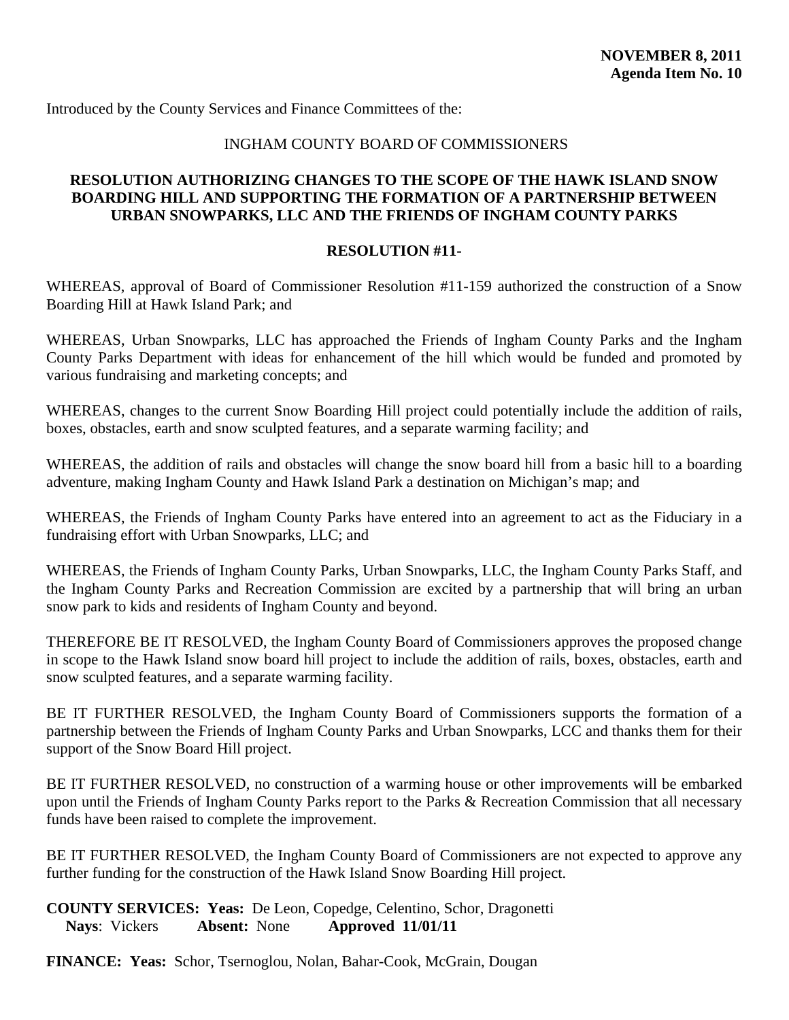### INGHAM COUNTY BOARD OF COMMISSIONERS

#### <span id="page-32-0"></span>**RESOLUTION AUTHORIZING CHANGES TO THE SCOPE OF THE HAWK ISLAND SNOW BOARDING HILL AND SUPPORTING THE FORMATION OF A PARTNERSHIP BETWEEN URBAN SNOWPARKS, LLC AND THE FRIENDS OF INGHAM COUNTY PARKS**

# **RESOLUTION #11-**

WHEREAS, approval of Board of Commissioner Resolution #11-159 authorized the construction of a Snow Boarding Hill at Hawk Island Park; and

WHEREAS, Urban Snowparks, LLC has approached the Friends of Ingham County Parks and the Ingham County Parks Department with ideas for enhancement of the hill which would be funded and promoted by various fundraising and marketing concepts; and

WHEREAS, changes to the current Snow Boarding Hill project could potentially include the addition of rails, boxes, obstacles, earth and snow sculpted features, and a separate warming facility; and

WHEREAS, the addition of rails and obstacles will change the snow board hill from a basic hill to a boarding adventure, making Ingham County and Hawk Island Park a destination on Michigan's map; and

WHEREAS, the Friends of Ingham County Parks have entered into an agreement to act as the Fiduciary in a fundraising effort with Urban Snowparks, LLC; and

WHEREAS, the Friends of Ingham County Parks, Urban Snowparks, LLC, the Ingham County Parks Staff, and the Ingham County Parks and Recreation Commission are excited by a partnership that will bring an urban snow park to kids and residents of Ingham County and beyond.

THEREFORE BE IT RESOLVED, the Ingham County Board of Commissioners approves the proposed change in scope to the Hawk Island snow board hill project to include the addition of rails, boxes, obstacles, earth and snow sculpted features, and a separate warming facility.

BE IT FURTHER RESOLVED, the Ingham County Board of Commissioners supports the formation of a partnership between the Friends of Ingham County Parks and Urban Snowparks, LCC and thanks them for their support of the Snow Board Hill project.

BE IT FURTHER RESOLVED, no construction of a warming house or other improvements will be embarked upon until the Friends of Ingham County Parks report to the Parks & Recreation Commission that all necessary funds have been raised to complete the improvement.

BE IT FURTHER RESOLVED, the Ingham County Board of Commissioners are not expected to approve any further funding for the construction of the Hawk Island Snow Boarding Hill project.

**COUNTY SERVICES: Yeas:** De Leon, Copedge, Celentino, Schor, Dragonetti **Nays**: Vickers **Absent:** None **Approved 11/01/11** 

**FINANCE: Yeas:** Schor, Tsernoglou, Nolan, Bahar-Cook, McGrain, Dougan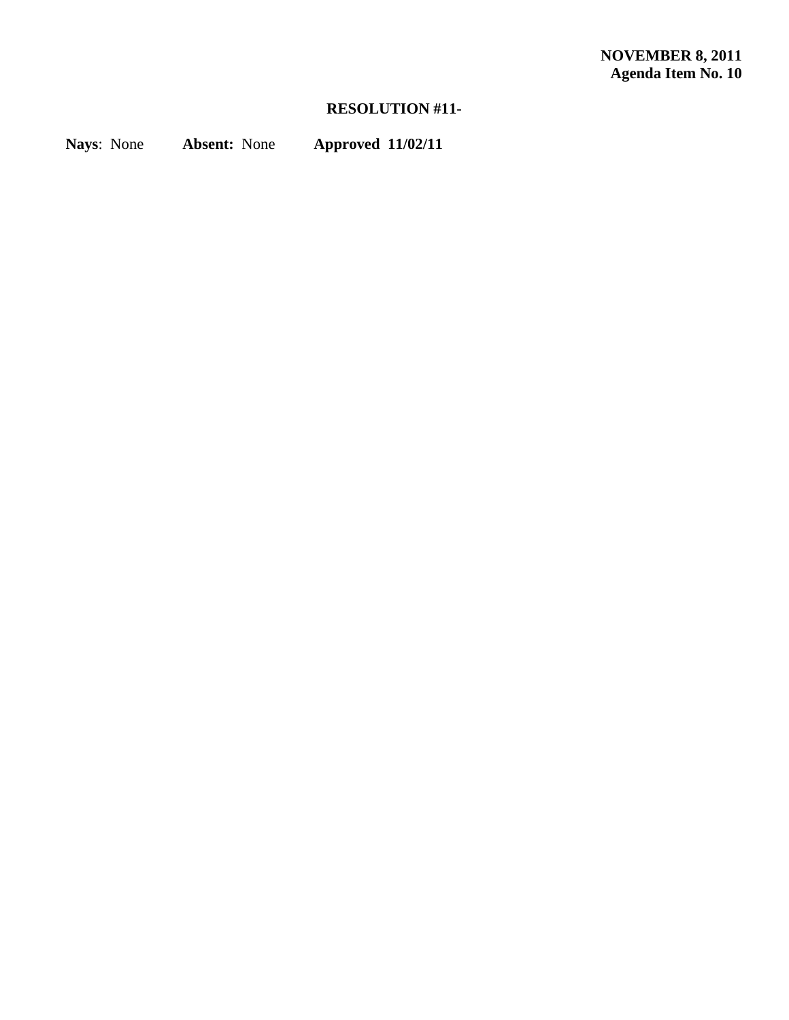# **RESOLUTION #11-**

**Nays**: None **Absent:** None **Approved 11/02/11**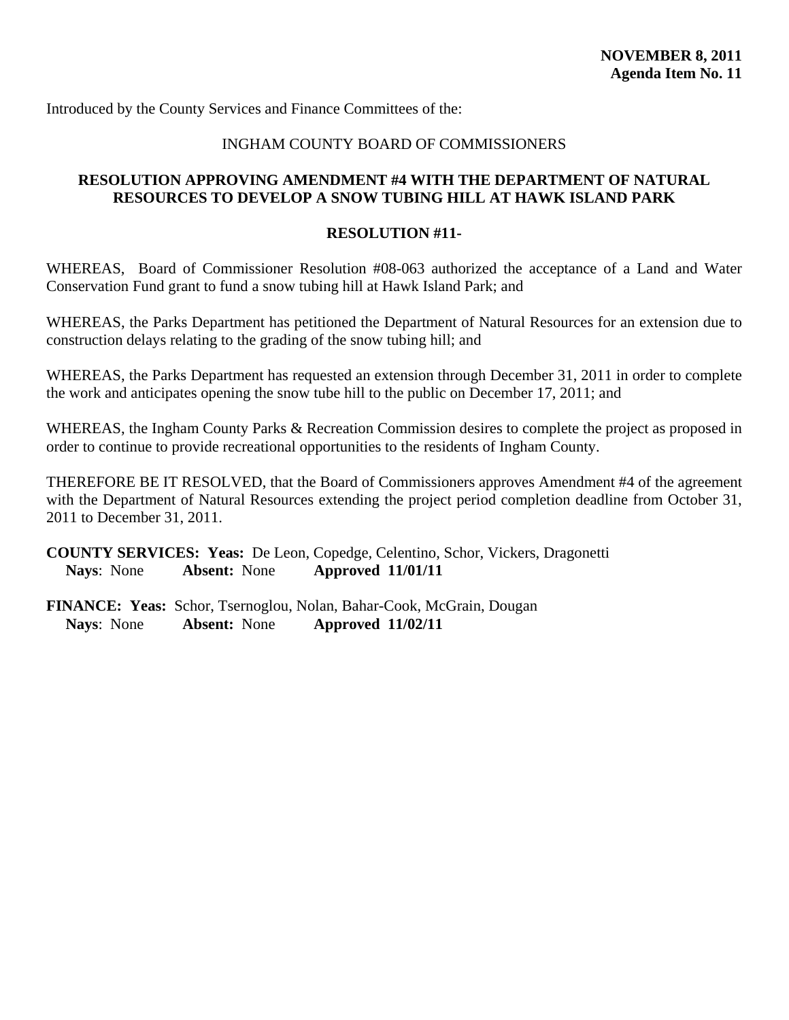### INGHAM COUNTY BOARD OF COMMISSIONERS

# <span id="page-34-0"></span>**RESOLUTION APPROVING AMENDMENT #4 WITH THE DEPARTMENT OF NATURAL RESOURCES TO DEVELOP A SNOW TUBING HILL AT HAWK ISLAND PARK**

#### **RESOLUTION #11-**

WHEREAS, Board of Commissioner Resolution #08-063 authorized the acceptance of a Land and Water Conservation Fund grant to fund a snow tubing hill at Hawk Island Park; and

WHEREAS, the Parks Department has petitioned the Department of Natural Resources for an extension due to construction delays relating to the grading of the snow tubing hill; and

WHEREAS, the Parks Department has requested an extension through December 31, 2011 in order to complete the work and anticipates opening the snow tube hill to the public on December 17, 2011; and

WHEREAS, the Ingham County Parks & Recreation Commission desires to complete the project as proposed in order to continue to provide recreational opportunities to the residents of Ingham County.

THEREFORE BE IT RESOLVED, that the Board of Commissioners approves Amendment #4 of the agreement with the Department of Natural Resources extending the project period completion deadline from October 31, 2011 to December 31, 2011.

**COUNTY SERVICES: Yeas:** De Leon, Copedge, Celentino, Schor, Vickers, Dragonetti **Nays**: None **Absent:** None **Approved 11/01/11**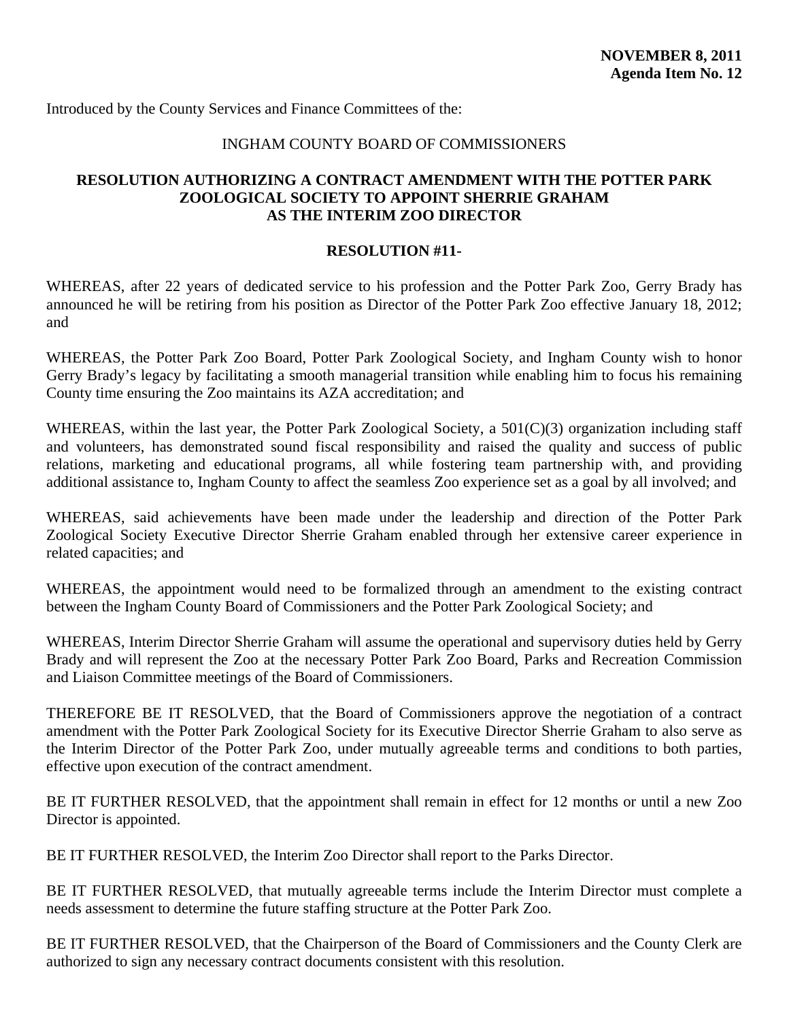#### INGHAM COUNTY BOARD OF COMMISSIONERS

#### <span id="page-35-0"></span>**RESOLUTION AUTHORIZING A CONTRACT AMENDMENT WITH THE POTTER PARK ZOOLOGICAL SOCIETY TO APPOINT SHERRIE GRAHAM AS THE INTERIM ZOO DIRECTOR**

#### **RESOLUTION #11-**

WHEREAS, after 22 years of dedicated service to his profession and the Potter Park Zoo, Gerry Brady has announced he will be retiring from his position as Director of the Potter Park Zoo effective January 18, 2012; and

WHEREAS, the Potter Park Zoo Board, Potter Park Zoological Society, and Ingham County wish to honor Gerry Brady's legacy by facilitating a smooth managerial transition while enabling him to focus his remaining County time ensuring the Zoo maintains its AZA accreditation; and

WHEREAS, within the last year, the Potter Park Zoological Society, a 501(C)(3) organization including staff and volunteers, has demonstrated sound fiscal responsibility and raised the quality and success of public relations, marketing and educational programs, all while fostering team partnership with, and providing additional assistance to, Ingham County to affect the seamless Zoo experience set as a goal by all involved; and

WHEREAS, said achievements have been made under the leadership and direction of the Potter Park Zoological Society Executive Director Sherrie Graham enabled through her extensive career experience in related capacities; and

WHEREAS, the appointment would need to be formalized through an amendment to the existing contract between the Ingham County Board of Commissioners and the Potter Park Zoological Society; and

WHEREAS, Interim Director Sherrie Graham will assume the operational and supervisory duties held by Gerry Brady and will represent the Zoo at the necessary Potter Park Zoo Board, Parks and Recreation Commission and Liaison Committee meetings of the Board of Commissioners.

THEREFORE BE IT RESOLVED, that the Board of Commissioners approve the negotiation of a contract amendment with the Potter Park Zoological Society for its Executive Director Sherrie Graham to also serve as the Interim Director of the Potter Park Zoo, under mutually agreeable terms and conditions to both parties, effective upon execution of the contract amendment.

BE IT FURTHER RESOLVED, that the appointment shall remain in effect for 12 months or until a new Zoo Director is appointed.

BE IT FURTHER RESOLVED, the Interim Zoo Director shall report to the Parks Director.

BE IT FURTHER RESOLVED, that mutually agreeable terms include the Interim Director must complete a needs assessment to determine the future staffing structure at the Potter Park Zoo.

BE IT FURTHER RESOLVED, that the Chairperson of the Board of Commissioners and the County Clerk are authorized to sign any necessary contract documents consistent with this resolution.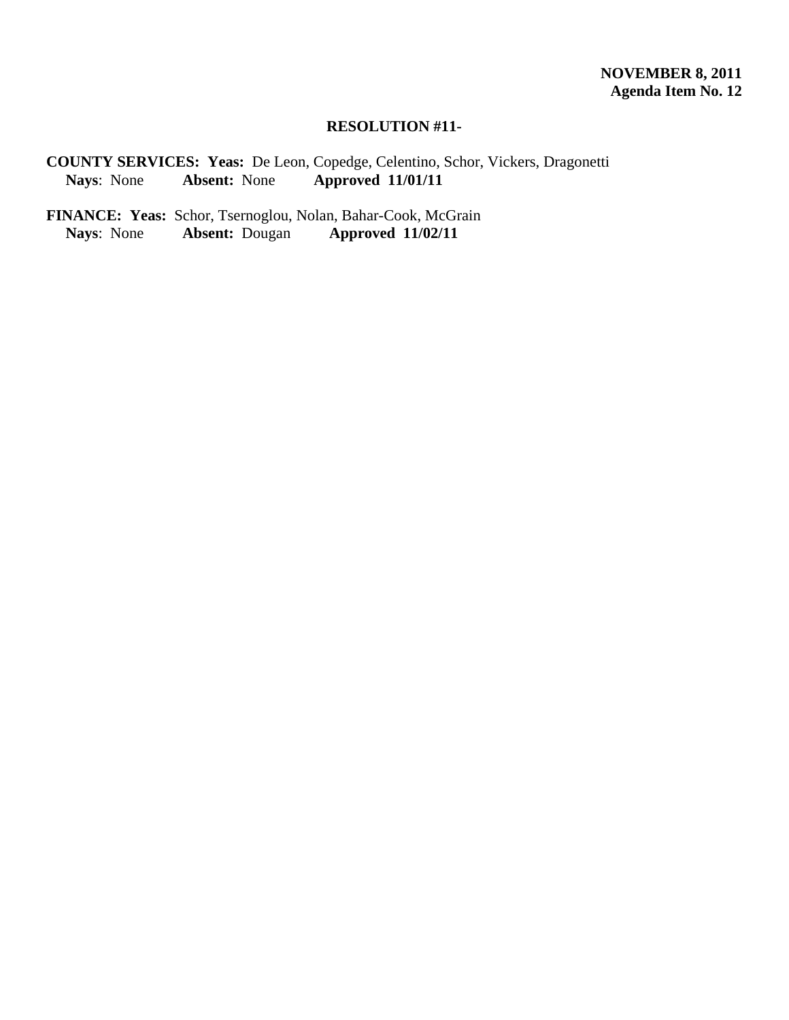#### **RESOLUTION #11-**

**COUNTY SERVICES: Yeas:** De Leon, Copedge, Celentino, Schor, Vickers, Dragonetti **Nays**: None **Absent:** None **Approved 11/01/11** 

FINANCE: Yeas: Schor, Tsernoglou, Nolan, Bahar-Cook, McGrain<br>Nays: None Absent: Dougan Approved 11/02/11 **Nays**: None **Absent:** Dougan **Approved 11/02/11**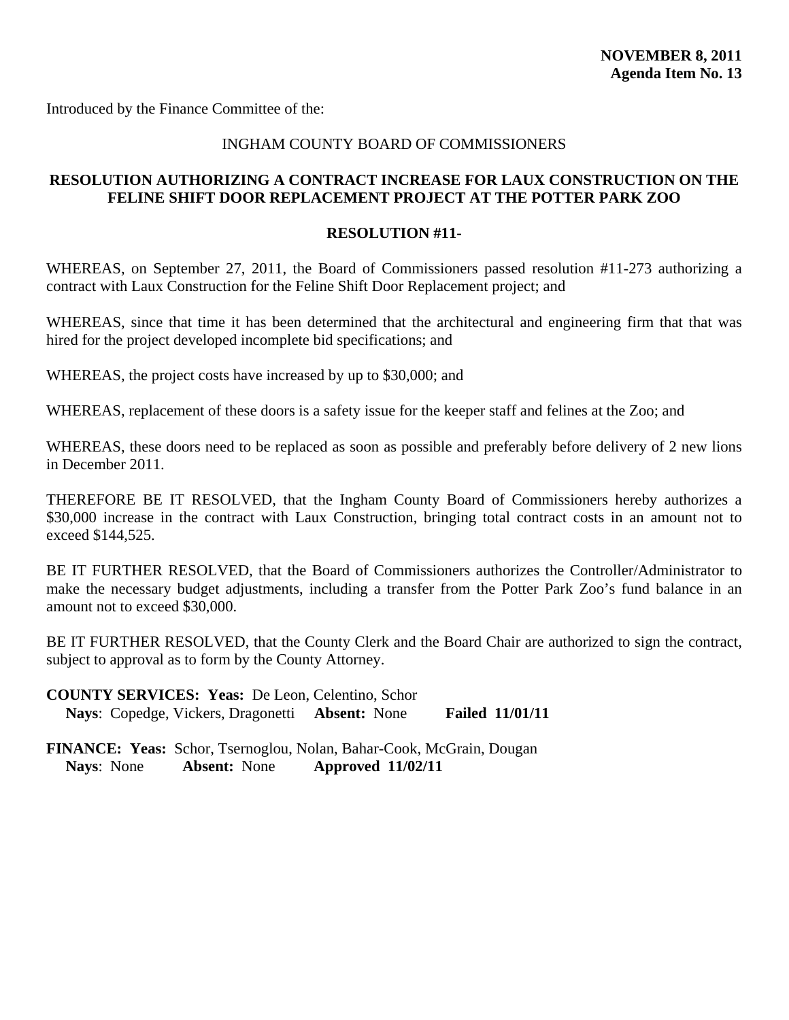<span id="page-37-0"></span>Introduced by the Finance Committee of the:

#### INGHAM COUNTY BOARD OF COMMISSIONERS

# **RESOLUTION AUTHORIZING A CONTRACT INCREASE FOR LAUX CONSTRUCTION ON THE FELINE SHIFT DOOR REPLACEMENT PROJECT AT THE POTTER PARK ZOO**

#### **RESOLUTION #11-**

WHEREAS, on September 27, 2011, the Board of Commissioners passed resolution #11-273 authorizing a contract with Laux Construction for the Feline Shift Door Replacement project; and

WHEREAS, since that time it has been determined that the architectural and engineering firm that that was hired for the project developed incomplete bid specifications; and

WHEREAS, the project costs have increased by up to \$30,000; and

WHEREAS, replacement of these doors is a safety issue for the keeper staff and felines at the Zoo; and

WHEREAS, these doors need to be replaced as soon as possible and preferably before delivery of 2 new lions in December 2011.

THEREFORE BE IT RESOLVED, that the Ingham County Board of Commissioners hereby authorizes a \$30,000 increase in the contract with Laux Construction, bringing total contract costs in an amount not to exceed \$144,525.

BE IT FURTHER RESOLVED, that the Board of Commissioners authorizes the Controller/Administrator to make the necessary budget adjustments, including a transfer from the Potter Park Zoo's fund balance in an amount not to exceed \$30,000.

BE IT FURTHER RESOLVED, that the County Clerk and the Board Chair are authorized to sign the contract, subject to approval as to form by the County Attorney.

| <b>COUNTY SERVICES: Yeas: De Leon, Celentino, Schor</b> |                        |
|---------------------------------------------------------|------------------------|
| Nays: Copedge, Vickers, Dragonetti Absent: None         | <b>Failed 11/01/11</b> |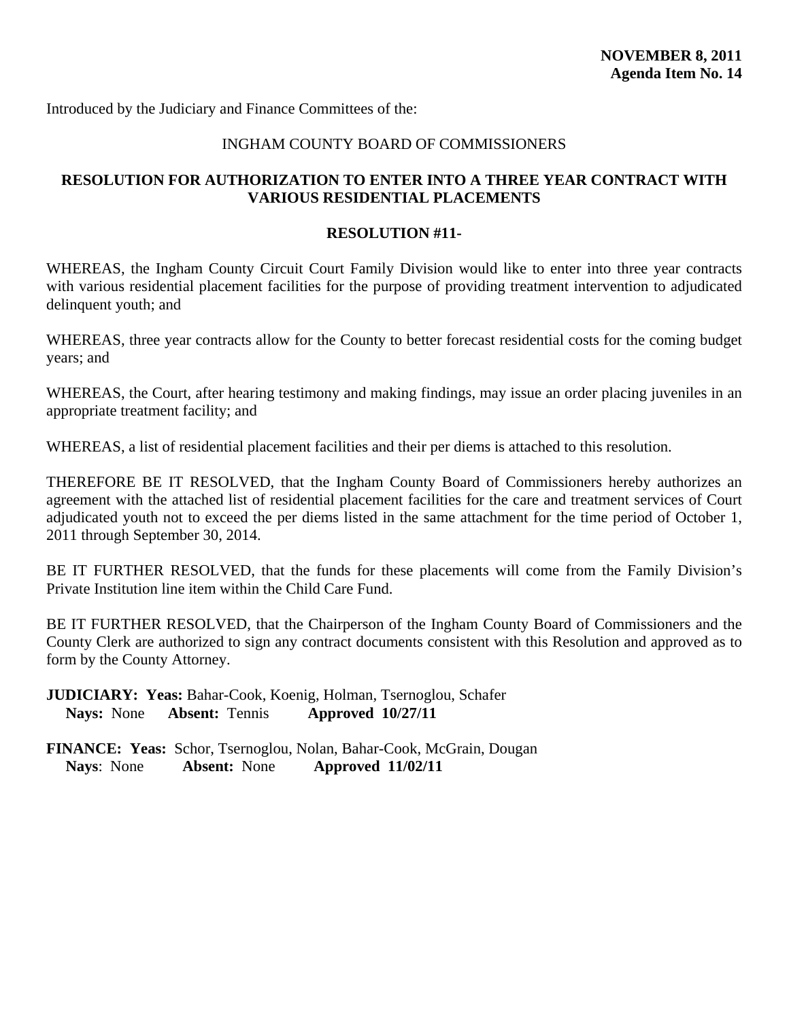<span id="page-38-0"></span>Introduced by the Judiciary and Finance Committees of the:

#### INGHAM COUNTY BOARD OF COMMISSIONERS

# **RESOLUTION FOR AUTHORIZATION TO ENTER INTO A THREE YEAR CONTRACT WITH VARIOUS RESIDENTIAL PLACEMENTS**

#### **RESOLUTION #11-**

WHEREAS, the Ingham County Circuit Court Family Division would like to enter into three year contracts with various residential placement facilities for the purpose of providing treatment intervention to adjudicated delinquent youth; and

WHEREAS, three year contracts allow for the County to better forecast residential costs for the coming budget years; and

WHEREAS, the Court, after hearing testimony and making findings, may issue an order placing juveniles in an appropriate treatment facility; and

WHEREAS, a list of residential placement facilities and their per diems is attached to this resolution.

THEREFORE BE IT RESOLVED, that the Ingham County Board of Commissioners hereby authorizes an agreement with the attached list of residential placement facilities for the care and treatment services of Court adjudicated youth not to exceed the per diems listed in the same attachment for the time period of October 1, 2011 through September 30, 2014.

BE IT FURTHER RESOLVED, that the funds for these placements will come from the Family Division's Private Institution line item within the Child Care Fund.

BE IT FURTHER RESOLVED, that the Chairperson of the Ingham County Board of Commissioners and the County Clerk are authorized to sign any contract documents consistent with this Resolution and approved as to form by the County Attorney.

**JUDICIARY: Yeas:** Bahar-Cook, Koenig, Holman, Tsernoglou, Schafer **Nays:** None **Absent:** Tennis **Approved 10/27/11**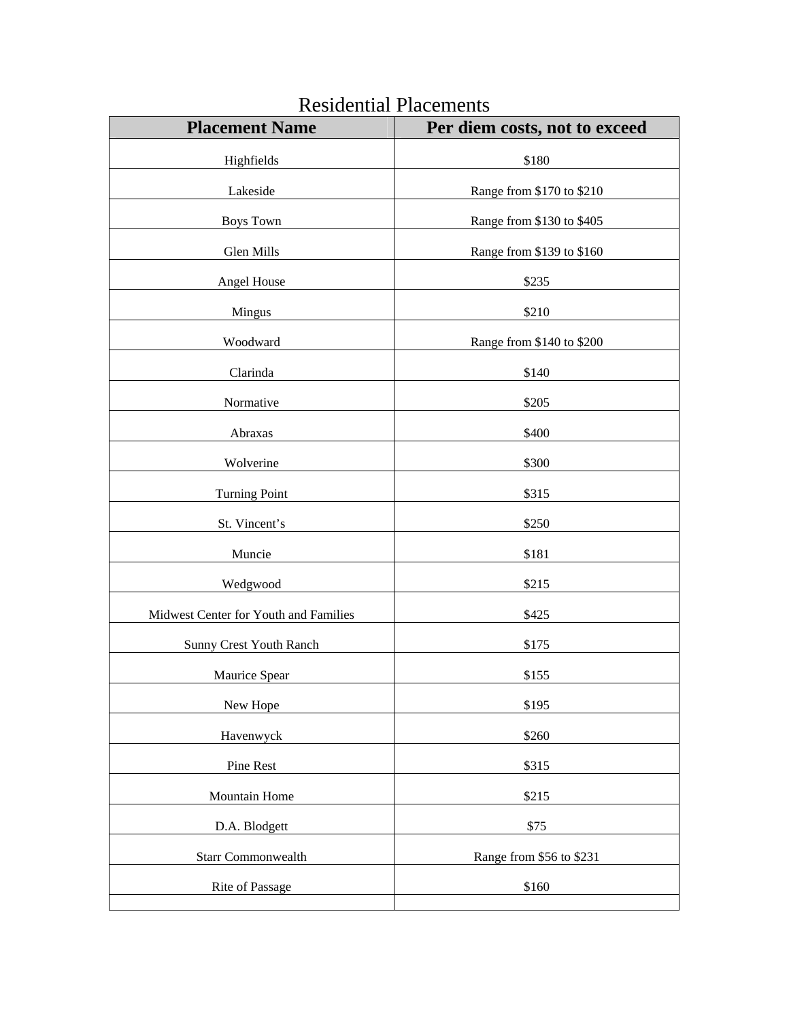| <b>Placement Name</b>                 | Per diem costs, not to exceed |  |
|---------------------------------------|-------------------------------|--|
| Highfields                            | \$180                         |  |
| Lakeside                              | Range from \$170 to \$210     |  |
| <b>Boys Town</b>                      | Range from \$130 to \$405     |  |
| Glen Mills                            | Range from \$139 to \$160     |  |
| Angel House                           | \$235                         |  |
| Mingus                                | \$210                         |  |
| Woodward                              | Range from \$140 to \$200     |  |
| Clarinda                              | \$140                         |  |
| Normative                             | \$205                         |  |
| Abraxas                               | \$400                         |  |
| Wolverine                             | \$300                         |  |
| <b>Turning Point</b>                  | \$315                         |  |
| St. Vincent's                         | \$250                         |  |
| Muncie                                | \$181                         |  |
| Wedgwood                              | \$215                         |  |
| Midwest Center for Youth and Families | \$425                         |  |
| Sunny Crest Youth Ranch               | \$175                         |  |
| Maurice Spear                         | \$155                         |  |
| New Hope                              | \$195                         |  |
| Havenwyck                             | \$260                         |  |
| Pine Rest                             | \$315                         |  |
| Mountain Home                         | \$215                         |  |
| D.A. Blodgett                         | \$75                          |  |
| <b>Starr Commonwealth</b>             | Range from \$56 to \$231      |  |
| Rite of Passage                       | \$160                         |  |
|                                       |                               |  |

# Residential Placements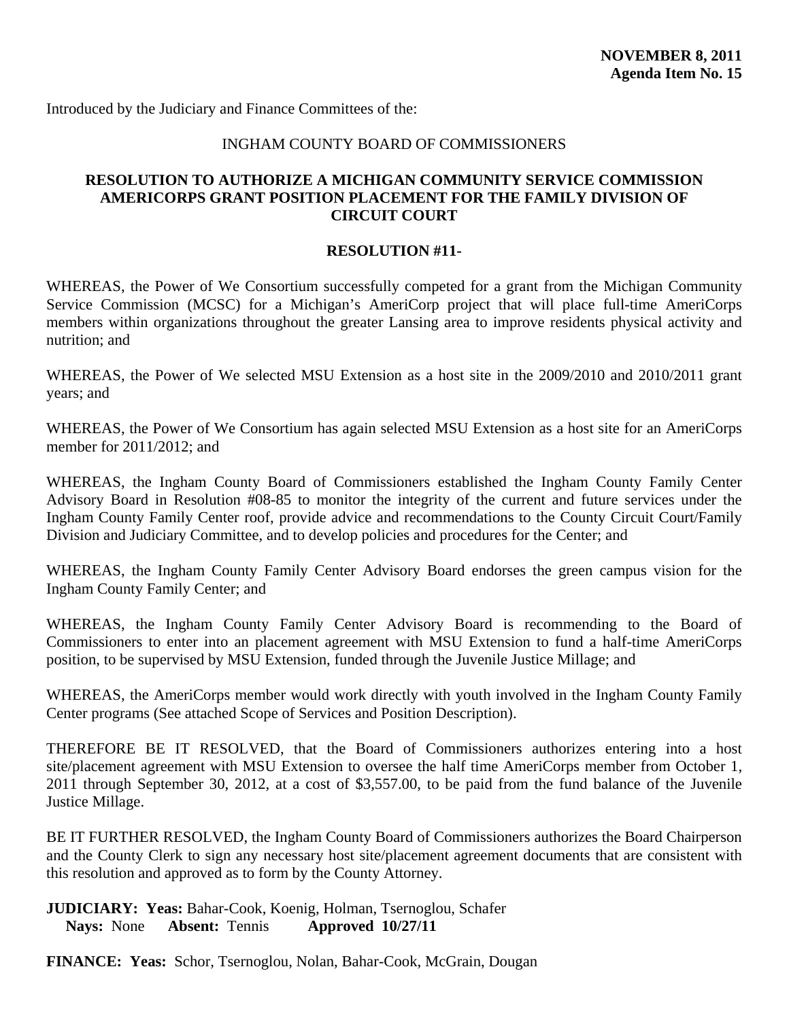<span id="page-40-0"></span>Introduced by the Judiciary and Finance Committees of the:

#### INGHAM COUNTY BOARD OF COMMISSIONERS

#### **RESOLUTION TO AUTHORIZE A MICHIGAN COMMUNITY SERVICE COMMISSION AMERICORPS GRANT POSITION PLACEMENT FOR THE FAMILY DIVISION OF CIRCUIT COURT**

# **RESOLUTION #11-**

WHEREAS, the Power of We Consortium successfully competed for a grant from the Michigan Community Service Commission (MCSC) for a Michigan's AmeriCorp project that will place full-time AmeriCorps members within organizations throughout the greater Lansing area to improve residents physical activity and nutrition; and

WHEREAS, the Power of We selected MSU Extension as a host site in the 2009/2010 and 2010/2011 grant years; and

WHEREAS, the Power of We Consortium has again selected MSU Extension as a host site for an AmeriCorps member for 2011/2012; and

WHEREAS, the Ingham County Board of Commissioners established the Ingham County Family Center Advisory Board in Resolution #08-85 to monitor the integrity of the current and future services under the Ingham County Family Center roof, provide advice and recommendations to the County Circuit Court/Family Division and Judiciary Committee, and to develop policies and procedures for the Center; and

WHEREAS, the Ingham County Family Center Advisory Board endorses the green campus vision for the Ingham County Family Center; and

WHEREAS, the Ingham County Family Center Advisory Board is recommending to the Board of Commissioners to enter into an placement agreement with MSU Extension to fund a half-time AmeriCorps position, to be supervised by MSU Extension, funded through the Juvenile Justice Millage; and

WHEREAS, the AmeriCorps member would work directly with youth involved in the Ingham County Family Center programs (See attached Scope of Services and Position Description).

THEREFORE BE IT RESOLVED, that the Board of Commissioners authorizes entering into a host site/placement agreement with MSU Extension to oversee the half time AmeriCorps member from October 1, 2011 through September 30, 2012, at a cost of \$3,557.00, to be paid from the fund balance of the Juvenile Justice Millage.

BE IT FURTHER RESOLVED, the Ingham County Board of Commissioners authorizes the Board Chairperson and the County Clerk to sign any necessary host site/placement agreement documents that are consistent with this resolution and approved as to form by the County Attorney.

**JUDICIARY: Yeas:** Bahar-Cook, Koenig, Holman, Tsernoglou, Schafer **Nays:** None **Absent:** Tennis **Approved 10/27/11** 

**FINANCE: Yeas:** Schor, Tsernoglou, Nolan, Bahar-Cook, McGrain, Dougan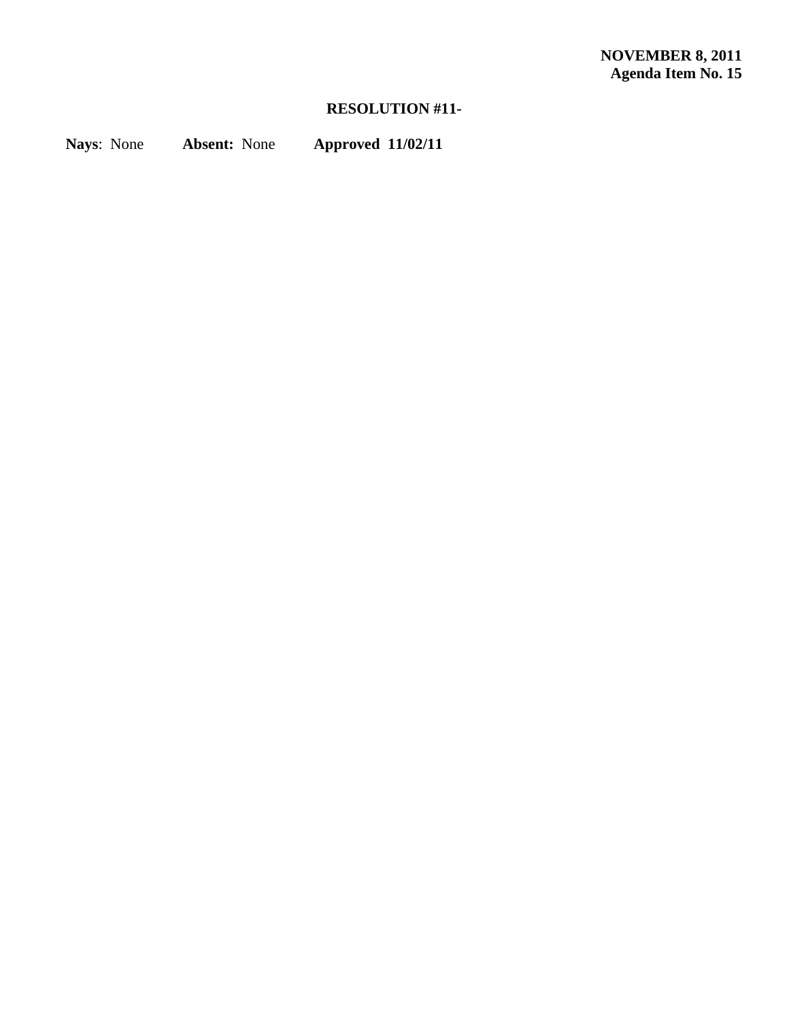# **RESOLUTION #11-**

**Nays**: None **Absent:** None **Approved 11/02/11**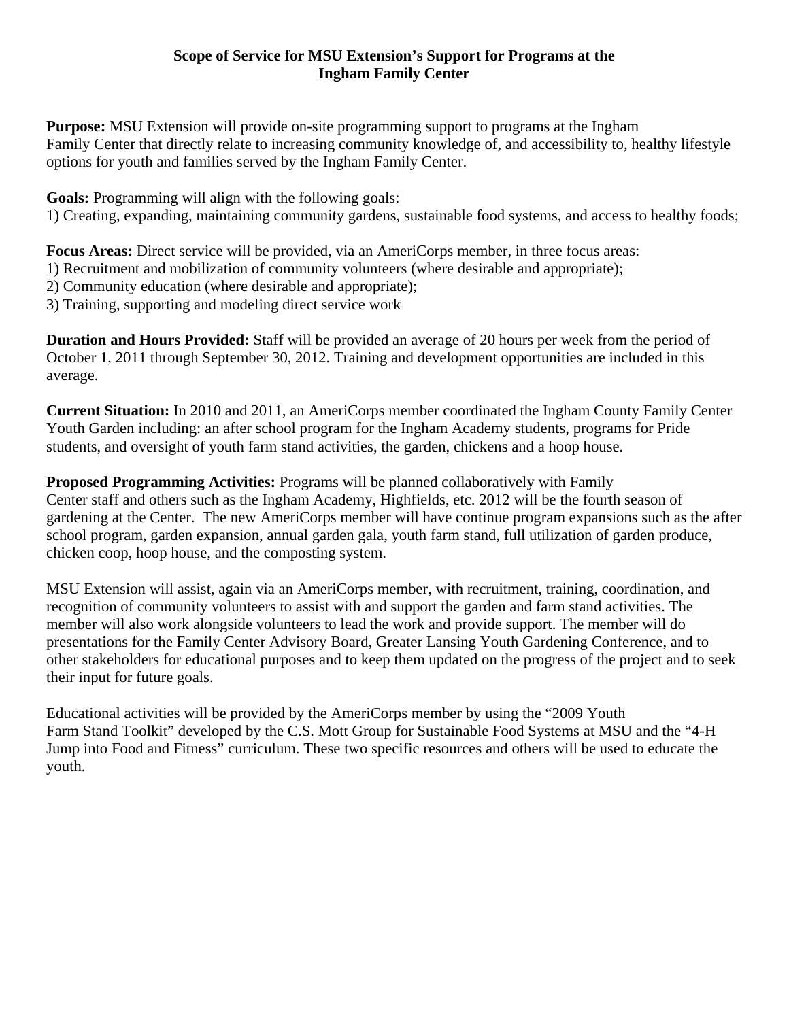# **Scope of Service for MSU Extension's Support for Programs at the Ingham Family Center**

**Purpose:** MSU Extension will provide on-site programming support to programs at the Ingham Family Center that directly relate to increasing community knowledge of, and accessibility to, healthy lifestyle options for youth and families served by the Ingham Family Center.

**Goals:** Programming will align with the following goals: 1) Creating, expanding, maintaining community gardens, sustainable food systems, and access to healthy foods;

**Focus Areas:** Direct service will be provided, via an AmeriCorps member, in three focus areas:

1) Recruitment and mobilization of community volunteers (where desirable and appropriate);

2) Community education (where desirable and appropriate);

3) Training, supporting and modeling direct service work

**Duration and Hours Provided:** Staff will be provided an average of 20 hours per week from the period of October 1, 2011 through September 30, 2012. Training and development opportunities are included in this average.

**Current Situation:** In 2010 and 2011, an AmeriCorps member coordinated the Ingham County Family Center Youth Garden including: an after school program for the Ingham Academy students, programs for Pride students, and oversight of youth farm stand activities, the garden, chickens and a hoop house.

**Proposed Programming Activities:** Programs will be planned collaboratively with Family Center staff and others such as the Ingham Academy, Highfields, etc. 2012 will be the fourth season of gardening at the Center. The new AmeriCorps member will have continue program expansions such as the after school program, garden expansion, annual garden gala, youth farm stand, full utilization of garden produce, chicken coop, hoop house, and the composting system.

MSU Extension will assist, again via an AmeriCorps member, with recruitment, training, coordination, and recognition of community volunteers to assist with and support the garden and farm stand activities. The member will also work alongside volunteers to lead the work and provide support. The member will do presentations for the Family Center Advisory Board, Greater Lansing Youth Gardening Conference, and to other stakeholders for educational purposes and to keep them updated on the progress of the project and to seek their input for future goals.

Educational activities will be provided by the AmeriCorps member by using the "2009 Youth Farm Stand Toolkit" developed by the C.S. Mott Group for Sustainable Food Systems at MSU and the "4-H Jump into Food and Fitness" curriculum. These two specific resources and others will be used to educate the youth.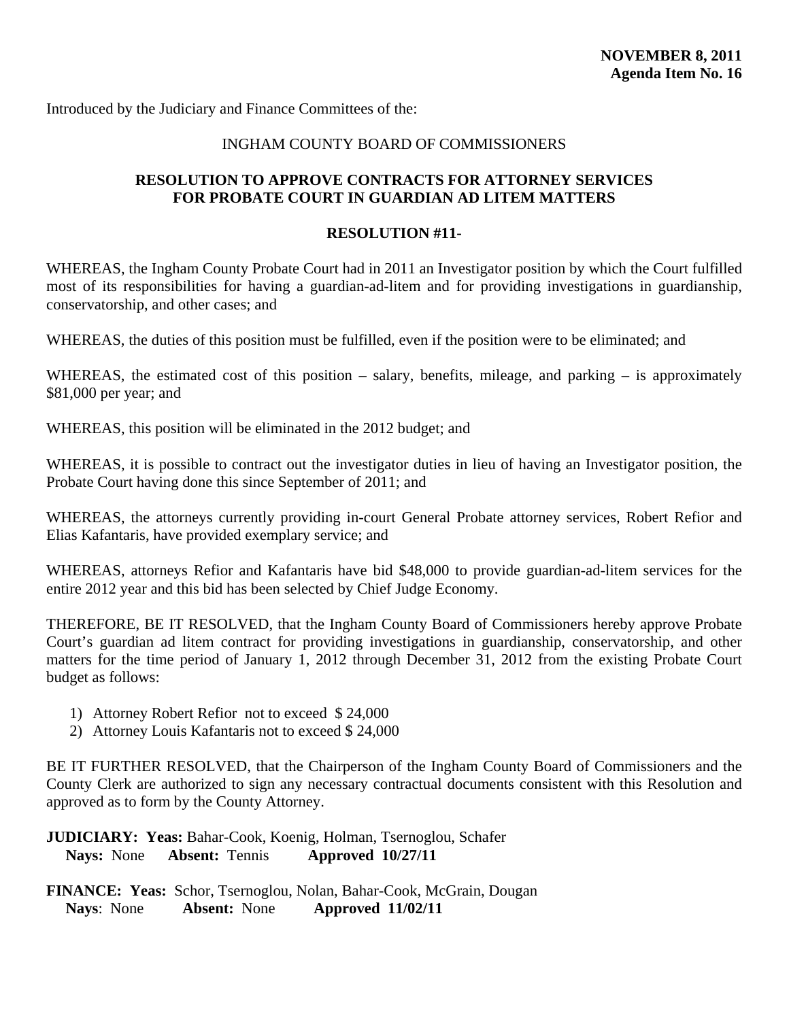<span id="page-43-0"></span>Introduced by the Judiciary and Finance Committees of the:

# INGHAM COUNTY BOARD OF COMMISSIONERS

# **RESOLUTION TO APPROVE CONTRACTS FOR ATTORNEY SERVICES FOR PROBATE COURT IN GUARDIAN AD LITEM MATTERS**

#### **RESOLUTION #11-**

WHEREAS, the Ingham County Probate Court had in 2011 an Investigator position by which the Court fulfilled most of its responsibilities for having a guardian-ad-litem and for providing investigations in guardianship, conservatorship, and other cases; and

WHEREAS, the duties of this position must be fulfilled, even if the position were to be eliminated; and

WHEREAS, the estimated cost of this position – salary, benefits, mileage, and parking – is approximately \$81,000 per year; and

WHEREAS, this position will be eliminated in the 2012 budget; and

WHEREAS, it is possible to contract out the investigator duties in lieu of having an Investigator position, the Probate Court having done this since September of 2011; and

WHEREAS, the attorneys currently providing in-court General Probate attorney services, Robert Refior and Elias Kafantaris, have provided exemplary service; and

WHEREAS, attorneys Refior and Kafantaris have bid \$48,000 to provide guardian-ad-litem services for the entire 2012 year and this bid has been selected by Chief Judge Economy.

THEREFORE, BE IT RESOLVED, that the Ingham County Board of Commissioners hereby approve Probate Court's guardian ad litem contract for providing investigations in guardianship, conservatorship, and other matters for the time period of January 1, 2012 through December 31, 2012 from the existing Probate Court budget as follows:

- 1) Attorney Robert Refior not to exceed \$ 24,000
- 2) Attorney Louis Kafantaris not to exceed \$ 24,000

BE IT FURTHER RESOLVED, that the Chairperson of the Ingham County Board of Commissioners and the County Clerk are authorized to sign any necessary contractual documents consistent with this Resolution and approved as to form by the County Attorney.

**JUDICIARY: Yeas:** Bahar-Cook, Koenig, Holman, Tsernoglou, Schafer **Nays:** None **Absent:** Tennis **Approved 10/27/11**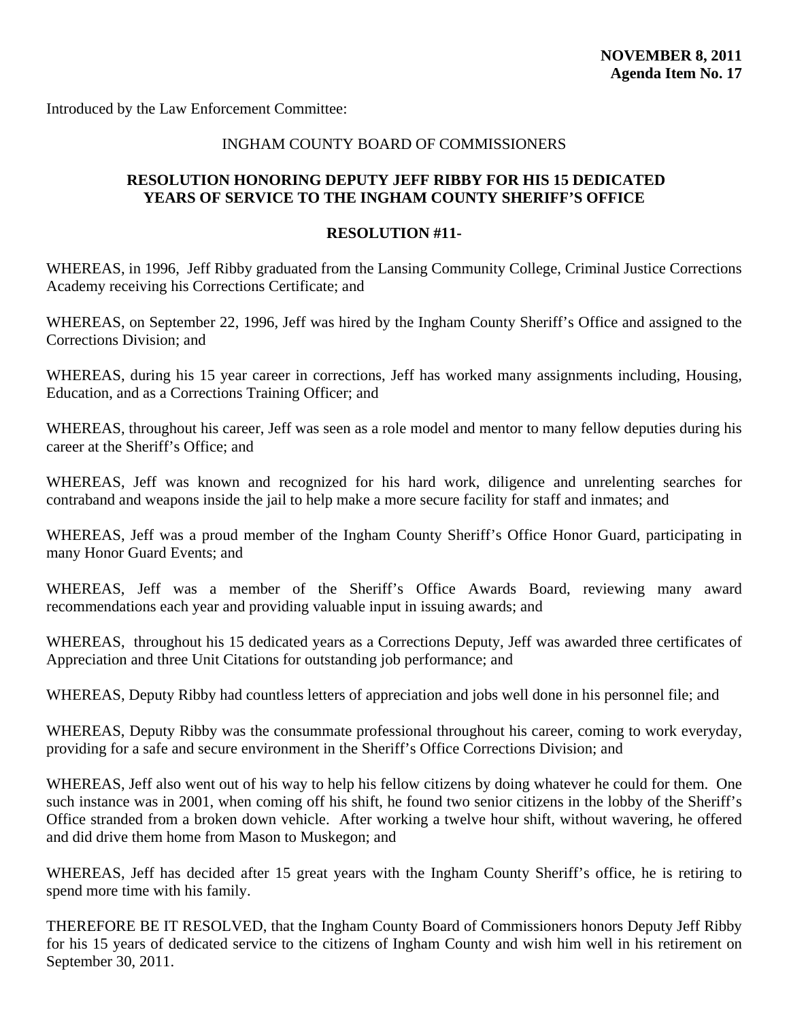<span id="page-44-0"></span>Introduced by the Law Enforcement Committee:

#### INGHAM COUNTY BOARD OF COMMISSIONERS

# **RESOLUTION HONORING DEPUTY JEFF RIBBY FOR HIS 15 DEDICATED YEARS OF SERVICE TO THE INGHAM COUNTY SHERIFF'S OFFICE**

#### **RESOLUTION #11-**

WHEREAS, in 1996, Jeff Ribby graduated from the Lansing Community College, Criminal Justice Corrections Academy receiving his Corrections Certificate; and

WHEREAS, on September 22, 1996, Jeff was hired by the Ingham County Sheriff's Office and assigned to the Corrections Division; and

WHEREAS, during his 15 year career in corrections, Jeff has worked many assignments including, Housing, Education, and as a Corrections Training Officer; and

WHEREAS, throughout his career, Jeff was seen as a role model and mentor to many fellow deputies during his career at the Sheriff's Office; and

WHEREAS, Jeff was known and recognized for his hard work, diligence and unrelenting searches for contraband and weapons inside the jail to help make a more secure facility for staff and inmates; and

WHEREAS, Jeff was a proud member of the Ingham County Sheriff's Office Honor Guard, participating in many Honor Guard Events; and

WHEREAS, Jeff was a member of the Sheriff's Office Awards Board, reviewing many award recommendations each year and providing valuable input in issuing awards; and

WHEREAS, throughout his 15 dedicated years as a Corrections Deputy, Jeff was awarded three certificates of Appreciation and three Unit Citations for outstanding job performance; and

WHEREAS, Deputy Ribby had countless letters of appreciation and jobs well done in his personnel file; and

WHEREAS, Deputy Ribby was the consummate professional throughout his career, coming to work everyday, providing for a safe and secure environment in the Sheriff's Office Corrections Division; and

WHEREAS, Jeff also went out of his way to help his fellow citizens by doing whatever he could for them. One such instance was in 2001, when coming off his shift, he found two senior citizens in the lobby of the Sheriff's Office stranded from a broken down vehicle. After working a twelve hour shift, without wavering, he offered and did drive them home from Mason to Muskegon; and

WHEREAS, Jeff has decided after 15 great years with the Ingham County Sheriff's office, he is retiring to spend more time with his family.

THEREFORE BE IT RESOLVED, that the Ingham County Board of Commissioners honors Deputy Jeff Ribby for his 15 years of dedicated service to the citizens of Ingham County and wish him well in his retirement on September 30, 2011.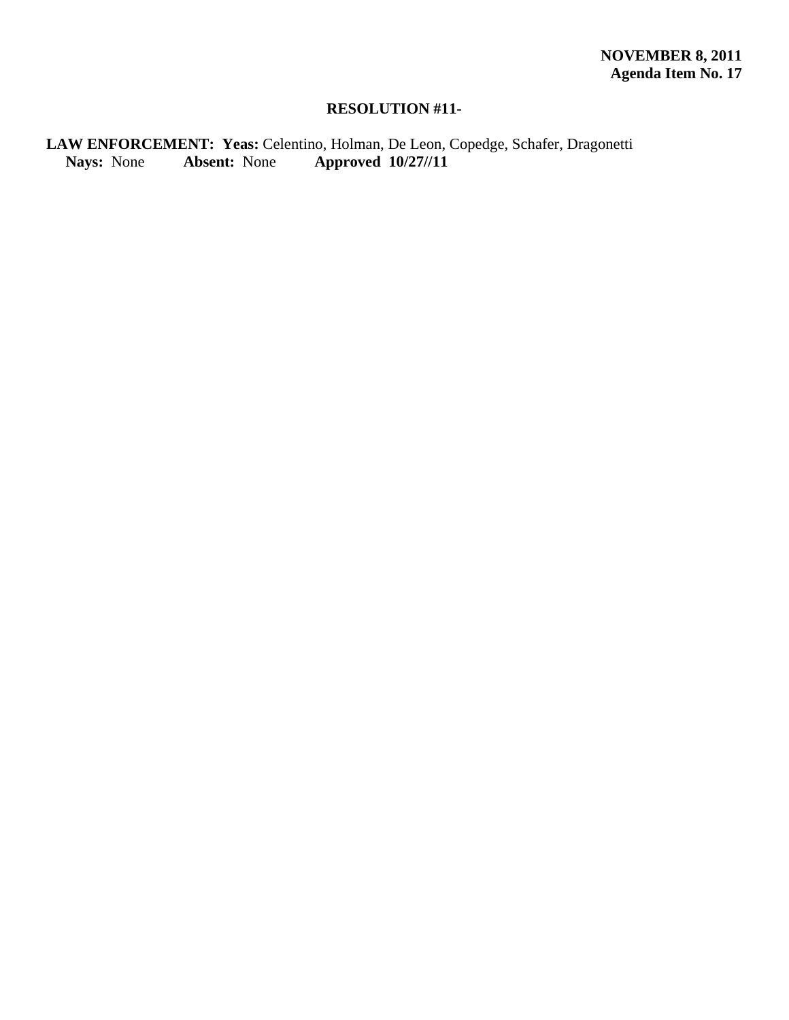# **RESOLUTION #11-**

# LAW ENFORCEMENT: Yeas: Celentino, Holman, De Leon, Copedge, Schafer, Dragonetti<br>Nays: None **Absent:** None **Approved 10/27//11 Nays:** None **Absent:** None **Approved 10/27//11**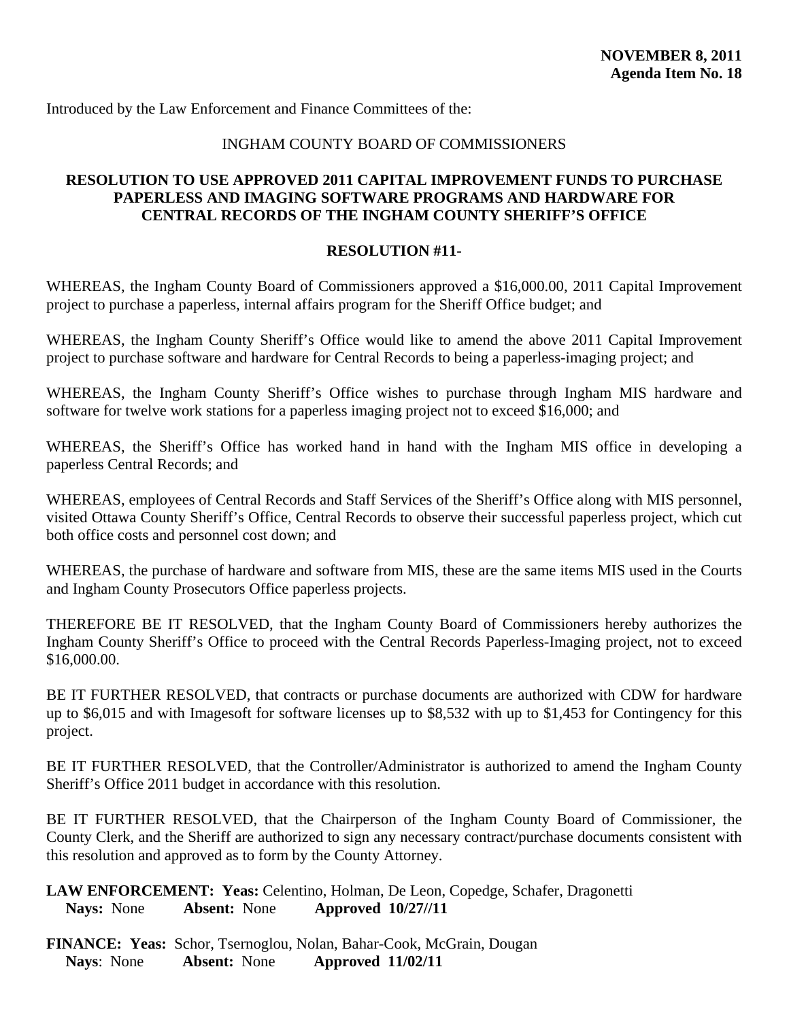### INGHAM COUNTY BOARD OF COMMISSIONERS

#### <span id="page-46-0"></span>**RESOLUTION TO USE APPROVED 2011 CAPITAL IMPROVEMENT FUNDS TO PURCHASE PAPERLESS AND IMAGING SOFTWARE PROGRAMS AND HARDWARE FOR CENTRAL RECORDS OF THE INGHAM COUNTY SHERIFF'S OFFICE**

#### **RESOLUTION #11-**

WHEREAS, the Ingham County Board of Commissioners approved a \$16,000.00, 2011 Capital Improvement project to purchase a paperless, internal affairs program for the Sheriff Office budget; and

WHEREAS, the Ingham County Sheriff's Office would like to amend the above 2011 Capital Improvement project to purchase software and hardware for Central Records to being a paperless-imaging project; and

WHEREAS, the Ingham County Sheriff's Office wishes to purchase through Ingham MIS hardware and software for twelve work stations for a paperless imaging project not to exceed \$16,000; and

WHEREAS, the Sheriff's Office has worked hand in hand with the Ingham MIS office in developing a paperless Central Records; and

WHEREAS, employees of Central Records and Staff Services of the Sheriff's Office along with MIS personnel, visited Ottawa County Sheriff's Office, Central Records to observe their successful paperless project, which cut both office costs and personnel cost down; and

WHEREAS, the purchase of hardware and software from MIS, these are the same items MIS used in the Courts and Ingham County Prosecutors Office paperless projects.

THEREFORE BE IT RESOLVED, that the Ingham County Board of Commissioners hereby authorizes the Ingham County Sheriff's Office to proceed with the Central Records Paperless-Imaging project, not to exceed \$16,000.00.

BE IT FURTHER RESOLVED, that contracts or purchase documents are authorized with CDW for hardware up to \$6,015 and with Imagesoft for software licenses up to \$8,532 with up to \$1,453 for Contingency for this project.

BE IT FURTHER RESOLVED, that the Controller/Administrator is authorized to amend the Ingham County Sheriff's Office 2011 budget in accordance with this resolution.

BE IT FURTHER RESOLVED, that the Chairperson of the Ingham County Board of Commissioner, the County Clerk, and the Sheriff are authorized to sign any necessary contract/purchase documents consistent with this resolution and approved as to form by the County Attorney.

**LAW ENFORCEMENT: Yeas:** Celentino, Holman, De Leon, Copedge, Schafer, Dragonetti  **Nays:** None **Absent:** None **Approved 10/27//11**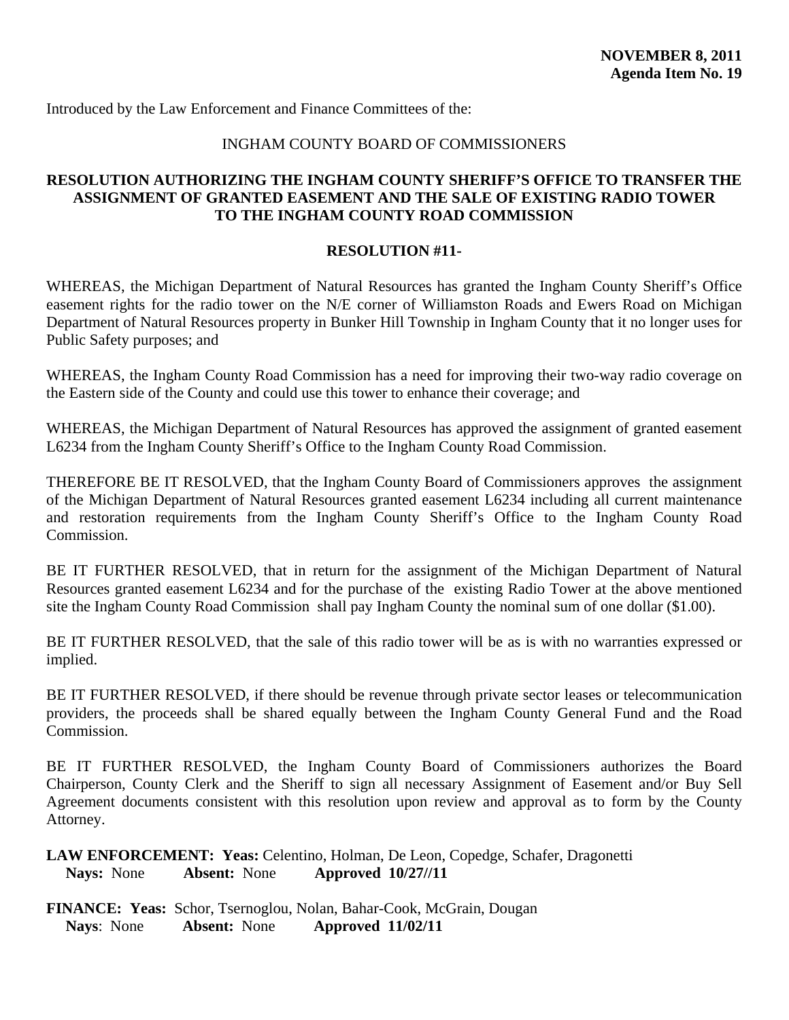#### INGHAM COUNTY BOARD OF COMMISSIONERS

# <span id="page-47-0"></span>**RESOLUTION AUTHORIZING THE INGHAM COUNTY SHERIFF'S OFFICE TO TRANSFER THE ASSIGNMENT OF GRANTED EASEMENT AND THE SALE OF EXISTING RADIO TOWER TO THE INGHAM COUNTY ROAD COMMISSION**

#### **RESOLUTION #11-**

WHEREAS, the Michigan Department of Natural Resources has granted the Ingham County Sheriff's Office easement rights for the radio tower on the N/E corner of Williamston Roads and Ewers Road on Michigan Department of Natural Resources property in Bunker Hill Township in Ingham County that it no longer uses for Public Safety purposes; and

WHEREAS, the Ingham County Road Commission has a need for improving their two-way radio coverage on the Eastern side of the County and could use this tower to enhance their coverage; and

WHEREAS, the Michigan Department of Natural Resources has approved the assignment of granted easement L6234 from the Ingham County Sheriff's Office to the Ingham County Road Commission.

THEREFORE BE IT RESOLVED, that the Ingham County Board of Commissioners approves the assignment of the Michigan Department of Natural Resources granted easement L6234 including all current maintenance and restoration requirements from the Ingham County Sheriff's Office to the Ingham County Road Commission.

BE IT FURTHER RESOLVED, that in return for the assignment of the Michigan Department of Natural Resources granted easement L6234 and for the purchase of the existing Radio Tower at the above mentioned site the Ingham County Road Commission shall pay Ingham County the nominal sum of one dollar (\$1.00).

BE IT FURTHER RESOLVED, that the sale of this radio tower will be as is with no warranties expressed or implied.

BE IT FURTHER RESOLVED, if there should be revenue through private sector leases or telecommunication providers, the proceeds shall be shared equally between the Ingham County General Fund and the Road Commission.

BE IT FURTHER RESOLVED, the Ingham County Board of Commissioners authorizes the Board Chairperson, County Clerk and the Sheriff to sign all necessary Assignment of Easement and/or Buy Sell Agreement documents consistent with this resolution upon review and approval as to form by the County Attorney.

**LAW ENFORCEMENT: Yeas:** Celentino, Holman, De Leon, Copedge, Schafer, Dragonetti  **Nays:** None **Absent:** None **Approved 10/27//11**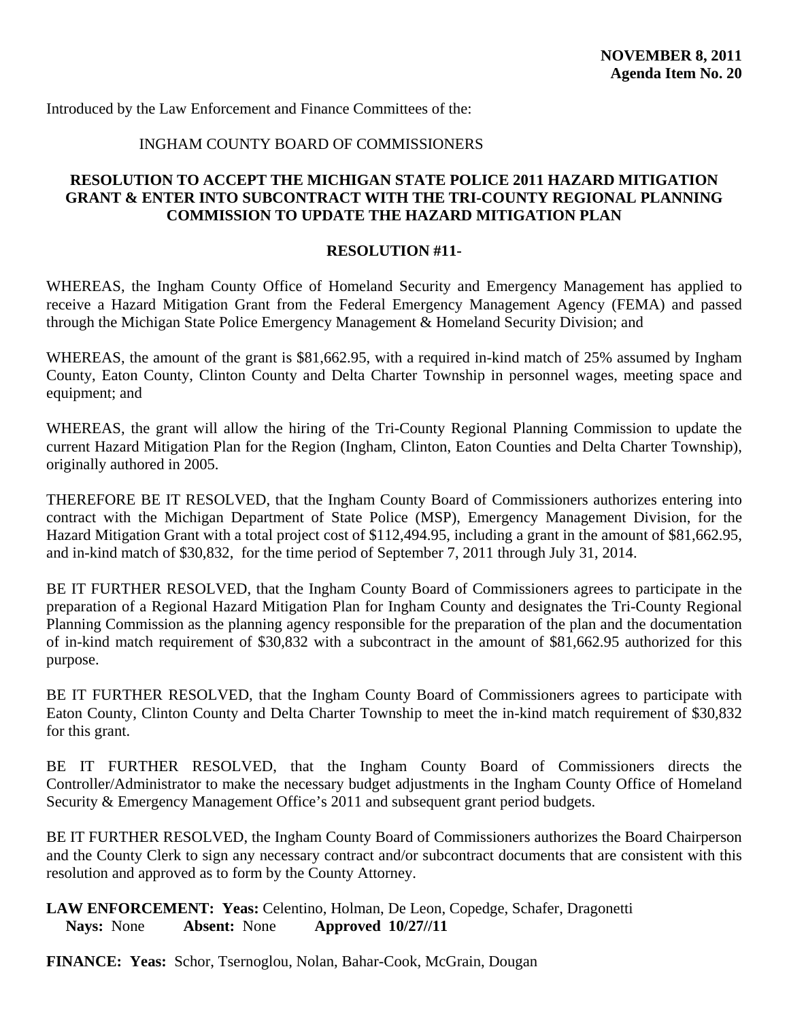#### INGHAM COUNTY BOARD OF COMMISSIONERS

# <span id="page-48-0"></span>**RESOLUTION TO ACCEPT THE MICHIGAN STATE POLICE 2011 HAZARD MITIGATION GRANT & ENTER INTO SUBCONTRACT WITH THE TRI-COUNTY REGIONAL PLANNING COMMISSION TO UPDATE THE HAZARD MITIGATION PLAN**

#### **RESOLUTION #11-**

WHEREAS, the Ingham County Office of Homeland Security and Emergency Management has applied to receive a Hazard Mitigation Grant from the Federal Emergency Management Agency (FEMA) and passed through the Michigan State Police Emergency Management & Homeland Security Division; and

WHEREAS, the amount of the grant is \$81,662.95, with a required in-kind match of 25% assumed by Ingham County, Eaton County, Clinton County and Delta Charter Township in personnel wages, meeting space and equipment; and

WHEREAS, the grant will allow the hiring of the Tri-County Regional Planning Commission to update the current Hazard Mitigation Plan for the Region (Ingham, Clinton, Eaton Counties and Delta Charter Township), originally authored in 2005.

THEREFORE BE IT RESOLVED, that the Ingham County Board of Commissioners authorizes entering into contract with the Michigan Department of State Police (MSP), Emergency Management Division, for the Hazard Mitigation Grant with a total project cost of \$112,494.95, including a grant in the amount of \$81,662.95, and in-kind match of \$30,832, for the time period of September 7, 2011 through July 31, 2014.

BE IT FURTHER RESOLVED, that the Ingham County Board of Commissioners agrees to participate in the preparation of a Regional Hazard Mitigation Plan for Ingham County and designates the Tri-County Regional Planning Commission as the planning agency responsible for the preparation of the plan and the documentation of in-kind match requirement of \$30,832 with a subcontract in the amount of \$81,662.95 authorized for this purpose.

BE IT FURTHER RESOLVED, that the Ingham County Board of Commissioners agrees to participate with Eaton County, Clinton County and Delta Charter Township to meet the in-kind match requirement of \$30,832 for this grant.

BE IT FURTHER RESOLVED, that the Ingham County Board of Commissioners directs the Controller/Administrator to make the necessary budget adjustments in the Ingham County Office of Homeland Security & Emergency Management Office's 2011 and subsequent grant period budgets.

BE IT FURTHER RESOLVED, the Ingham County Board of Commissioners authorizes the Board Chairperson and the County Clerk to sign any necessary contract and/or subcontract documents that are consistent with this resolution and approved as to form by the County Attorney.

**LAW ENFORCEMENT: Yeas:** Celentino, Holman, De Leon, Copedge, Schafer, Dragonetti  **Nays:** None **Absent:** None **Approved 10/27//11** 

**FINANCE: Yeas:** Schor, Tsernoglou, Nolan, Bahar-Cook, McGrain, Dougan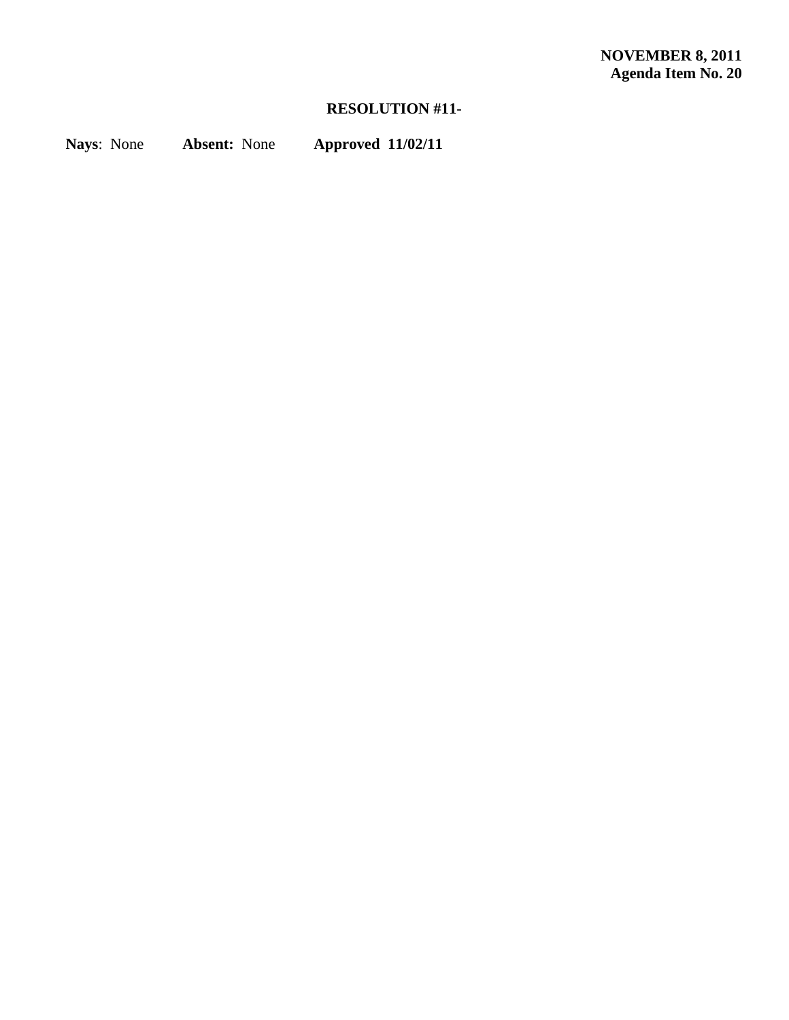# **RESOLUTION #11-**

**Nays**: None **Absent:** None **Approved 11/02/11**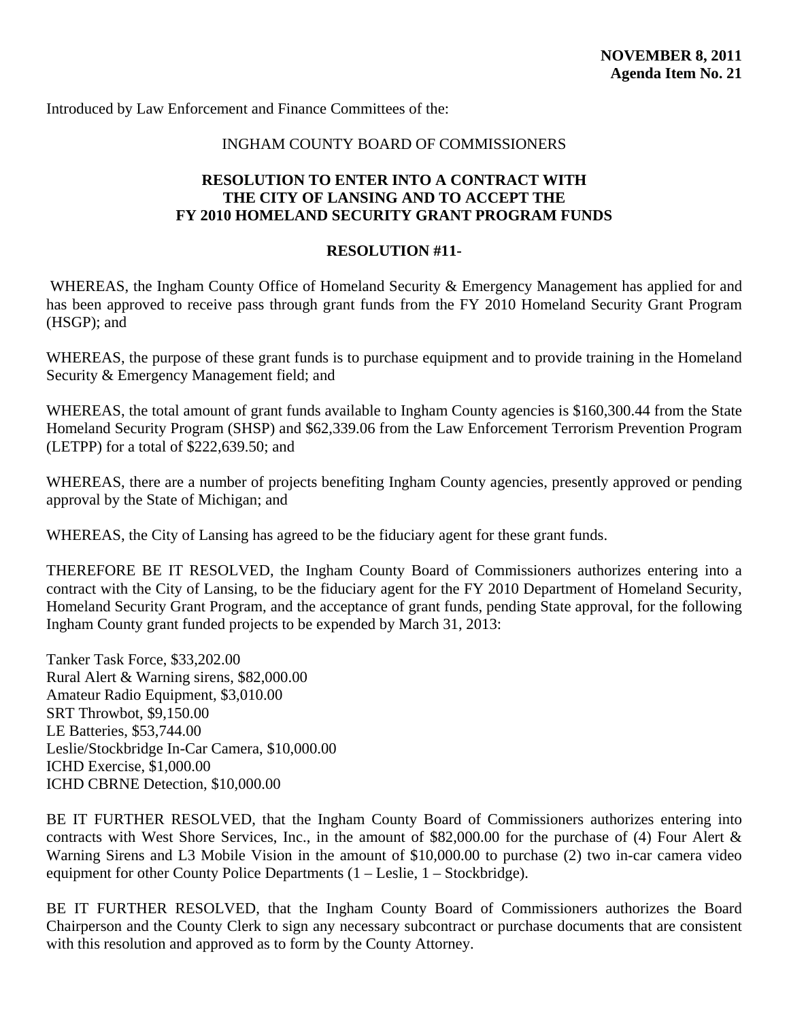### INGHAM COUNTY BOARD OF COMMISSIONERS

# <span id="page-50-0"></span>**RESOLUTION TO ENTER INTO A CONTRACT WITH THE CITY OF LANSING AND TO ACCEPT THE FY 2010 HOMELAND SECURITY GRANT PROGRAM FUNDS**

# **RESOLUTION #11-**

WHEREAS, the Ingham County Office of Homeland Security & Emergency Management has applied for and has been approved to receive pass through grant funds from the FY 2010 Homeland Security Grant Program (HSGP); and

WHEREAS, the purpose of these grant funds is to purchase equipment and to provide training in the Homeland Security & Emergency Management field; and

WHEREAS, the total amount of grant funds available to Ingham County agencies is \$160,300.44 from the State Homeland Security Program (SHSP) and \$62,339.06 from the Law Enforcement Terrorism Prevention Program (LETPP) for a total of \$222,639.50; and

WHEREAS, there are a number of projects benefiting Ingham County agencies, presently approved or pending approval by the State of Michigan; and

WHEREAS, the City of Lansing has agreed to be the fiduciary agent for these grant funds.

THEREFORE BE IT RESOLVED, the Ingham County Board of Commissioners authorizes entering into a contract with the City of Lansing, to be the fiduciary agent for the FY 2010 Department of Homeland Security, Homeland Security Grant Program, and the acceptance of grant funds, pending State approval, for the following Ingham County grant funded projects to be expended by March 31, 2013:

Tanker Task Force, \$33,202.00 Rural Alert & Warning sirens, \$82,000.00 Amateur Radio Equipment, \$3,010.00 SRT Throwbot, \$9,150.00 LE Batteries, \$53,744.00 Leslie/Stockbridge In-Car Camera, \$10,000.00 ICHD Exercise, \$1,000.00 ICHD CBRNE Detection, \$10,000.00

BE IT FURTHER RESOLVED, that the Ingham County Board of Commissioners authorizes entering into contracts with West Shore Services, Inc., in the amount of \$82,000.00 for the purchase of (4) Four Alert & Warning Sirens and L3 Mobile Vision in the amount of \$10,000.00 to purchase (2) two in-car camera video equipment for other County Police Departments (1 – Leslie, 1 – Stockbridge).

BE IT FURTHER RESOLVED, that the Ingham County Board of Commissioners authorizes the Board Chairperson and the County Clerk to sign any necessary subcontract or purchase documents that are consistent with this resolution and approved as to form by the County Attorney.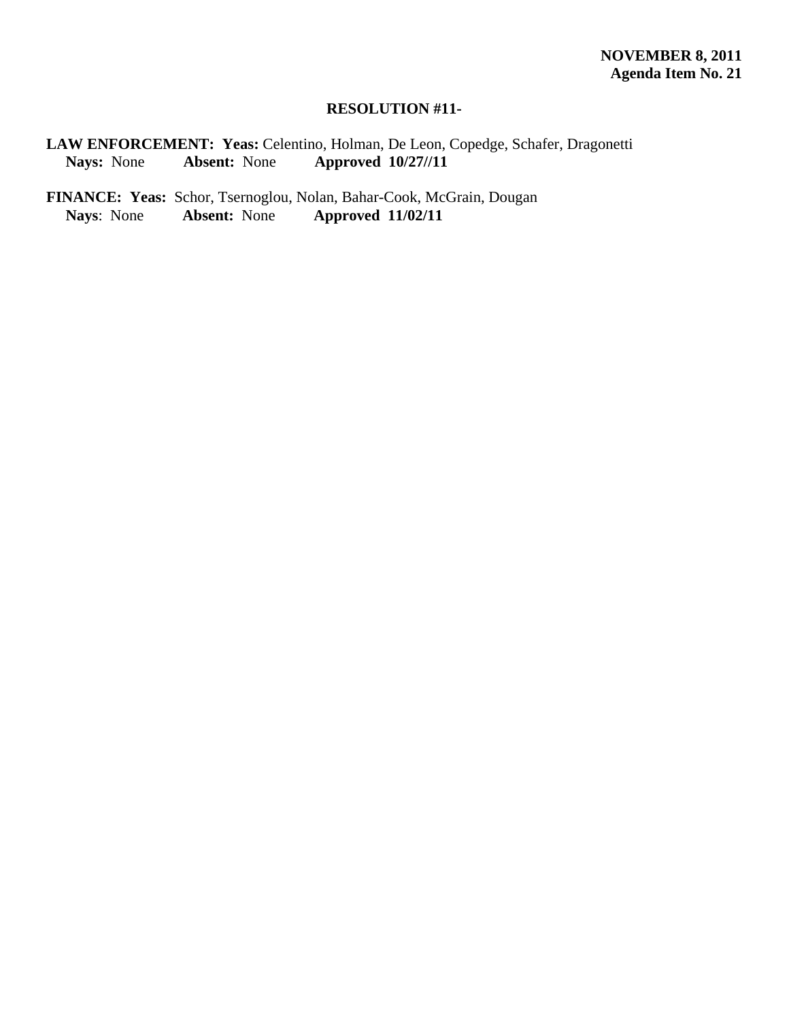#### **RESOLUTION #11-**

**LAW ENFORCEMENT: Yeas:** Celentino, Holman, De Leon, Copedge, Schafer, Dragonetti  **Nays:** None **Absent:** None **Approved 10/27//11** 

FINANCE: Yeas: Schor, Tsernoglou, Nolan, Bahar-Cook, McGrain, Dougan Nays: None Absent: None Approved 11/02/11 **Nays**: None **Absent:** None **Approved 11/02/11**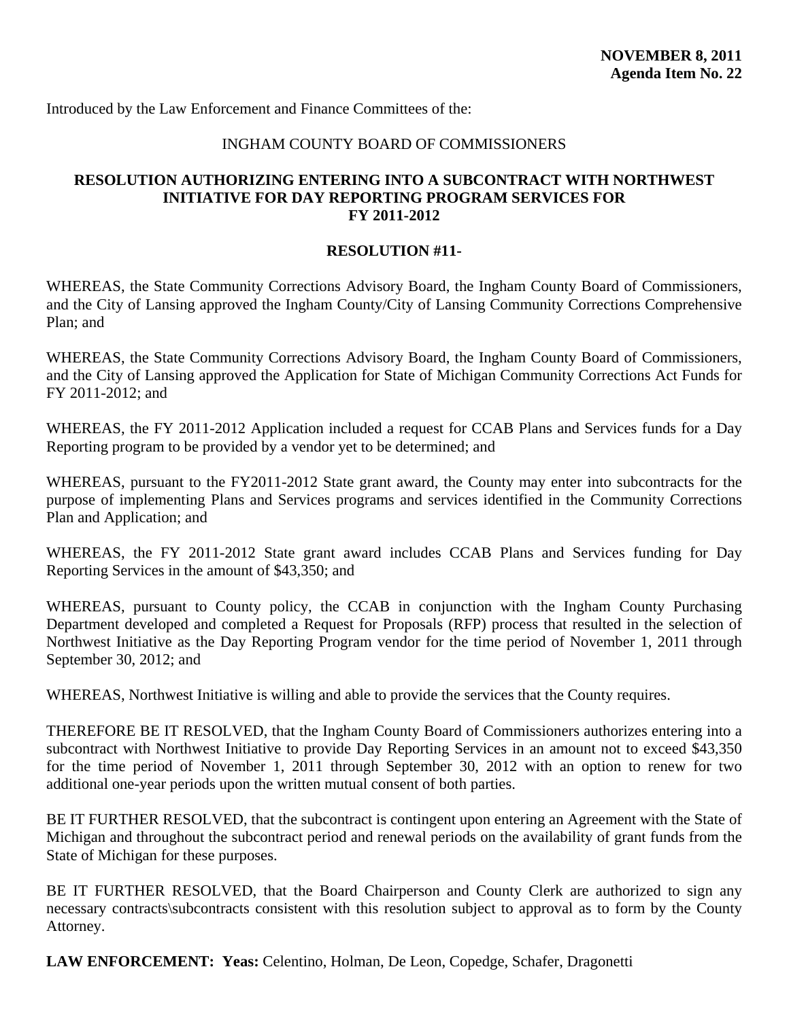#### INGHAM COUNTY BOARD OF COMMISSIONERS

#### <span id="page-52-0"></span>**RESOLUTION AUTHORIZING ENTERING INTO A SUBCONTRACT WITH NORTHWEST INITIATIVE FOR DAY REPORTING PROGRAM SERVICES FOR FY 2011-2012**

#### **RESOLUTION #11-**

WHEREAS, the State Community Corrections Advisory Board, the Ingham County Board of Commissioners, and the City of Lansing approved the Ingham County/City of Lansing Community Corrections Comprehensive Plan; and

WHEREAS, the State Community Corrections Advisory Board, the Ingham County Board of Commissioners, and the City of Lansing approved the Application for State of Michigan Community Corrections Act Funds for FY 2011-2012; and

WHEREAS, the FY 2011-2012 Application included a request for CCAB Plans and Services funds for a Day Reporting program to be provided by a vendor yet to be determined; and

WHEREAS, pursuant to the FY2011-2012 State grant award, the County may enter into subcontracts for the purpose of implementing Plans and Services programs and services identified in the Community Corrections Plan and Application; and

WHEREAS, the FY 2011-2012 State grant award includes CCAB Plans and Services funding for Day Reporting Services in the amount of \$43,350; and

WHEREAS, pursuant to County policy, the CCAB in conjunction with the Ingham County Purchasing Department developed and completed a Request for Proposals (RFP) process that resulted in the selection of Northwest Initiative as the Day Reporting Program vendor for the time period of November 1, 2011 through September 30, 2012; and

WHEREAS, Northwest Initiative is willing and able to provide the services that the County requires.

THEREFORE BE IT RESOLVED, that the Ingham County Board of Commissioners authorizes entering into a subcontract with Northwest Initiative to provide Day Reporting Services in an amount not to exceed \$43,350 for the time period of November 1, 2011 through September 30, 2012 with an option to renew for two additional one-year periods upon the written mutual consent of both parties.

BE IT FURTHER RESOLVED, that the subcontract is contingent upon entering an Agreement with the State of Michigan and throughout the subcontract period and renewal periods on the availability of grant funds from the State of Michigan for these purposes.

BE IT FURTHER RESOLVED, that the Board Chairperson and County Clerk are authorized to sign any necessary contracts\subcontracts consistent with this resolution subject to approval as to form by the County Attorney.

**LAW ENFORCEMENT: Yeas:** Celentino, Holman, De Leon, Copedge, Schafer, Dragonetti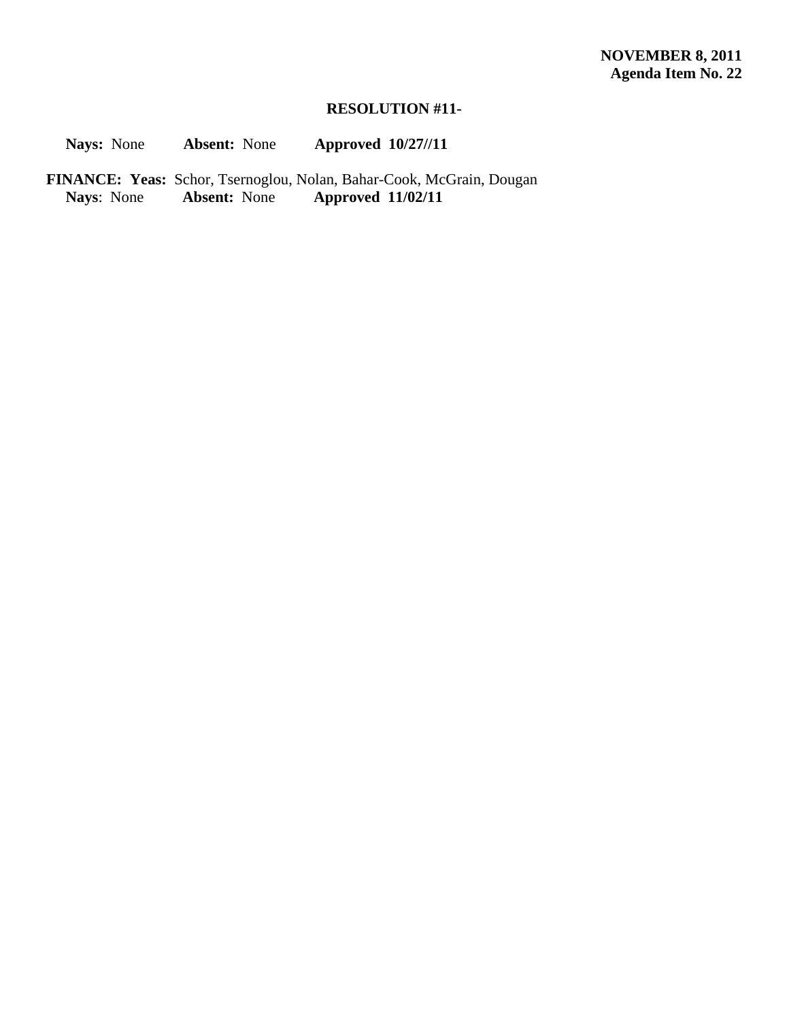# **RESOLUTION #11-**

 **Nays:** None **Absent:** None **Approved 10/27//11** 

FINANCE: Yeas: Schor, Tsernoglou, Nolan, Bahar-Cook, McGrain, Dougan<br>Nays: None **Absent:** None **Approved 11/02/11 Nays**: None **Absent:** None **Approved 11/02/11**